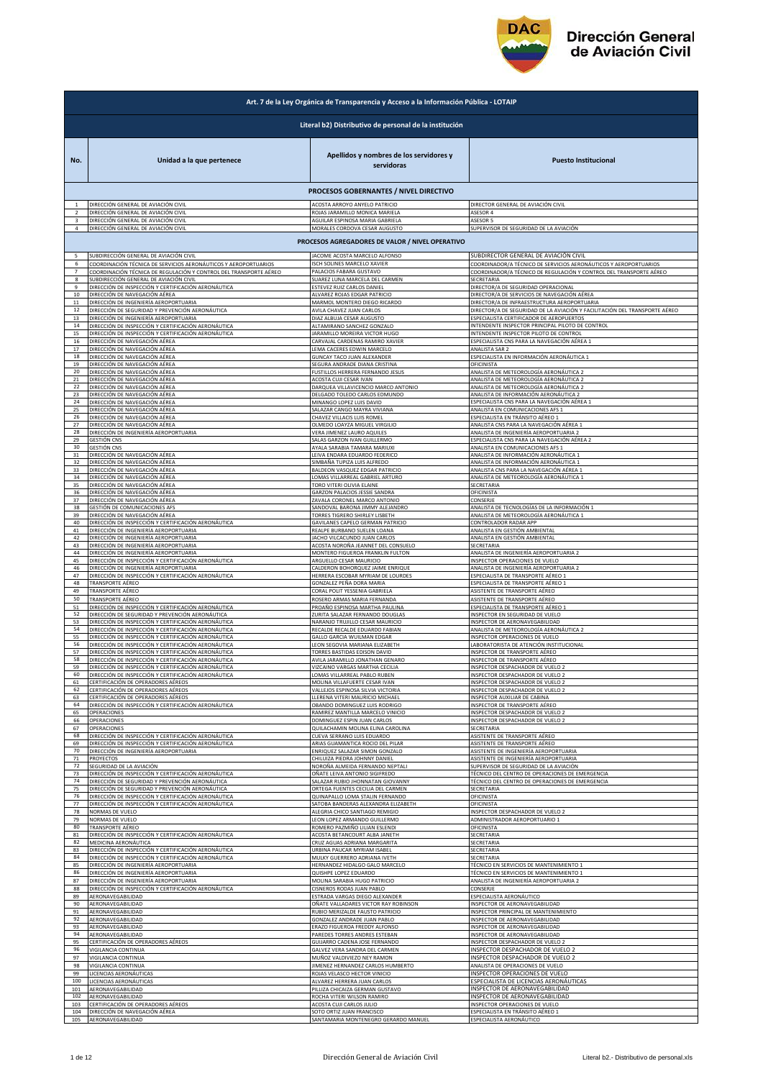

|                | Art. 7 de la Ley Orgánica de Transparencia y Acceso a la Información Pública - LOTAIP |                                                                                  |                                                                            |  |
|----------------|---------------------------------------------------------------------------------------|----------------------------------------------------------------------------------|----------------------------------------------------------------------------|--|
|                | Literal b2) Distributivo de personal de la institución                                |                                                                                  |                                                                            |  |
| No.            | Unidad a la que pertenece                                                             | Apellidos y nombres de los servidores y<br>servidoras                            | <b>Puesto Institucional</b>                                                |  |
|                |                                                                                       | PROCESOS GOBERNANTES / NIVEL DIRECTIVO                                           |                                                                            |  |
|                | DIRECCIÓN GENERAL DE AVIACIÓN CIVIL                                                   | ACOSTA ARROYO ANYELO PATRICIO                                                    | DIRECTOR GENERAL DE AVIACIÓN CIVIL                                         |  |
|                | DIRECCIÓN GENERAL DE AVIACIÓN CIVIL                                                   | ROJAS JARAMILLO MONICA MARIELA                                                   | ASESOR 4                                                                   |  |
| 3              | DIRECCIÓN GENERAL DE AVIACIÓN CIVIL                                                   | AGUILAR ESPINOSA MARIA GABRIELA                                                  | ASESOR 5                                                                   |  |
| $\overline{a}$ | DIRECCIÓN GENERAL DE AVIACIÓN CIVIL                                                   | MORALES CORDOVA CESAR AUGUSTO<br>PROCESOS AGREGADORES DE VALOR / NIVEL OPERATIVO | SUPERVISOR DE SEGURIDAD DE LA AVIACIÓN                                     |  |
|                | SUBDIRECCIÓN GENERAL DE AVIACIÓN CIVIL                                                | JACOME ACOSTA MARCELO ALFONSO                                                    | SUBDIRECTOR GENERAL DE AVIACIÓN CIVIL                                      |  |
| 6              | COORDINACIÓN TÉCNICA DE SERVICIOS AERONÁUTICOS Y AEROPORTUARIOS                       | <b>SCH SOLINES MARCELO XAVIER</b>                                                | COORDINADOR/A TÉCNICO DE SERVICIOS AERONÁUTICOS Y AEROPORTUARIOS           |  |
| $\overline{7}$ | COORDINACIÓN TÉCNICA DE REGULACIÓN Y CONTROL DEL TRANSPORTE AÉREO                     | PALACIOS FABARA GUSTAVO                                                          | COORDINADOR/A TÉCNICO DE REGULACIÓN Y CONTROL DEL TRANSPORTE AÉREO         |  |
| 8              | SUBDIRECCIÓN GENERAL DE AVIACIÓN CIVIL                                                | SUAREZ LUNA MARCELA DEL CARMEN                                                   | SECRETARIA                                                                 |  |
| 9              | DIRECCIÓN DE INSPECCIÓN Y CERTIFICACIÓN AERONÁUTICA                                   | ESTEVEZ RUIZ CARLOS DANIEL                                                       | DIRECTOR/A DE SEGURIDAD OPERACIONAL                                        |  |
| 10             | DIRECCIÓN DE NAVEGACIÓN AÉREA                                                         | ALVAREZ ROJAS EDGAR PATRICIO                                                     | DIRECTOR/A DE SERVICIOS DE NAVEGACIÓN AÉREA                                |  |
| 11             | DIRECCIÓN DE INGENIERÍA AEROPORTUARIA                                                 | MARMOL MONTERO DIEGO RICARDO                                                     | DIRECTOR/A DE INFRAESTRUCTURA AEROPORTUARIA                                |  |
| $12\,$         | DIRECCIÓN DE SEGURIDAD Y PREVENCIÓN AERONÁUTICA                                       | AVILA CHAVEZ JUAN CARLOS                                                         | DIRECTOR/A DE SEGURIDAD DE LA AVIACIÓN Y FACILITACIÓN DEL TRANSPORTE AÉREO |  |
| 13             | DIRECCIÓN DE INGENIERÍA AEROPORTUARIA                                                 | DIAZ ALBUJA CESAR AUGUSTO                                                        | SPECIALISTA CERTIFICADOR DE AEROPUERTOS                                    |  |
| 14             | DIRECCIÓN DE INSPECCIÓN Y CERTIFICACIÓN AERONÁUTICA                                   | ALTAMIRANO SANCHEZ GONZALO                                                       | NTENDENTE INSPECTOR PRINCIPAL PILOTO DE CONTROL                            |  |
| 15             | DIRECCIÓN DE INSPECCIÓN Y CERTIFICACIÓN AERONÁUTICA                                   | JARAMILLO MOREIRA VICTOR HUGO                                                    | INTENDENTE INSPECTOR PILOTO DE CONTROL                                     |  |
| 16             | DIRECCIÓN DE NAVEGACIÓN AÉREA                                                         | CARVAJAL CARDENAS RAMIRO XAVIER                                                  | ESPECIALISTA CNS PARA LA NAVEGACIÓN AÉREA 1                                |  |
| 17             | DIRECCIÓN DE NAVEGACIÓN AÉREA                                                         | LEMA CACERES EDWIN MARCELO                                                       | <b>ANALISTA SAR 2</b>                                                      |  |
| 18             | DIRECCIÓN DE NAVEGACIÓN AÉREA                                                         | <b>GUNCAY TACO JUAN ALEXANDER</b>                                                | ESPECIALISTA EN INFORMACIÓN AERONÁUTICA 1                                  |  |
| 19             | DIRECCIÓN DE NAVEGACIÓN AÉREA                                                         | SEGURA ANDRADE DIANA CRISTINA                                                    | OFICINISTA                                                                 |  |
| 20             | DIRECCIÓN DE NAVEGACIÓN AÉREA                                                         | <b>FUSTILLOS HERRERA FERNANDO JESUS</b>                                          | ANALISTA DE METEOROLOGÍA AERONÁUTICA 2                                     |  |
| 21             | DIRECCIÓN DE NAVEGACIÓN AÉREA                                                         | ACOSTA CUJI CESAR IVAN                                                           | ANALISTA DE METEOROLOGÍA AERONÁUTICA 2                                     |  |
| 22             | DIRECCIÓN DE NAVEGACIÓN AÉREA                                                         | DARQUEA VILLAVICENCIO MARCO ANTONIO                                              | ANALISTA DE METEOROLOGÍA AERONÁUTICA 2                                     |  |
| 23             | DIRECCIÓN DE NAVEGACIÓN AÉREA                                                         | DELGADO TOLEDO CARLOS EDMUNDO                                                    | ANALISTA DE INFORMACIÓN AERONÁUTICA 2                                      |  |
| 24<br>25       | DIRECCIÓN DE NAVEGACIÓN AÉREA<br>DIRECCIÓN DE NAVEGACIÓN AÉREA                        | MINANGO LOPEZ LUIS DAVID                                                         | ESPECIALISTA CNS PARA LA NAVEGACIÓN AÉREA 1                                |  |
| 26             | DIRECCIÓN DE NAVEGACIÓN AÉREA                                                         | SALAZAR CANGO MAYRA VIVIANA<br>CHAVEZ VILLACIS LUIS ROMEI                        | ANALISTA EN COMUNICACIONES AFS 1<br>ESPECIALISTA EN TRÁNSITO AÉREO 1       |  |
| 27             | DIRECCIÓN DE NAVEGACIÓN AÉREA                                                         | OLMEDO LOAYZA MIGUEL VIRGILIO                                                    | ANALISTA CNS PARA LA NAVEGACIÓN AÉREA 1                                    |  |
| 28             | DIRECCIÓN DE INGENIERÍA AEROPORTUARIA                                                 | VERA JIMENEZ LAURO AQUILES                                                       | ANALISTA DE INGENIERÍA AEROPORTUARIA 2                                     |  |
| 29             | <b>GESTIÓN CNS</b>                                                                    | SALAS GARZON IVAN GUILLERMO                                                      | ESPECIALISTA CNS PARA LA NAVEGACIÓN AÉREA 2                                |  |
| 30             | <b>GESTIÓN CNS</b>                                                                    | AYALA SARABIA TAMARA MARIUXI                                                     | ANALISTA EN COMUNICACIONES AFS 1                                           |  |
| 31             | DIRECCIÓN DE NAVEGACIÓN AÉREA                                                         | LEIVA ENDARA EDUARDO FEDERICO                                                    | ANALISTA DE INFORMACIÓN AERONÁUTICA 1                                      |  |
| 32             | DIRECCIÓN DE NAVEGACIÓN AÉREA                                                         | SIMBAÑA TUPIZA LUIS ALFREDO                                                      | ANALISTA DE INFORMACIÓN AERONÁUTICA 1                                      |  |
| 33             | DIRECCIÓN DE NAVEGACIÓN AÉREA                                                         | BALDEON VASQUEZ EDGAR PATRICIO                                                   | ANALISTA CNS PARA LA NAVEGACIÓN AÉREA 1                                    |  |
| 34             | DIRECCIÓN DE NAVEGACIÓN AÉREA                                                         | LOMAS VILLARREAL GABRIEL ARTURO                                                  | ANALISTA DE METEOROLOGÍA AERONÁUTICA 1                                     |  |
| 35             | DIRECCIÓN DE NAVEGACIÓN AÉREA                                                         | TORO VITERI OLIVIA ELAINE                                                        | SECRETARIA                                                                 |  |
| 36             | DIRECCIÓN DE NAVEGACIÓN AÉREA                                                         | GARZON PALACIOS JESSIE SANDRA                                                    | OFICINISTA                                                                 |  |
| 37             | DIRECCIÓN DE NAVEGACIÓN AÉREA                                                         | ZAVALA CORONEL MARCO ANTONIO                                                     | CONSERJE                                                                   |  |
| 38             | GESTIÓN DE COMUNICACIONES AFS                                                         | SANDOVAL BARONA JIMMY ALEJANDRO                                                  | ANALISTA DE TECNOLOGÍAS DE LA INFORMACIÓN 1                                |  |
| 39             | DIRECCIÓN DE NAVEGACIÓN AÉREA                                                         | TORRES TIGRERO SHIRLEY LISBETH                                                   | ANALISTA DE METEOROLOGÍA AERONÁUTICA 1                                     |  |
| 40             | DIRECCIÓN DE INSPECCIÓN Y CERTIFICACIÓN AERONÁUTICA                                   | GAVILANES CAPELO GERMAN PATRICIO                                                 | CONTROLADOR RADAR APP                                                      |  |
| 41             | DIRECCIÓN DE INGENIERÍA AEROPORTUARIA                                                 | REALPE BURBANO SUELEN LOANA                                                      | ANALISTA EN GESTIÓN AMBIENTAL                                              |  |
| 42             | DIRECCIÓN DE INGENIERÍA AEROPORTUARIA                                                 | JACHO VILCACUNDO JUAN CARLOS                                                     | ANALISTA EN GESTIÓN AMBIENTAL                                              |  |
| 43             | DIRECCIÓN DE INGENIERÍA AEROPORTUARIA                                                 | ACOSTA NOROÑA JEANNET DEL CONSUELO                                               | SECRETARIA                                                                 |  |
| 44             | DIRECCIÓN DE INGENIERÍA AEROPORTUARIA                                                 | MONTERO FIGUEROA FRANKLIN FULTON                                                 | ANALISTA DE INGENIERÍA AEROPORTUARIA 2                                     |  |
| 45             | DIRECCIÓN DE INSPECCIÓN Y CERTIFICACIÓN AERONÁUTICA                                   | ARGUELLO CESAR MAURICIO                                                          | INSPECTOR OPERACIONES DE VUELO                                             |  |
| 46             | DIRECCIÓN DE INGENIERÍA AEROPORTUARIA                                                 | CALDERON BOHORQUEZ JAIME ENRIQUE                                                 | ANALISTA DE INGENIERÍA AEROPORTUARIA 2                                     |  |
| 47             | DIRECCIÓN DE INSPECCIÓN Y CERTIFICACIÓN AERONÁUTICA                                   | HERRERA ESCOBAR MYRIAM DE LOURDES                                                | SPECIALISTA DE TRANSPORTE AÉREO 1                                          |  |
| 48             | TRANSPORTE AÉREO                                                                      | GONZALEZ PEÑA DORA MARIA                                                         | SPECIALISTA DE TRANSPORTE AÉREO 1                                          |  |
| 49             | TRANSPORTE AÉREO                                                                      | CORAL POLIT YESSENIA GABRIELA                                                    | ASISTENTE DE TRANSPORTE AÉREO                                              |  |
| 50             | TRANSPORTE AÉREO                                                                      | ROSERO ARMAS MARIA FERNANDA                                                      | ASISTENTE DE TRANSPORTE AÉREO                                              |  |
| 51             | DIRECCIÓN DE INSPECCIÓN Y CERTIFICACIÓN AERONÁUTICA                                   | PROAÑO ESPINOSA MARTHA PAULINA                                                   | ESPECIALISTA DE TRANSPORTE AÉREO 1                                         |  |
| 52             | DIRECCIÓN DE SEGURIDAD Y PREVENCIÓN AERONÁUTICA                                       | ZURITA SALAZAR FERNANDO DOUGLAS                                                  | INSPECTOR EN SEGURIDAD DE VUELO                                            |  |
| 53<br>54       | DIRECCIÓN DE INSPECCIÓN Y CERTIFICACIÓN AERONÁUTICA                                   | NARANJO TRUJILLO CESAR MAURICIO                                                  | INSPECTOR DE AERONAVEGABILIDAD                                             |  |
| 55             | DIRECCIÓN DE INSPECCIÓN Y CERTIFICACIÓN AERONÁUTICA                                   | RECALDE RECALDE EDUARDO FABIAN                                                   | ANALISTA DE METEOROLOGÍA AERONÁUTICA 2                                     |  |
|                | DIRECCIÓN DE INSPECCIÓN Y CERTIFICACIÓN AERONÁUTICA                                   | GALLO GARCIA WUILMAN EDGAR                                                       | NSPECTOR OPERACIONES DE VUELO                                              |  |
| 56             | DIRECCIÓN DE INSPECCIÓN Y CERTIFICACIÓN AERONÁUTICA                                   | LEON SEGOVIA MARIANA ELIZABETH                                                   | ABORATORISTA DE ATENCIÓN INSTITUCIONAL                                     |  |
| 57             | DIRECCIÓN DE INSPECCIÓN Y CERTIFICACIÓN AERONÁUTICA                                   | TORRES BASTIDAS EDISON DAVID                                                     | NSPECTOR DE TRANSPORTE AÉREO                                               |  |
| 58             | DIRECCIÓN DE INSPECCIÓN Y CERTIFICACIÓN AERONÁUTICA                                   | AVILA JARAMILLO JONATHAN GENARO                                                  | NSPECTOR DE TRANSPORTE AÉREO                                               |  |
|                | IÓN DE INSPECCIÓN Y CERTIFICACIÓN AERI                                                | VIZCAINO VARGAS MARTHA CECIL                                                     | NSPECTOR DESPACHADOR DE                                                    |  |
| 60             | DIRECCIÓN DE INSPECCIÓN Y CERTIFICACIÓN AERONÁUTICA                                   | LOMAS VILLARREAL PABLO RUBEN                                                     | INSPECTOR DESPACHADOR DE VUELO 2                                           |  |
| 61             | CERTIFICACIÓN DE OPERADORES AÉREOS                                                    | MOLINA VILLAFUERTE CESAR IVAN                                                    | INSPECTOR DESPACHADOR DE VUELO                                             |  |
| 62             | CERTIFICACIÓN DE OPERADORES AÉREOS                                                    | VALLEJOS ESPINOSA SILVIA VICTORIA                                                | INSPECTOR DESPACHADOR DE VUELO 2                                           |  |
| 63             | CERTIFICACIÓN DE OPERADORES AÉREOS                                                    | LLERENA VITERI MAURICIO MICHAEL                                                  | INSPECTOR AUXILIAR DE CABINA                                               |  |
| 64             | DIRECCIÓN DE INSPECCIÓN Y CERTIFICACIÓN AERONÁUTICA                                   | OBANDO DOMINGUEZ LUIS RODRIGO                                                    | INSPECTOR DE TRANSPORTE AÉREO                                              |  |
| 65             | OPERACIONES                                                                           | RAMIREZ MANTILLA MARCELO VINICIO                                                 | INSPECTOR DESPACHADOR DE VUELO 2                                           |  |
| 66             | OPERACIONES                                                                           | DOMINGUEZ ESPIN JUAN CARLOS                                                      | INSPECTOR DESPACHADOR DE VUELO 2                                           |  |
| 67             | OPERACIONES                                                                           | QUILACHAMIN MOLINA ELINA CAROLINA                                                | SECRETARIA                                                                 |  |
| 68             | DIRECCIÓN DE INSPECCIÓN Y CERTIFICACIÓN AERONÁUTICA                                   | CUEVA SERRANO LUIS EDUARDO                                                       | ASISTENTE DE TRANSPORTE AÉREO                                              |  |
| 69             | DIRECCIÓN DE INSPECCIÓN Y CERTIFICACIÓN AERONÁUTICA                                   | ARIAS GUAMANTICA ROCIO DEL PILAR                                                 | ASISTENTE DE TRANSPORTE AÉREO                                              |  |
| 70             | DIRECCIÓN DE INGENIERÍA AEROPORTUARIA                                                 | ENRIQUEZ SALAZAR SIMON GONZALO                                                   | ASISTENTE DE INGENIERÍA AEROPORTUARIA                                      |  |
| 71             | PROYECTOS                                                                             | CHILUIZA PIEDRA JOHNNY DANIEL                                                    | ASISTENTE DE INGENIERÍA AEROPORTUARIA                                      |  |
| 72             | SEGURIDAD DE LA AVIACIÓN                                                              | NOROÑA ALMEIDA FERNANDO NEPTALI                                                  | SUPERVISOR DE SEGURIDAD DE LA AVIACIÓN                                     |  |
| 73             | DIRECCIÓN DE INSPECCIÓN Y CERTIFICACIÓN AERONÁUTICA                                   | OÑATE LEIVA ANTONIO SIGIFREDO                                                    | TÉCNICO DEL CENTRO DE OPERACIONES DE EMERGENCIA                            |  |
| 74             | DIRECCIÓN DE SEGURIDAD Y PREVENCIÓN AERONÁUTICA                                       | SALAZAR RUBIO JHONNATAN GIOVANNY                                                 | TÉCNICO DEL CENTRO DE OPERACIONES DE EMERGENCIA                            |  |
| 75             | DIRECCIÓN DE SEGURIDAD Y PREVENCIÓN AERONÁUTICA                                       | ORTEGA FUENTES CECILIA DEL CARMEN                                                | SECRETARIA                                                                 |  |
| 76             | DIRECCIÓN DE INSPECCIÓN Y CERTIFICACIÓN AERONÁUTICA                                   | QUINAPALLO LOMA STALIN FERNANDO                                                  | OFICINISTA                                                                 |  |
| 77             | DIRECCIÓN DE INSPECCIÓN Y CERTIFICACIÓN AERONÁUTICA                                   | SATOBA BANDERAS ALEXANDRA ELIZABETH                                              | OFICINISTA                                                                 |  |
| 78             | NORMAS DE VUELO                                                                       | ALEGRIA CHICO SANTIAGO REMIGIO                                                   | INSPECTOR DESPACHADOR DE VUELO 2                                           |  |
| 79             | NORMAS DE VUELO                                                                       | LEON LOPEZ ARMANDO GUILLERMO                                                     | ADMINISTRADOR AEROPORTUARIO 1                                              |  |
| 80             | TRANSPORTE AÉREO                                                                      | ROMERO PAZMIÑO LILIAN ESLENDI                                                    | OFICINISTA                                                                 |  |
| 81             | DIRECCIÓN DE INSPECCIÓN Y CERTIFICACIÓN AERONÁUTICA                                   | ACOSTA BETANCOURT ALBA JANETH                                                    | SECRETARIA                                                                 |  |
| 82             | MEDICINA AERONÁUTICA                                                                  | CRUZ AGUAS ADRIANA MARGARITA                                                     | SECRETARIA                                                                 |  |
| 83             | DIRECCIÓN DE INSPECCIÓN Y CERTIFICACIÓN AERONÁUTICA                                   | URBINA PAUCAR MYRIAM ISABEL                                                      | SECRETARIA                                                                 |  |
| 84             | DIRECCIÓN DE INSPECCIÓN Y CERTIFICACIÓN AERONÁUTICA                                   | MULKY GUERRERO ADRIANA IVETH                                                     | SECRETARIA                                                                 |  |
| 85             | DIRECCIÓN DE INGENIERÍA AEROPORTUARIA                                                 | HERNANDEZ HIDALGO GALO MARCELO                                                   | TÉCNICO EN SERVICIOS DE MANTENIMIENTO 1                                    |  |
| 86             | DIRECCIÓN DE INGENIERÍA AEROPORTUARIA                                                 | QUISHPE LOPEZ EDUARDO                                                            | TÉCNICO EN SERVICIOS DE MANTENIMIENTO 1                                    |  |
| 87             | DIRECCIÓN DE INGENIERÍA AEROPORTUARIA                                                 | MOLINA SARABIA HUGO PATRICIO                                                     | ANALISTA DE INGENIERÍA AEROPORTUARIA 2                                     |  |
| 88             | DIRECCIÓN DE INSPECCIÓN Y CERTIFICACIÓN AERONÁUTICA                                   | CISNEROS RODAS JUAN PABLO                                                        | CONSERJE                                                                   |  |
| 89             | AERONAVEGABILIDAD                                                                     | ESTRADA VARGAS DIEGO ALEXANDER                                                   | ESPECIALISTA AERONÁUTICO                                                   |  |
| 90             | AERONAVEGABILIDAD                                                                     | OÑATE VALLADARES VICTOR RAY ROBINSON                                             | INSPECTOR DE AERONAVEGABILIDAD                                             |  |
| 91             | AERONAVEGABILIDAD                                                                     | RUBIO MERIZALDE FAUSTO PATRICIO                                                  | INSPECTOR PRINCIPAL DE MANTENIMIENTO                                       |  |
| 92             | AERONAVEGABILIDAD                                                                     | GONZALEZ ANDRADE JUAN PABLO                                                      | INSPECTOR DE AERONAVEGABILIDAD                                             |  |
| 93             | AERONAVEGABILIDAD                                                                     | ERAZO FIGUEROA FREDDY ALFONSO                                                    | INSPECTOR DE AERONAVEGABILIDAD                                             |  |
| 94             | AERONAVEGABILIDAD                                                                     | PAREDES TORRES ANDRES ESTEBAN                                                    | INSPECTOR DE AERONAVEGABILIDAD                                             |  |
| 95             | CERTIFICACIÓN DE OPERADORES AÉREOS                                                    | GUIJARRO CADENA JOSE FERNANDO                                                    | INSPECTOR DESPACHADOR DE VUELO 2                                           |  |
| 96             | VIGILANCIA CONTINUA                                                                   | GALVEZ VERA SANDRA DEL CARMEN                                                    | INSPECTOR DESPACHADOR DE VUELO 2                                           |  |
| 97             | VIGILANCIA CONTINUA                                                                   | MUÑOZ VALDIVIEZO NEY RAMON                                                       | INSPECTOR DESPACHADOR DE VUELO 2                                           |  |
| 98             | VIGILANCIA CONTINUA                                                                   | JIMENEZ HERNANDEZ CARLOS HUMBERTO                                                | ANALISTA DE OPERACIONES DE VUELO                                           |  |
| 99             | LICENCIAS AERONÁUTICAS                                                                | ROJAS VELASCO HECTOR VINICIO                                                     | INSPECTOR OPERACIONES DE VUELO                                             |  |
| 100            | LICENCIAS AERONÁUTICAS                                                                | ALVAREZ HERRERA JUAN CARLOS                                                      | ESPECIALISTA DE LICENCIAS AERONÁUTICAS                                     |  |
| 101            |                                                                                       | PILLIZA CHICAIZA GERMAN GUSTAVO                                                  | INSPECTOR DE AERONAVEGABILIDAD                                             |  |
| 102            | AERONAVEGABILIDAD<br>AERONAVEGABILIDAD                                                | ROCHA VITERI WILSON RAMIRO                                                       | INSPECTOR DE AERONAVEGABILIDAD                                             |  |
| 103            | CERTIFICACIÓN DE OPERADORES AÉREOS                                                    | ACOSTA CUJI CARLOS JULIO                                                         | INSPECTOR OPERACIONES DE VUELO                                             |  |
| 104            | DIRECCIÓN DE NAVEGACIÓN AÉREA                                                         | SOTO ORTIZ JUAN FRANCISCO                                                        | ESPECIALISTA EN TRÁNSITO AÉREO 1                                           |  |
| 105            | AERONAVEGABILIDAD                                                                     | SANTAMARIA MONTENEGRO GERARDO MANUEL                                             | ESPECIALISTA AERONÁUTICO                                                   |  |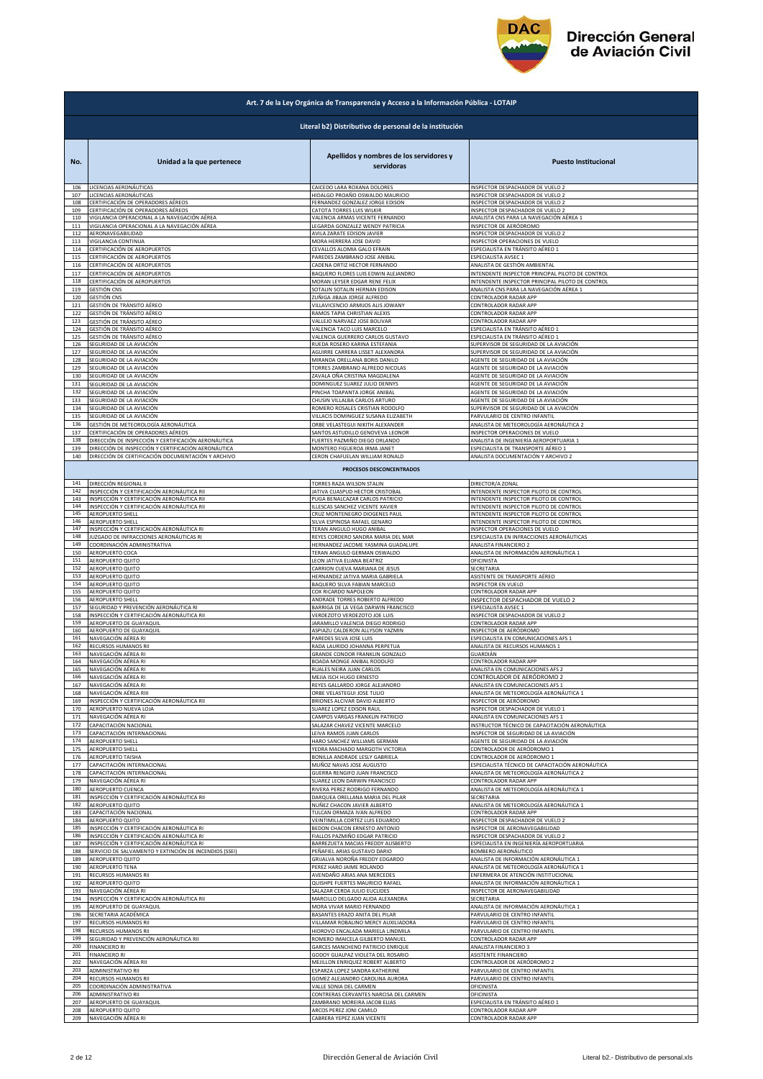

| Art. 7 de la Ley Orgánica de Transparencia y Acceso a la Información Pública - LOTAIP |                                                        |                                                                   |                                                                                  |  |
|---------------------------------------------------------------------------------------|--------------------------------------------------------|-------------------------------------------------------------------|----------------------------------------------------------------------------------|--|
|                                                                                       | Literal b2) Distributivo de personal de la institución |                                                                   |                                                                                  |  |
| No.                                                                                   | Unidad a la que pertenece                              | Apellidos y nombres de los servidores y<br>servidoras             | <b>Puesto Institucional</b>                                                      |  |
| 106                                                                                   | LICENCIAS AERONÁUTICAS                                 | CAICEDO LARA ROXANA DOLORES                                       | INSPECTOR DESPACHADOR DE VUELO 2                                                 |  |
| 107                                                                                   | LICENCIAS AERONÁUTICAS                                 | HIDALGO PROAÑO OSWALDO MAURICIO                                   | INSPECTOR DESPACHADOR DE VUELO 2                                                 |  |
| 108                                                                                   | CERTIFICACIÓN DE OPERADORES AÉREOS                     | FERNANDEZ GONZALEZ JORGE EDISON                                   | INSPECTOR DESPACHADOR DE VUELO 2                                                 |  |
| 109                                                                                   | CERTIFICACIÓN DE OPERADORES AÉREOS                     | CATOTA TORRES LUIS WILKIR                                         | INSPECTOR DESPACHADOR DE VUELO 2                                                 |  |
| 110                                                                                   | VIGILANCIA OPERACIONAL A LA NAVEGACIÓN AÉREA           | VALENCIA ARMAS VICENTE FERNANDO                                   | ANALISTA CNS PARA LA NAVEGACIÓN AÉREA 1                                          |  |
| 111                                                                                   | VIGILANCIA OPERACIONAL A LA NAVEGACIÓN AÉREA           | LEGARDA GONZALEZ WENDY PATRICIA                                   | INSPECTOR DE AERÓDROMO                                                           |  |
| 112                                                                                   | AERONAVEGABILIDAD                                      | AVILA ZARATE EDISON JAVIER                                        | INSPECTOR DESPACHADOR DE VUELO 2                                                 |  |
| 113                                                                                   | VIGILANCIA CONTINUA                                    | MORA HERRERA JOSE DAVID                                           | INSPECTOR OPERACIONES DE VUELO                                                   |  |
| 114                                                                                   | CERTIFICACIÓN DE AEROPUERTOS                           | CEVALLOS ALOMIA GALO EFRAIN                                       | ESPECIALISTA EN TRÁNSITO AÉREO 1                                                 |  |
| 115                                                                                   | CERTIFICACIÓN DE AEROPUERTOS                           | PAREDES ZAMBRANO JOSE ANIBAL                                      | ESPECIALISTA AVSEC 1                                                             |  |
| 116                                                                                   | CERTIFICACIÓN DE AEROPUERTOS                           | CADENA ORTIZ HECTOR FERNANDO                                      | ANALISTA DE GESTIÓN AMBIENTAL                                                    |  |
| 117                                                                                   | CERTIFICACIÓN DE AEROPUERTOS                           | BAQUERO FLORES LUIS EDWIN ALEJANDRO                               | INTENDENTE INSPECTOR PRINCIPAL PILOTO DE CONTROL                                 |  |
| 118                                                                                   | CERTIFICACIÓN DE AEROPUERTOS                           | MORAN LEYSER EDGAR RENE FELIX                                     | INTENDENTE INSPECTOR PRINCIPAL PILOTO DE CONTROL                                 |  |
| 119                                                                                   | GESTIÓN CNS                                            | SOTALIN SOTALIN HERNAN EDISON                                     | ANALISTA CNS PARA LA NAVEGACIÓN AÉREA 1                                          |  |
| 120                                                                                   | GESTIÓN CNS                                            | ZUÑIGA JIBAJA JORGE ALFREDO                                       | CONTROLADOR RADAR APP                                                            |  |
| 121                                                                                   | GESTIÓN DE TRÁNSITO AÉREO                              | VILLAVICENCIO ARMIJOS ALIS JOWANY                                 | CONTROLADOR RADAR APP                                                            |  |
| 122                                                                                   | GESTIÓN DE TRÁNSITO AÉREO                              | RAMOS TAPIA CHRISTIAN ALEXIS                                      | CONTROLADOR RADAR APP                                                            |  |
| 123                                                                                   | GESTIÓN DE TRÁNSITO AÉREO                              | VALLEJO NARVAEZ JOSE BOLIVAR                                      | CONTROLADOR RADAR APP                                                            |  |
| 124                                                                                   | GESTIÓN DE TRÁNSITO AÉREO                              | VALENCIA TACO LUIS MARCELO                                        | ESPECIALISTA EN TRÁNSITO AÉREO 1                                                 |  |
| 125<br>126                                                                            | GESTIÓN DE TRÁNSITO AÉREO                              | VALENCIA GUERRERO CARLOS GUSTAVO<br>RUEDA ROSERO KARINA ESTEFANIA | ESPECIALISTA EN TRÁNSITO AÉREO 1                                                 |  |
| 127                                                                                   | SEGURIDAD DE LA AVIACIÓN<br>SEGURIDAD DE LA AVIACIÓN   | AGUIRRE CARRERA LISSET ALEXANDRA                                  | SUPERVISOR DE SEGURIDAD DE LA AVIACIÓN<br>SUPERVISOR DE SEGURIDAD DE LA AVIACIÓN |  |
| 128                                                                                   | SEGURIDAD DE LA AVIACIÓN                               | MIRANDA ORELLANA BORIS DANILO                                     | AGENTE DE SEGURIDAD DE LA AVIACIÓN                                               |  |
| 129                                                                                   | SEGURIDAD DE LA AVIACIÓN                               | TORRES ZAMBRANO ALFREDO NICOLAS                                   | AGENTE DE SEGURIDAD DE LA AVIACIÓN                                               |  |
| 130                                                                                   | SEGURIDAD DE LA AVIACIÓN                               | ZAVALA OÑA CRISTINA MAGDALENA                                     | AGENTE DE SEGURIDAD DE LA AVIACIÓN                                               |  |
| 131                                                                                   | SEGURIDAD DE LA AVIACIÓN                               | DOMINGUEZ SUAREZ JULIO DENNYS                                     | AGENTE DE SEGURIDAD DE LA AVIACIÓN                                               |  |
| 132                                                                                   | SEGURIDAD DE LA AVIACIÓN                               | PINCHA TOAPANTA JORGE ANIBAL                                      | AGENTE DE SEGURIDAD DE LA AVIACIÓN                                               |  |
| 133                                                                                   | SEGURIDAD DE LA AVIACIÓN                               | CHUSIN VILLALBA CARLOS ARTURO                                     | AGENTE DE SEGURIDAD DE LA AVIACIÓN                                               |  |
| 134                                                                                   | SEGURIDAD DE LA AVIACIÓN                               | ROMERO ROSALES CRISTIAN RODOLFO                                   | SUPERVISOR DE SEGURIDAD DE LA AVIACIÓN                                           |  |
| 135                                                                                   | SEGURIDAD DE LA AVIACIÓN                               | VILLACIS DOMINGUEZ SUSANA ELIZABETH                               | PARVULARIO DE CENTRO INFANTIL                                                    |  |
| 136                                                                                   | GESTIÓN DE METEOROLOGÍA AERONÁUTICA                    | ORBE VELASTEGUI NIKITH ALEXANDER                                  | ANALISTA DE METEOROLOGÍA AERONÁUTICA 2                                           |  |
| 137                                                                                   | CERTIFICACIÓN DE OPERADORES AÉREOS                     | SANTOS ASTUDILLO GENOVEVA LEONOR                                  | <b>NSPECTOR OPERACIONES DE VUELO</b>                                             |  |
| 138                                                                                   | DIRECCIÓN DE INSPECCIÓN Y CERTIFICACIÓN AERONÁUTICA    | FUERTES PAZMIÑO DIEGO ORLANDO                                     | ANALISTA DE INGENIERÍA AEROPORTUARIA 1                                           |  |
| 139                                                                                   | DIRECCIÓN DE INSPECCIÓN Y CERTIFICACIÓN AERONÁUTICA    | MONTERO FIGUEROA IRMA JANET                                       | ESPECIALISTA DE TRANSPORTE AÉREO 1                                               |  |
| 140                                                                                   | DIRECCIÓN DE CERTIFICACIÓN DOCUMENTACIÓN Y ARCHIVO     | CERON CHAFUELAN WILLIAM RONALD                                    | ANALISTA DOCUMENTACIÓN Y ARCHIVO 2                                               |  |
|                                                                                       |                                                        | PROCESOS DESCONCENTRADOS                                          |                                                                                  |  |
| 141                                                                                   | DIRECCIÓN REGIONAL II                                  | TORRES RAZA WILSON STALIN                                         | DIRECTOR/A ZONAL                                                                 |  |
| 142                                                                                   | INSPECCIÓN Y CERTIFICACIÓN AERONÁUTICA RII             | JATIVA CUASPUD HECTOR CRISTOBAL                                   | INTENDENTE INSPECTOR PILOTO DE CONTROL                                           |  |
| 143                                                                                   | INSPECCIÓN Y CERTIFICACIÓN AERONÁUTICA RII             | PUGA BENALCAZAR CARLOS PATRICIO                                   | INTENDENTE INSPECTOR PILOTO DE CONTROL                                           |  |
| 144                                                                                   | INSPECCIÓN Y CERTIFICACIÓN AERONÁUTICA RII             | ILLESCAS SANCHEZ VICENTE XAVIER                                   | INTENDENTE INSPECTOR PILOTO DE CONTROL                                           |  |
| 145                                                                                   | AEROPUERTO SHELL                                       | CRUZ MONTENEGRO DIOGENES PAUL                                     | INTENDENTE INSPECTOR PILOTO DE CONTROL                                           |  |
| 146                                                                                   | AEROPUERTO SHELL                                       | SILVA ESPINOSA RAFAEL GENARO                                      | <b>INTENDENTE INSPECTOR PILOTO DE CONTROL</b>                                    |  |
| 147                                                                                   | INSPECCIÓN Y CERTIFICACIÓN AERONÁUTICA RI              | TERAN ANGULO HUGO ANIBAL                                          | <b>NSPECTOR OPERACIONES DE VUELO</b>                                             |  |
| 148                                                                                   | JUZGADO DE INFRACCIONES AERONÁUTICAS RI                | REYES CORDERO SANDRA MARIA DEL MAR                                | ESPECIALISTA EN INFRACCIONES AERONÁUTICAS                                        |  |
| 149                                                                                   | COORDINACIÓN ADMINISTRATIVA                            | HERNANDEZ JACOME YASMINA GUADALUPE                                | ANALISTA FINANCIERO 2                                                            |  |
| 150                                                                                   | AEROPUERTO COCA                                        | TERAN ANGULO GERMAN OSWALDO                                       | ANALISTA DE INFORMACIÓN AERONÁUTICA 1                                            |  |
| 151<br>152                                                                            | AEROPUERTO QUITO                                       | LEON JATIVA ELIANA BEATRIZ                                        | OFICINISTA<br>SECRETARIA                                                         |  |
| 153                                                                                   | AEROPUERTO QUITO<br>AEROPUERTO QUITO                   | CARRION CUEVA MARIANA DE JESUS<br>HERNANDEZ JATIVA MARIA GABRIELA | ASISTENTE DE TRANSPORTE AÉREO                                                    |  |
| 154                                                                                   | AEROPUERTO QUITO                                       | BAQUERO SILVA FABIAN MARCELO                                      | <b>NSPECTOR EN VUELO</b>                                                         |  |
| 155                                                                                   | AEROPUERTO QUITO                                       | COX RICARDO NAPOLEON                                              | CONTROLADOR RADAR APP                                                            |  |
| 156                                                                                   | AEROPUERTO SHELI                                       | ANDRADE TORRES ROBERTO ALFREDO                                    | INSPECTOR DESPACHADOR DE VUELO 2                                                 |  |
| 157                                                                                   | SEGURIDAD Y PREVENCIÓN AERONÁUTICA RI                  | BARRIGA DE LA VEGA DARWIN FRANCISCO                               | ESPECIALISTA AVSEC 1                                                             |  |
| 158                                                                                   | INSPECCIÓN Y CERTIFICACIÓN AERONÁUTICA RII             | VERDEZOTO VERDEZOTO JOE LUIS                                      | NSPECTOR DESPACHADOR DE VUELO 2                                                  |  |
| 159                                                                                   | AEROPUERTO DE GUAYAQUIL                                | JARAMILLO VALENCIA DIEGO RODRIGO                                  | CONTROLADOR RADAR APP                                                            |  |
| 160                                                                                   | AEROPUERTO DE GUAYAQUIL                                | ASPIAZU CALDERON ALLYSON YAZMIN                                   | NSPECTOR DE AERÓDROMO                                                            |  |
| 161                                                                                   | NAVEGACIÓN AÉREA RI                                    | PAREDES SILVA JOSE LUIS                                           | SPECIALISTA EN COMUNICACIONES AFS 1                                              |  |
| 162                                                                                   | RECURSOS HUMANOS RII                                   | RADA LAURIDO JOHANNA PERPETUA                                     | ANALISTA DE RECURSOS HUMANOS 1                                                   |  |
| 163                                                                                   | NAVEGACIÓN AÉREA RI                                    | GRANDE CONDOR FRANKLIN GONZALO                                    | GUARDIÁN                                                                         |  |
| 164                                                                                   | NAVEGACIÓN AÉREA RI                                    | BOADA MONGE ANIBAL RODOLFO                                        | CONTROLADOR RADAR APP                                                            |  |
| 165                                                                                   | NAVEGACIÓN AÉREA RI                                    | RUALES NEIRA JUAN CARLOS                                          | ANALISTA EN COMUNICACIONES AFS 2                                                 |  |
| 166                                                                                   | NAVEGACIÓN AÉREA RI                                    | MEJIA ISCH HUGO ERNESTO                                           | CONTROLADOR DE AERÓDROMO 2                                                       |  |
| 167                                                                                   | NAVEGACIÓN AÉREA RI                                    | REYES GALLARDO JORGE ALEJANDRO                                    | ANALISTA EN COMUNICACIONES AFS 1                                                 |  |
| 168                                                                                   | NAVEGACIÓN AÉREA RIII                                  | ORBE VELASTEGUI JOSE TULIO                                        | ANALISTA DE METEOROLOGÍA AERONÁUTICA 1                                           |  |
| 169                                                                                   | INSPECCIÓN Y CERTIFICACIÓN AERONÁUTICA RII             | BRIONES ALCIVAR DAVID ALBERTO                                     | INSPECTOR DE AERÓDROMO                                                           |  |
| 170                                                                                   | AEROPUERTO NUEVA LOJA                                  | SUAREZ LOPEZ EDISON RAUL                                          | NSPECTOR DESPACHADOR DE VUELO 1                                                  |  |
| 171                                                                                   | NAVEGACIÓN AÉREA RI                                    | CAMPOS VARGAS FRANKLIN PATRICIO                                   | ANALISTA EN COMUNICACIONES AFS 1                                                 |  |
| 172                                                                                   | CAPACITACIÓN NACIONAL                                  | SALAZAR CHAVEZ VICENTE MARCELO                                    | INSTRUCTOR TÉCNICO DE CAPACITACIÓN AERONÁUTICA                                   |  |
| 173                                                                                   | CAPACITACIÓN INTERNACIONAL                             | LEIVA RAMOS JUAN CARLOS                                           | INSPECTOR DE SEGURIDAD DE LA AVIACIÓN                                            |  |
| 174                                                                                   | AEROPUERTO SHELL                                       | HARO SANCHEZ WILLIAMS GERMAN                                      | AGENTE DE SEGURIDAD DE LA AVIACIÓN                                               |  |
| 175                                                                                   | AEROPUERTO SHELL                                       | YEDRA MACHADO MARGOTH VICTORIA                                    | CONTROLADOR DE AERÓDROMO 1                                                       |  |
| 176                                                                                   | <b>AEROPUERTO TAISHA</b>                               | BONILLA ANDRADE LESLY GABRIELA                                    | CONTROLADOR DE AERÓDROMO 1                                                       |  |
| 177                                                                                   | CAPACITACIÓN INTERNACIONAL                             | MUÑOZ NAVAS JOSE AUGUSTO                                          | ESPECIALISTA TÉCNICO DE CAPACITACIÓN AERONÁUTICA                                 |  |
| 178                                                                                   | CAPACITACIÓN INTERNACIONAL                             | GUERRA RENGIFO JUAN FRANCISCO                                     | ANALISTA DE METEOROLOGÍA AERONÁUTICA 2                                           |  |
| 179                                                                                   | NAVEGACIÓN AÉREA RI                                    | SUAREZ LEON DARWIN FRANCISCO                                      | CONTROLADOR RADAR APP                                                            |  |
| 180                                                                                   | AEROPUERTO CUENCA                                      | RIVERA PEREZ RODRIGO FERNANDO                                     | ANALISTA DE METEOROLOGÍA AERONÁUTICA 1                                           |  |
| 181                                                                                   | NSPECCIÓN Y CERTIFICACIÓN AERONÁUTICA RII              | DARQUEA ORELLANA MARIA DEL PILAR                                  | SECRETARIA                                                                       |  |
| 182                                                                                   | AEROPUERTO QUITO                                       | NUÑEZ CHACON JAVIER ALBERTO                                       | ANALISTA DE METEOROLOGÍA AERONÁUTICA 1                                           |  |
| 183                                                                                   | CAPACITACIÓN NACIONAL                                  | TULCAN ORMAZA IVAN ALFREDO                                        | CONTROLADOR RADAR APP                                                            |  |
| 184                                                                                   | AEROPUERTO QUITO                                       | VEINTIMILLA CORTEZ LUIS EDUARDO                                   | NSPECTOR DESPACHADOR DE VUELO 2                                                  |  |
| 185                                                                                   | NSPECCIÓN Y CERTIFICACIÓN AERONÁUTICA RI               | BEDON CHACON ERNESTO ANTONIO                                      | NSPECTOR DE AERONAVEGABILIDAD                                                    |  |
| 186                                                                                   | NSPECCIÓN Y CERTIFICACIÓN AERONÁUTICA RI               | FIALLOS PAZMIÑO EDGAR PATRICIO                                    | NSPECTOR DESPACHADOR DE VUELO 2                                                  |  |
| 187                                                                                   | NSPECCIÓN Y CERTIFICACIÓN AERONÁUTICA RI               | BARREZUETA MACIAS FREDDY AUSBERTO                                 | SPECIALISTA EN INGENIERÍA AEROPORTUARIA                                          |  |
| 188                                                                                   | SERVICIO DE SALVAMENTO Y EXTINCIÓN DE INCENDIOS (SSEI) | PEÑAFIEL ARIAS GUSTAVO DARIO                                      | BOMBERO AERONÁUTICO                                                              |  |
| 189                                                                                   | AEROPUERTO QUITO                                       | GRIJALVA NOROÑA FREDDY EDGARDO                                    | ANALISTA DE INFORMACIÓN AERONÁUTICA 1                                            |  |
| 190                                                                                   | <b>AEROPUERTO TENA</b>                                 | PEREZ HARO JAIME ROLANDO                                          | ANALISTA DE METEOROLOGÍA AERONÁUTICA 1                                           |  |
| 191                                                                                   | RECURSOS HUMANOS RII                                   | AVENDAÑO ARIAS ANA MERCEDES                                       | ENFERMERA DE ATENCIÓN INSTITUCIONAL                                              |  |
| 192                                                                                   | AEROPUERTO QUITO                                       | QUISHPE FUERTES MAURICIO RAFAEL                                   | ANALISTA DE INFORMACIÓN AERONÁUTICA 1                                            |  |
| 193                                                                                   | NAVEGACIÓN AÉREA RI                                    | SALAZAR CERDA JULIO EUCLIDES                                      | INSPECTOR DE AERONAVEGABILIDAD                                                   |  |
| 194                                                                                   | INSPECCIÓN Y CERTIFICACIÓN AERONÁUTICA RII             | MARCILLO DELGADO ALIDA ALEXANDRA                                  | SECRETARIA                                                                       |  |
| 195                                                                                   | AEROPUERTO DE GUAYAQUIL                                | MORA VIVAR MARIO FERNANDO                                         | ANALISTA DE INFORMACIÓN AERONÁUTICA 1                                            |  |
| 196<br>197                                                                            | SECRETARIA ACADÉMICA                                   | BASANTES ERAZO ANITA DEL PILAR                                    | PARVULARIO DE CENTRO INFANTIL                                                    |  |
| 198                                                                                   | RECURSOS HUMANOS RII                                   | VILLAMAR ROBALINO MERCY AUXILIADORA                               | PARVULARIO DE CENTRO INFANTIL                                                    |  |
|                                                                                       | RECURSOS HUMANOS RII                                   | HIDROVO ENCALADA MARIELA LINDMILA                                 | PARVULARIO DE CENTRO INFANTIL                                                    |  |
| 199                                                                                   | SEGURIDAD Y PREVENCIÓN AERONÁUTICA RII                 | ROMERO IMAICELA GILBERTO MANUEL                                   | CONTROLADOR RADAR APP                                                            |  |
| 200                                                                                   | <b>FINANCIERO RI</b>                                   | GARCES MANCHENO PATRICIO ENRIQUE                                  | ANALISTA FINANCIERO 3                                                            |  |
| 201                                                                                   | <b>FINANCIERO RI</b>                                   | GODOY GUALPAZ VIOLETA DEL ROSARIO                                 | ASISTENTE FINANCIERO                                                             |  |
| 202                                                                                   | NAVEGACIÓN AÉREA RII                                   | MEJILLON ENRIQUEZ ROBERT ALBERTO                                  | CONTROLADOR DE AERÓDROMO 2                                                       |  |
| 203                                                                                   | ADMINISTRATIVO RII                                     | ESPARZA LOPEZ SANDRA KATHERINE                                    | PARVULARIO DE CENTRO INFANTIL                                                    |  |
| 204                                                                                   | RECURSOS HUMANOS RII                                   | GOMEZ ALEJANDRO CAROLINA AURORA                                   | PARVULARIO DE CENTRO INFANTIL                                                    |  |
| 205                                                                                   | COORDINACIÓN ADMINISTRATIVA                            | VALLE SONIA DEL CARMEN                                            | OFICINISTA                                                                       |  |
| 206                                                                                   | ADMINISTRATIVO RII                                     | CONTRERAS CERVANTES NARCISA DEL CARMEN                            | OFICINISTA                                                                       |  |
| 207                                                                                   | AEROPUERTO DE GUAYAQUIL                                | ZAMBRANO MOREIRA JACOB ELIAS                                      | ESPECIALISTA EN TRÁNSITO AÉREO 1                                                 |  |
| 208                                                                                   | AEROPUERTO QUITO                                       | ARCOS PEREZ JONI CAMILO                                           | CONTROLADOR RADAR APP                                                            |  |
| 209                                                                                   | NAVEGACIÓN AÉREA RI                                    | CABRERA YEPEZ JUAN VICENTE                                        | CONTROLADOR RADAR APP                                                            |  |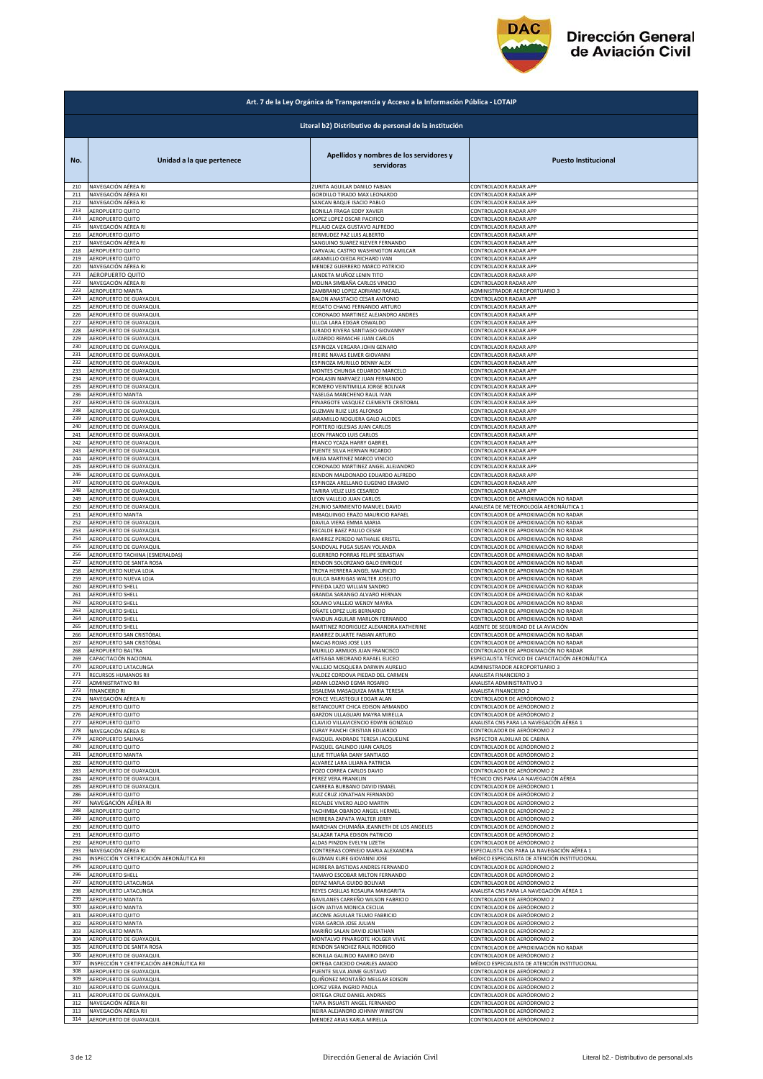

|            | Art. 7 de la Ley Orgánica de Transparencia y Acceso a la Información Pública - LOTAIP |                                                                                       |                                                                                          |  |
|------------|---------------------------------------------------------------------------------------|---------------------------------------------------------------------------------------|------------------------------------------------------------------------------------------|--|
|            | Literal b2) Distributivo de personal de la institución                                |                                                                                       |                                                                                          |  |
| No.<br>210 | Unidad a la que pertenece<br>NAVEGACIÓN AÉREA RI                                      | Apellidos y nombres de los servidores y<br>servidoras<br>ZURITA AGUILAR DANILO FABIAN | <b>Puesto Institucional</b><br>CONTROLADOR RADAR APP                                     |  |
| 211        | NAVEGACIÓN AÉREA RII                                                                  | GORDILLO TIRADO MAX LEONARDO                                                          | CONTROLADOR RADAR APP                                                                    |  |
| 212        | NAVEGACIÓN AÉREA RI                                                                   | SANCAN BAQUE ISACIO PABLO                                                             | CONTROLADOR RADAR APP                                                                    |  |
| 213        | AEROPUERTO QUITO                                                                      | <b>BONILLA FRAGA EDDY XAVIER</b>                                                      | CONTROLADOR RADAR APP                                                                    |  |
| 214        | AEROPUERTO QUITO                                                                      | LOPEZ LOPEZ OSCAR PACIFICO                                                            | CONTROLADOR RADAR APP                                                                    |  |
| 215        | NAVEGACIÓN AÉREA RI                                                                   | PILLAJO CAIZA GUSTAVO ALFREDO                                                         | CONTROLADOR RADAR APP                                                                    |  |
| 216        | AEROPUERTO QUITO                                                                      | BERMUDEZ PAZ LUIS ALBERTO                                                             | CONTROLADOR RADAR APP                                                                    |  |
| 217        | NAVEGACIÓN AÉREA RI                                                                   |                                                                                       | CONTROLADOR RADAR APP                                                                    |  |
| 218        | AEROPUERTO QUITO                                                                      | SANGUINO SUAREZ KLEVER FERNANDO<br>CARVAJAL CASTRO WASHINGTON AMILCAR                 | CONTROLADOR RADAR APP                                                                    |  |
| 219        | AEROPUERTO QUITO                                                                      | <b>JARAMILLO OJEDA RICHARD IVAN</b>                                                   | CONTROLADOR RADAR APP                                                                    |  |
| 220        | NAVEGACIÓN AÉREA RI                                                                   | MENDEZ GUERRERO MARCO PATRICIO                                                        | CONTROLADOR RADAR APP                                                                    |  |
| 221<br>222 | AEROPUERTO QUITO                                                                      | LANDETA MUÑOZ LENIN TITO                                                              | CONTROLADOR RADAR APP                                                                    |  |
| 223        | NAVEGACIÓN AÉREA RI                                                                   | MOLINA SIMBAÑA CARLOS VINICIO                                                         | CONTROLADOR RADAR APP                                                                    |  |
|            | AEROPUERTO MANTA                                                                      | ZAMBRANO LOPEZ ADRIANO RAFAEL                                                         | ADMINISTRADOR AEROPORTUARIO 3                                                            |  |
| 224        | AEROPUERTO DE GUAYAQUIL                                                               | BALON ANASTACIO CESAR ANTONIO                                                         | CONTROLADOR RADAR APP                                                                    |  |
| 225        | AEROPUERTO DE GUAYAQUIL                                                               | REGATO CHANG FERNANDO ARTURO                                                          | CONTROLADOR RADAR APP                                                                    |  |
| 226        | AEROPUERTO DE GUAYAQUIL                                                               | CORONADO MARTINEZ ALEJANDRO ANDRES                                                    | CONTROLADOR RADAR APP                                                                    |  |
| 227        | AEROPUERTO DE GUAYAQUIL                                                               | ULLOA LARA EDGAR OSWALDO                                                              | CONTROLADOR RADAR APP                                                                    |  |
| 228        | AEROPUERTO DE GUAYAQUIL                                                               | JURADO RIVERA SANTIAGO GIOVANNY                                                       | CONTROLADOR RADAR APP                                                                    |  |
| 229        | AEROPUERTO DE GUAYAQUIL                                                               | LUZARDO REMACHE JUAN CARLOS                                                           | CONTROLADOR RADAR APP                                                                    |  |
| 230        | AEROPUERTO DE GUAYAQUIL                                                               | ESPINOZA VERGARA JOHN GENARO                                                          | CONTROLADOR RADAR APP                                                                    |  |
| 231        | AEROPUERTO DE GUAYAQUIL                                                               | FREIRE NAVAS ELMER GIOVANNI                                                           | CONTROLADOR RADAR APP                                                                    |  |
| 232        | AEROPUERTO DE GUAYAQUIL                                                               | ESPINOZA MURILLO DENNY ALEX                                                           | CONTROLADOR RADAR APP                                                                    |  |
| 233        | AEROPUERTO DE GUAYAQUIL                                                               | MONTES CHUNGA EDUARDO MARCELO                                                         | CONTROLADOR RADAR APP                                                                    |  |
| 234        | AEROPUERTO DE GUAYAQUIL                                                               | POALASIN NARVAEZ JUAN FERNANDO                                                        | CONTROLADOR RADAR APP                                                                    |  |
| 235        | AEROPUERTO DE GUAYAQUIL                                                               | ROMERO VEINTIMILLA JORGE BOLIVAR                                                      | CONTROLADOR RADAR APP                                                                    |  |
| 236        | AEROPUERTO MANTA                                                                      | YASELGA MANCHENO RAUL IVAN                                                            | CONTROLADOR RADAR APP                                                                    |  |
| 237        | AEROPUERTO DE GUAYAQUIL                                                               | PINARGOTE VASQUEZ CLEMENTE CRISTOBAL                                                  | CONTROLADOR RADAR APP                                                                    |  |
| 238        | AEROPUERTO DE GUAYAQUIL                                                               | <b>GUZMAN RUIZ LUIS ALFONSO</b>                                                       | CONTROLADOR RADAR APP                                                                    |  |
| 239        | AEROPUERTO DE GUAYAQUII                                                               | <b>JARAMILLO NOGUERA GALO ALCIDES</b>                                                 | CONTROLADOR RADAR APP                                                                    |  |
| 240        | AEROPUERTO DE GUAYAQUIL                                                               | PORTERO IGLESIAS JUAN CARLOS                                                          | CONTROLADOR RADAR APP                                                                    |  |
| 241        | AEROPUERTO DE GUAYAQUIL                                                               | LEON FRANCO LUIS CARLOS                                                               | CONTROLADOR RADAR APP                                                                    |  |
| 242        | AEROPUERTO DE GUAYAQUIL                                                               | FRANCO YCAZA HARRY GABRIEL                                                            | CONTROLADOR RADAR APP                                                                    |  |
| 243        | AEROPUERTO DE GUAYAQUIL                                                               | PUENTE SILVA HERNAN RICARDO                                                           | CONTROLADOR RADAR APP                                                                    |  |
| 244        | AEROPUERTO DE GUAYAQUIL                                                               | MEJIA MARTINEZ MARCO VINICIO                                                          | CONTROLADOR RADAR APP                                                                    |  |
| 245        | AEROPUERTO DE GUAYAQUIL                                                               | CORONADO MARTINEZ ANGEL ALEJANDRO<br>RENDON MALDONADO EDUARDO ALFREDO                 | CONTROLADOR RADAR APP                                                                    |  |
| 246        | AEROPUERTO DE GUAYAQUIL                                                               | ESPINOZA ARELLANO EUGENIO ERASMO                                                      | CONTROLADOR RADAR APP                                                                    |  |
| 247        | AEROPUERTO DE GUAYAQUIL                                                               |                                                                                       | CONTROLADOR RADAR APP                                                                    |  |
| 248        | AEROPUERTO DE GUAYAQUIL                                                               | TARIRA VELIZ LUIS CESAREO                                                             | CONTROLADOR RADAR APP                                                                    |  |
| 249        | AEROPUERTO DE GUAYAQUIL                                                               | LEON VALLEJO JUAN CARLOS                                                              | CONTROLADOR DE APROXIMACIÓN NO RADAR                                                     |  |
| 250        | AEROPUERTO DE GUAYAQUIL                                                               | ZHUNIO SARMIENTO MANUEL DAVID                                                         | ANALISTA DE METEOROLOGÍA AERONÁUTICA 1                                                   |  |
| 251        | AEROPUERTO MANTA                                                                      | IMBAQUINGO ERAZO MAURICIO RAFAEL                                                      | CONTROLADOR DE APROXIMACIÓN NO RADAR                                                     |  |
| 252        | AEROPUERTO DE GUAYAQUIL                                                               | DAVILA VIERA EMMA MARIA                                                               | CONTROLADOR DE APROXIMACIÓN NO RADAR                                                     |  |
| 253        | AEROPUERTO DE GUAYAQUIL                                                               | RECALDE BAEZ PAULO CESAR                                                              | CONTROLADOR DE APROXIMACIÓN NO RADAR                                                     |  |
| 254        | AEROPUERTO DE GUAYAQUIL                                                               | RAMIREZ PEREDO NATHALIE KRISTEL                                                       | CONTROLADOR DE APROXIMACIÓN NO RADAR                                                     |  |
| 255        | AEROPUERTO DE GUAYAQUIL                                                               | SANDOVAL PUGA SUSAN YOLANDA                                                           | CONTROLADOR DE APROXIMACIÓN NO RADAR                                                     |  |
| 256        | AEROPUERTO TACHINA (ESMERALDAS)                                                       | GUERRERO PORRAS FELIPE SEBASTIAN                                                      | CONTROLADOR DE APROXIMACIÓN NO RADAR                                                     |  |
| 257        | AEROPUERTO DE SANTA ROSA                                                              | RENDON SOLORZANO GALO ENRIQUE                                                         | CONTROLADOR DE APROXIMACIÓN NO RADAR                                                     |  |
| 258        | AEROPUERTO NUEVA LOJA                                                                 | TROYA HERRERA ANGEL MAURICIO                                                          | CONTROLADOR DE APROXIMACIÓN NO RADAR                                                     |  |
| 259        | AEROPUERTO NUEVA LOJA                                                                 | GUILCA BARRIGAS WALTER JOSELITO                                                       | CONTROLADOR DE APROXIMACIÓN NO RADAR                                                     |  |
| 260        | AEROPUERTO SHELL                                                                      | PINEIDA LAZO WILLIAN SANDRO                                                           | CONTROLADOR DE APROXIMACIÓN NO RADAR                                                     |  |
| 261        | AEROPUERTO SHELL                                                                      | GRANDA SARANGO ALVARO HERNAN                                                          | CONTROLADOR DE APROXIMACIÓN NO RADAR                                                     |  |
| 262        | AEROPUERTO SHELL                                                                      | SOLANO VALLEJO WENDY MAYRA                                                            | CONTROLADOR DE APROXIMACIÓN NO RADAR                                                     |  |
| 263        | <b>AEROPUERTO SHELL</b>                                                               | OÑATE LOPEZ LUIS BERNARDO                                                             | CONTROLADOR DE APROXIMACIÓN NO RADAR                                                     |  |
| 264        | AEROPUERTO SHELL                                                                      | YANDUN AGUILAR MARLON FERNANDO                                                        | CONTROLADOR DE APROXIMACIÓN NO RADAR                                                     |  |
| 265        | AEROPUERTO SHELL                                                                      | MARTINEZ RODRIGUEZ ALEXANDRA KATHERINE                                                | AGENTE DE SEGURIDAD DE LA AVIACIÓN                                                       |  |
| 266        | AEROPUERTO SAN CRISTÓBAL                                                              | RAMIREZ DUARTE FABIAN ARTURO                                                          | CONTROLADOR DE APROXIMACIÓN NO RADAR                                                     |  |
| 267        | AEROPUERTO SAN CRISTÓBAL                                                              | MACIAS ROJAS JOSE LUIS                                                                | CONTROLADOR DE APROXIMACIÓN NO RADAR                                                     |  |
| 268        | AEROPUERTO BALTRA<br>CAPACITACIÓN NACIONAL                                            | MURILLO ARMIJOS JUAN FRANCISCO                                                        | CONTROLADOR DE APROXIMACIÓN NO RADAR<br>ESPECIALISTA TÉCNICO DE CAPACITACIÓN AERONÁUTICA |  |
| 269<br>270 | AEROPUERTO LATACUNGA                                                                  | ARTEAGA MEDRANO RAFAEL ELICEO<br>VALLEJO MOSQUERA DARWIN AURELIO                      | ADMINISTRADOR AEROPORTUARIO 3                                                            |  |
| 271        | RECURSOS HUMANOS RII                                                                  | VALDEZ CORDOVA PIEDAD DEL CARMEN                                                      | ANALISTA FINANCIERO 3                                                                    |  |
| 272        | ADMINISTRATIVO RII                                                                    | JADAN LOZANO EGMA ROSARIO                                                             | ANALISTA ADMINISTRATIVO 3                                                                |  |
| 273        | <b>FINANCIERO RI</b>                                                                  | SISALEMA MASAQUIZA MARIA TERESA                                                       | ANALISTA FINANCIERO 2                                                                    |  |
| 274        | NAVEGACIÓN AÉREA RI                                                                   | PONCE VELASTEGUI EDGAR ALAN                                                           | CONTROLADOR DE AERÓDROMO 2                                                               |  |
| 275        | AEROPUERTO QUITO                                                                      | BETANCOURT CHICA EDISON ARMANDO                                                       | CONTROLADOR DE AERÓDROMO 2                                                               |  |
| 276        | AEROPUERTO QUITO                                                                      | GARZON ULLAGUARI MAYRA MIRELLA                                                        | CONTROLADOR DE AERÓDROMO 2                                                               |  |
| 277<br>278 | AEROPUERTO QUITO                                                                      | CLAVIJO VILLAVICENCIO EDWIN GONZALO                                                   | ANALISTA CNS PARA LA NAVEGACIÓN AÉREA 1                                                  |  |
| 279        | NAVEGACIÓN AÉREA RI                                                                   | CURAY PANCHI CRISTIAN EDUARDO                                                         | CONTROLADOR DE AERÓDROMO 2                                                               |  |
|            | AEROPUERTO SALINAS                                                                    | PASQUEL ANDRADE TERESA JACQUELINE                                                     | INSPECTOR AUXILIAR DE CABINA                                                             |  |
| 280        | AEROPUERTO QUITO                                                                      | PASQUEL GALINDO JUAN CARLOS                                                           | CONTROLADOR DE AERÓDROMO 2                                                               |  |
| 281        | AEROPUERTO MANTA                                                                      | LLIVE TITUAÑA DANY SANTIAGO                                                           | CONTROLADOR DE AERÓDROMO 2                                                               |  |
| 282        | AEROPUERTO QUITO                                                                      | ALVAREZ LARA LILIANA PATRICIA                                                         | CONTROLADOR DE AERÓDROMO 2                                                               |  |
| 283        | AEROPUERTO DE GUAYAQUIL                                                               | POZO CORREA CARLOS DAVID                                                              | CONTROLADOR DE AERÓDROMO 2                                                               |  |
| 284        | AEROPUERTO DE GUAYAQUIL                                                               | PEREZ VERA FRANKLIN                                                                   | TÉCNICO CNS PARA LA NAVEGACIÓN AÉREA                                                     |  |
| 285        | AEROPUERTO DE GUAYAQUIL                                                               | CARRERA BURBANO DAVID ISMAEL                                                          | CONTROLADOR DE AERÓDROMO 1                                                               |  |
| 286        | AEROPUERTO QUITO                                                                      | RUIZ CRUZ JONATHAN FERNANDO                                                           | CONTROLADOR DE AERÓDROMO 2                                                               |  |
| 287        | NAVEGACIÓN AÉREA RI                                                                   | RECALDE VIVERO ALDO MARTIN                                                            | CONTROLADOR DE AERÓDROMO 2                                                               |  |
| 288        | AEROPUERTO QUITO                                                                      | YACHIMBA OBANDO ANGEL HERMEL                                                          | CONTROLADOR DE AERÓDROMO 2                                                               |  |
| 289        | AEROPUERTO QUITO                                                                      | HERRERA ZAPATA WALTER JERRY                                                           | CONTROLADOR DE AERÓDROMO 2                                                               |  |
| 290        | AEROPUERTO QUITO                                                                      | MARCHAN CHUMAÑA JEANNETH DE LOS ANGELES                                               | CONTROLADOR DE AERÓDROMO 2                                                               |  |
| 291        | AEROPUERTO QUITO                                                                      | SALAZAR TAPIA EDISON PATRICIO                                                         | CONTROLADOR DE AERÓDROMO 2                                                               |  |
| 292        | AEROPUERTO QUITO                                                                      | ALDAS PINZON EVELYN LIZETH                                                            | CONTROLADOR DE AERÓDROMO 2                                                               |  |
| 293        | NAVEGACIÓN AÉREA RI                                                                   | CONTRERAS CORNEJO MARIA ALEXANDRA                                                     | ESPECIALISTA CNS PARA LA NAVEGACIÓN AÉREA 1                                              |  |
| 294        | INSPECCIÓN Y CERTIFICACIÓN AERONÁUTICA RII                                            | GUZMAN KURE GIOVANNI JOSE                                                             | MÉDICO ESPECIALISTA DE ATENCIÓN INSTITUCIONAL                                            |  |
| 295        | AEROPUERTO QUITO                                                                      | HERRERA BASTIDAS ANDRES FERNANDO                                                      | CONTROLADOR DE AERÓDROMO 2                                                               |  |
| 296        | AEROPUERTO SHELL                                                                      | TAMAYO ESCOBAR MILTON FERNANDO                                                        | CONTROLADOR DE AERÓDROMO 2                                                               |  |
| 297        | AEROPUERTO LATACUNGA                                                                  | DEFAZ MAFLA GUIDO BOLIVAR                                                             | CONTROLADOR DE AERÓDROMO 2                                                               |  |
| 298        | AEROPUERTO LATACUNGA                                                                  | REYES CASILLAS ROSAURA MARGARITA                                                      | ANALISTA CNS PARA LA NAVEGACIÓN AÉREA 1                                                  |  |
| 299        | AEROPUERTO MANTA                                                                      | GAVILANES CARREÑO WILSON FABRICIO                                                     | CONTROLADOR DE AERÓDROMO 2                                                               |  |
| 300        | AEROPUERTO MANTA                                                                      | LEON JATIVA MONICA CECILIA                                                            | CONTROLADOR DE AERÓDROMO 2                                                               |  |
| 301        | AEROPUERTO QUITO                                                                      | JACOME AGUILAR TELMO FABRICIO                                                         | CONTROLADOR DE AERÓDROMO 2                                                               |  |
| 302        | AEROPUERTO MANTA                                                                      | VERA GARCIA JOSE JULIAN                                                               | CONTROLADOR DE AERÓDROMO 2                                                               |  |
| 303        | AEROPUERTO MANTA                                                                      | MARIÑO SALAN DAVID JONATHAN                                                           | CONTROLADOR DE AERÓDROMO 2                                                               |  |
| 304        | AEROPUERTO DE GUAYAQUIL                                                               | MONTALVO PINARGOTE HOLGER VIVIE                                                       | CONTROLADOR DE AERÓDROMO 2                                                               |  |
| 305        | AEROPUERTO DE SANTA ROSA                                                              | RENDON SANCHEZ RAUL RODRIGO                                                           | CONTROLADOR DE APROXIMACIÓN NO RADAR                                                     |  |
| 306        | AEROPUERTO DE GUAYAQUIL                                                               | BONILLA GALINDO RAMIRO DAVID                                                          | CONTROLADOR DE AERÓDROMO 2                                                               |  |
| 307        | INSPECCIÓN Y CERTIFICACIÓN AERONÁUTICA RII                                            | ORTEGA CAICEDO CHARLES AMADO                                                          | MÉDICO ESPECIALISTA DE ATENCIÓN INSTITUCIONAL                                            |  |
| 308        | AEROPUERTO DE GUAYAQUIL                                                               | PUENTE SILVA JAIME GUSTAVO                                                            | CONTROLADOR DE AERÓDROMO 2                                                               |  |
| 309        | AEROPUERTO DE GUAYAQUIL                                                               | QUIÑONEZ MONTAÑO MELGAR EDISON                                                        | CONTROLADOR DE AERÓDROMO 2                                                               |  |
| 310        | AEROPUERTO DE GUAYAQUIL                                                               | LOPEZ VERA INGRID PAOLA                                                               | CONTROLADOR DE AERÓDROMO 2                                                               |  |
| 311        | AEROPUERTO DE GUAYAQUIL                                                               | ORTEGA CRUZ DANIEL ANDRES                                                             | CONTROLADOR DE AERÓDROMO 2                                                               |  |
| 312        | NAVEGACIÓN AÉREA RII                                                                  | TAPIA INSUASTI ANGEL FERNANDO                                                         | CONTROLADOR DE AERÓDROMO 2                                                               |  |
| 313        | NAVEGACIÓN AÉREA RII                                                                  | NEIRA ALEJANDRO JOHNNY WINSTON                                                        | CONTROLADOR DE AERÓDROMO 2                                                               |  |
| 314        | AEROPUERTO DE GUAYAQUIL                                                               | MENDEZ ARIAS KARLA MIRELLA                                                            | CONTROLADOR DE AERÓDROMO 2                                                               |  |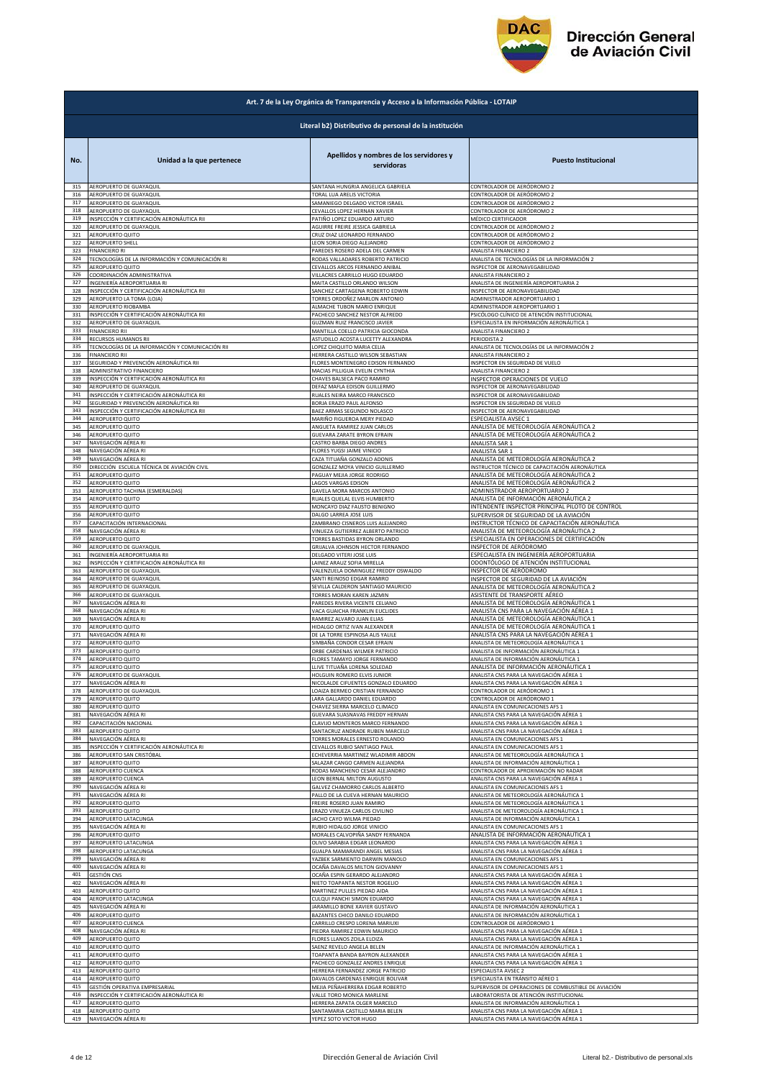

|     | Art. 7 de la Ley Orgánica de Transparencia y Acceso a la Información Pública - LOTAIP |                                                          |                                                                                  |  |
|-----|---------------------------------------------------------------------------------------|----------------------------------------------------------|----------------------------------------------------------------------------------|--|
|     | Literal b2) Distributivo de personal de la institución                                |                                                          |                                                                                  |  |
| No. | Unidad a la que pertenece                                                             | Apellidos y nombres de los servidores y<br>servidoras    | <b>Puesto Institucional</b>                                                      |  |
| 315 | AEROPUERTO DE GUAYAQUIL                                                               | SANTANA HUNGRIA ANGELICA GABRIELA                        | CONTROLADOR DE AERÓDROMO 2                                                       |  |
| 316 | AEROPUERTO DE GUAYAQUIL                                                               | TORAL LUA ARELIS VICTORIA                                | CONTROLADOR DE AERÓDROMO 2                                                       |  |
| 317 | AEROPUERTO DE GUAYAQUIL                                                               | SAMANIEGO DELGADO VICTOR ISRAEL                          | CONTROLADOR DE AERÓDROMO 2                                                       |  |
| 318 | AEROPUERTO DE GUAYAQUIL                                                               | CEVALLOS LOPEZ HERNAN XAVIER                             | CONTROLADOR DE AERÓDROMO 2                                                       |  |
| 319 | INSPECCIÓN Y CERTIFICACIÓN AERONÁUTICA RII                                            | PATIÑO LOPEZ EDUARDO ARTURO                              | MÉDICO CERTIFICADOR                                                              |  |
| 320 | AEROPUERTO DE GUAYAQUIL                                                               | AGUIRRE FREIRE JESSICA GABRIELA                          | CONTROLADOR DE AERÓDROMO 2                                                       |  |
| 321 | AEROPUERTO QUITO                                                                      | CRUZ DIAZ LEONARDO FERNANDO                              | CONTROLADOR DE AERÓDROMO 2                                                       |  |
| 322 | AEROPUERTO SHELL                                                                      | LEON SORIA DIEGO ALEJANDRO                               | CONTROLADOR DE AERÓDROMO 2                                                       |  |
| 323 | <b>FINANCIERO RI</b>                                                                  | PAREDES ROSERO ADELA DEL CARMEN                          | <b>ANALISTA FINANCIERO 2</b>                                                     |  |
| 324 | TECNOLOGÍAS DE LA INFORMACIÓN Y COMUNICACIÓN RI                                       | RODAS VALLADARES ROBERTO PATRICIO                        | ANALISTA DE TECNOLOGÍAS DE LA INFORMACIÓN 2                                      |  |
| 325 | AEROPUERTO QUITO                                                                      | CEVALLOS ARCOS FERNANDO ANIBAL                           | <b>INSPECTOR DE AERONAVEGABILIDAD</b>                                            |  |
| 326 | COORDINACIÓN ADMINISTRATIVA                                                           | VILLACRES CARRILLO HUGO EDUARDO                          | ANALISTA FINANCIERO 2                                                            |  |
| 327 | INGENIERÍA AEROPORTUARIA RI                                                           | MAITA CASTILLO ORLANDO WILSON                            | ANALISTA DE INGENIERÍA AEROPORTUARIA 2                                           |  |
| 328 | INSPECCIÓN Y CERTIFICACIÓN AERONÁUTICA RII                                            | SANCHEZ CARTAGENA ROBERTO EDWIN                          | INSPECTOR DE AERONAVEGABILIDAD                                                   |  |
| 329 | AEROPUERTO LA TOMA (LOJA)                                                             | TORRES ORDOÑEZ MARLON ANTONIO                            | ADMINISTRADOR AEROPORTUARIO 1                                                    |  |
| 330 | AEROPUERTO RIOBAMBA                                                                   | ALMACHE TUBON MARIO ENRIQUE                              | ADMINISTRADOR AEROPORTUARIO 1                                                    |  |
| 331 | INSPECCIÓN Y CERTIFICACIÓN AERONÁUTICA RII                                            | PACHECO SANCHEZ NESTOR ALFREDO                           | SICÓLOGO CLÍNICO DE ATENCIÓN INSTITUCIONAL                                       |  |
| 332 | AEROPUERTO DE GUAYAQUIL                                                               | GUZMAN RUIZ FRANCISCO JAVIER                             | ESPECIALISTA EN INFORMACIÓN AERONÁUTICA 1                                        |  |
| 333 | <b>FINANCIERO RII</b>                                                                 | MANTILLA COELLO PATRICIA GIOCONDA                        | ANALISTA FINANCIERO 2                                                            |  |
| 334 | RECURSOS HUMANOS RII                                                                  | ASTUDILLO ACOSTA LUCETTY ALEXANDRA                       | PERIODISTA 2                                                                     |  |
| 335 | TECNOLOGÍAS DE LA INFORMACIÓN Y COMUNICACIÓN RII                                      | LOPEZ CHIQUITO MARIA CELIA                               | ANALISTA DE TECNOLOGÍAS DE LA INFORMACIÓN 2                                      |  |
| 336 | <b>FINANCIERO RII</b>                                                                 | HERRERA CASTILLO WILSON SEBASTIAN                        | ANALISTA FINANCIERO 2                                                            |  |
| 337 | SEGURIDAD Y PREVENCIÓN AERONÁUTICA RII                                                | FLORES MONTENEGRO EDISON FERNANDO                        | INSPECTOR EN SEGURIDAD DE VUELO                                                  |  |
| 338 | ADMINISTRATIVO FINANCIERO                                                             | MACIAS PILLIGUA EVELIN CYNTHIA                           | ANALISTA FINANCIERO 2                                                            |  |
| 339 | INSPECCIÓN Y CERTIFICACIÓN AERONÁUTICA RII                                            | CHAVES BALSECA PACO RAMIRO                               | INSPECTOR OPERACIONES DE VUELO                                                   |  |
| 340 | AEROPUERTO DE GUAYAQUIL                                                               | DEFAZ MAFLA EDISON GUILLERMO                             | INSPECTOR DE AERONAVEGABILIDAD                                                   |  |
| 341 | INSPECCIÓN Y CERTIFICACIÓN AERONÁUTICA RII                                            | RUALES NEIRA MARCO FRANCISCO                             | INSPECTOR DE AERONAVEGABILIDAD                                                   |  |
| 342 | SEGURIDAD Y PREVENCIÓN AERONÁUTICA RII                                                | BORJA ERAZO PAUL ALFONSO                                 | INSPECTOR EN SEGURIDAD DE VUELO                                                  |  |
| 343 | INSPECCIÓN Y CERTIFICACIÓN AERONÁUTICA RII                                            | BAEZ ARMAS SEGUNDO NOLASCO                               | INSPECTOR DE AERONAVEGABILIDAD                                                   |  |
| 344 | AEROPUERTO QUITO                                                                      | MARIÑO FIGUEROA MERY PIEDAD                              | ESPECIALISTA AVSEC 1                                                             |  |
| 345 | AEROPUERTO QUITO                                                                      | ANGUETA RAMIREZ JUAN CARLOS                              | ANALISTA DE METEOROLOGÍA AERONÁUTICA 2                                           |  |
| 346 | AEROPUERTO QUITO                                                                      | GUEVARA ZARATE BYRON EFRAIN<br>CASTRO BARBA DIEGO ANDRES | ANALISTA DE METEOROLOGÍA AERONÁUTICA 2                                           |  |
| 347 | NAVEGACIÓN AÉREA RI                                                                   | FLORES YUGSI JAIME VINICIO                               | ANALISTA SAR 1                                                                   |  |
| 348 | NAVEGACIÓN AÉREA RI                                                                   |                                                          | ANALISTA SAR 1                                                                   |  |
| 349 | NAVEGACIÓN AÉREA RI                                                                   | CAZA TITUAÑA GONZALO ADONIS                              | ANALISTA DE METEOROLOGÍA AERONÁUTICA 2                                           |  |
| 350 | DIRECCIÓN ESCUELA TÉCNICA DE AVIACIÓN CIVIL                                           | GONZALEZ MOYA VINICIO GUILLERMO                          | INSTRUCTOR TÉCNICO DE CAPACITACIÓN AERONÁUTICA                                   |  |
| 351 | AEROPUERTO QUITO                                                                      | PAGUAY MEJIA JORGE RODRIGO                               | ANALISTA DE METEOROLOGÍA AERONÁUTICA 2                                           |  |
| 352 | AEROPUERTO QUITO                                                                      | <b>LAGOS VARGAS EDISON</b>                               | ANALISTA DE METEOROLOGÍA AERONÁUTICA 2                                           |  |
| 353 | AEROPUERTO TACHINA (ESMERALDAS)                                                       | GAVELA MORA MARCOS ANTONIO                               | ADMINISTRADOR AEROPORTUARIO 2                                                    |  |
| 354 | AEROPUERTO QUITO                                                                      | RUALES QUELAL ELVIS HUMBERTO                             | ANALISTA DE INFORMACIÓN AERONÁUTICA 2                                            |  |
| 355 | AEROPUERTO QUITO                                                                      | MONCAYO DIAZ FAUSTO BENIGNO                              | INTENDENTE INSPECTOR PRINCIPAL PILOTO DE CONTROL                                 |  |
| 356 | AEROPUERTO QUITO                                                                      | DALGO LARREA JOSE LUIS                                   | SUPERVISOR DE SEGURIDAD DE LA AVIACIÓN                                           |  |
| 357 | CAPACITACIÓN INTERNACIONAL                                                            | ZAMBRANO CISNEROS LUIS ALEJANDRO                         | INSTRUCTOR TÉCNICO DE CAPACITACIÓN AERONÁUTICA                                   |  |
| 358 | NAVEGACIÓN AÉREA RI                                                                   | VINUEZA GUTIERREZ ALBERTO PATRICIO                       | ANALISTA DE METEOROLOGÍA AERONÁUTICA 2                                           |  |
| 359 | AEROPUERTO QUITO                                                                      | TORRES BASTIDAS BYRON ORLANDO                            | ESPECIALISTA EN OPERACIONES DE CERTIFICACIÓN                                     |  |
| 360 | AEROPUERTO DE GUAYAQUIL                                                               | GRIJALVA JOHNSON HECTOR FERNANDO                         | INSPECTOR DE AERÓDROMO                                                           |  |
| 361 | INGENIERÍA AEROPORTUARIA RII                                                          | DELGADO VITERI JOSE LUIS                                 | ESPECIALISTA EN INGENIERÍA AEROPORTUARIA                                         |  |
| 362 | INSPECCIÓN Y CERTIFICACIÓN AERONÁUTICA RII                                            | LAINEZ ARAUZ SOFIA MIRELLA                               | ODONTÓLOGO DE ATENCIÓN INSTITUCIONAL                                             |  |
| 363 | AEROPUERTO DE GUAYAQUIL                                                               | VALENZUELA DOMINGUEZ FREDDY OSWALDO                      | INSPECTOR DE AERÓDROMO                                                           |  |
| 364 | AEROPUERTO DE GUAYAQUIL                                                               | SANTI REINOSO EDGAR RAMIRO                               | INSPECTOR DE SEGURIDAD DE LA AVIACIÓN                                            |  |
| 365 | AEROPUERTO DE GUAYAQUIL                                                               | SEVILLA CALDERON SANTIAGO MAURICIO                       | ANALISTA DE METEOROLOGÍA AERONÁUTICA 2                                           |  |
| 366 | AEROPUERTO DE GUAYAQUIL                                                               | TORRES MORAN KAREN JAZMIN                                | ASISTENTE DE TRANSPORTE AÉREO                                                    |  |
| 367 | NAVEGACIÓN AÉREA RI                                                                   | PAREDES RIVERA VICENTE CELIANO                           | ANALISTA DE METEOROLOGÍA AERONÁUTICA 1                                           |  |
| 368 | NAVEGACIÓN AÉREA RI                                                                   | VACA GUAICHA FRANKLIN EUCLIDES                           | ANALISTA CNS PARA LA NAVEGACIÓN AÉREA 1                                          |  |
| 369 | NAVEGACIÓN AÉREA RI                                                                   | RAMIREZ ALVARO JUAN ELIAS                                |                                                                                  |  |
| 370 | AEROPUERTO QUITO                                                                      | HIDALGO ORTIZ IVAN ALEXANDER                             | ANALISTA DE METEOROLOGÍA AERONÁUTICA 1<br>ANALISTA DE METEOROLOGÍA AERONÁUTICA 1 |  |
| 371 | NAVEGACIÓN AÉREA RI                                                                   | DE LA TORRE ESPINOSA ALIS YALILE                         | ANALISTA CNS PARA LA NAVEGACIÓN AÉREA 1                                          |  |
| 372 | AEROPUERTO QUITO                                                                      | SIMBAÑA CONDOR CESAR EFRAIN                              | ANALISTA DE METEOROLOGÍA AERONÁUTICA 1                                           |  |
| 373 | AEROPUERTO QUITO                                                                      | ORBE CARDENAS WILMER PATRICIO                            | ANALISTA DE INFORMACIÓN AERONÁUTICA 1                                            |  |
| 374 | AEROPUERTO QUITO                                                                      | FLORES TAMAYO JORGE FERNANDO                             | ANALISTA DE INFORMACIÓN AERONÁUTICA 1                                            |  |
| 375 | AFROPUFRTO OUITO                                                                      | LUVE TITUAÑA LORENA SOLEDAD                              | ANALISTA DE INFORMACIÓN AFRONÁLITICA                                             |  |
| 376 | AEROPUERTO DE GUAYAQUII                                                               | <b>HOLGUIN ROMERO ELVIS JUNIOR</b>                       | ANALISTA CNS PARA LA NAVEGACIÓN AÉREA :                                          |  |
| 377 | NAVEGACIÓN AÉREA RI                                                                   | NICOLALDE CIFUENTES GONZALO EDUARDO                      | ANALISTA CNS PARA LA NAVEGACIÓN AÉREA 1                                          |  |
| 378 | AEROPUERTO DE GUAYAQUIL                                                               | LOAIZA BERMEO CRISTIAN FERNANDO                          | CONTROLADOR DE AERÓDROMO 1                                                       |  |
| 379 | AEROPUERTO QUITO                                                                      | LARA GALLARDO DANIEL EDUARDO                             | CONTROLADOR DE AERÓDROMO 1                                                       |  |
| 380 | AEROPUERTO QUITO                                                                      | CHAVEZ SIERRA MARCELO CLIMACO                            | ANALISTA EN COMUNICACIONES AFS 1                                                 |  |
| 381 | NAVEGACIÓN AÉREA RI                                                                   | GUEVARA SUASNAVAS FREDDY HERNAN                          | ANALISTA CNS PARA LA NAVEGACIÓN AÉREA 1                                          |  |
| 382 | CAPACITACIÓN NACIONAL                                                                 | CLAVIJO MONTEROS MARCO FERNANDO                          | ANALISTA CNS PARA LA NAVEGACIÓN AÉREA 1                                          |  |
| 383 | AEROPUERTO QUITO                                                                      | SANTACRUZ ANDRADE RUBEN MARCELO                          | ANALISTA CNS PARA LA NAVEGACIÓN AÉREA 1                                          |  |
| 384 | NAVEGACIÓN AÉREA RI                                                                   | TORRES MORALES ERNESTO ROLANDO                           | ANALISTA EN COMUNICACIONES AFS 1                                                 |  |
| 385 | INSPECCIÓN Y CERTIFICACIÓN AERONÁUTICA RI                                             | CEVALLOS RUBIO SANTIAGO PAUL                             | ANALISTA EN COMUNICACIONES AFS 1                                                 |  |
| 386 | AEROPUERTO SAN CRISTÓBAL                                                              | ECHEVERRIA MARTINEZ WLADIMIR ABDON                       | ANALISTA DE METEOROLOGÍA AERONÁUTICA 1                                           |  |
| 387 | AEROPUERTO QUITO                                                                      | SALAZAR CANGO CARMEN ALEJANDRA                           | ANALISTA DE INFORMACIÓN AERONÁUTICA 1                                            |  |
| 388 | AEROPUERTO CUENCA                                                                     | RODAS MANCHENO CESAR ALEJANDRO                           | CONTROLADOR DE APROXIMACIÓN NO RADAR                                             |  |
| 389 | AEROPUERTO CUENCA                                                                     | LEON BERNAL MILTON AUGUSTO                               | ANALISTA CNS PARA LA NAVEGACIÓN AÉREA 1                                          |  |
| 390 | NAVEGACIÓN AÉREA RI                                                                   | GALVEZ CHAMORRO CARLOS ALBERTO                           | ANALISTA EN COMUNICACIONES AFS 1                                                 |  |
| 391 | NAVEGACIÓN AÉREA RI                                                                   | PALLO DE LA CUEVA HERNAN MAURICIO                        | ANALISTA DE METEOROLOGÍA AERONÁUTICA 1                                           |  |
| 392 | AEROPUERTO QUITO                                                                      | FREIRE ROSERO JUAN RAMIRO                                | ANALISTA DE METEOROLOGÍA AERONÁUTICA 1                                           |  |
| 393 | AEROPUERTO QUITO                                                                      | ERAZO VINUEZA CARLOS CIVILINO                            | ANALISTA DE METEOROLOGÍA AERONÁUTICA 1                                           |  |
| 394 | AEROPUERTO LATACUNGA                                                                  | JACHO CAYO WILMA PIEDAD                                  | ANALISTA DE INFORMACIÓN AERONÁUTICA 1                                            |  |
| 395 | NAVEGACIÓN AÉREA RI                                                                   | RUBIO HIDALGO JORGE VINICIO                              | ANALISTA EN COMUNICACIONES AFS 1                                                 |  |
| 396 | AEROPUERTO QUITO                                                                      | MORALES CALVOPIÑA SANDY FERNANDA                         | ANALISTA DE INFORMACIÓN AERONÁUTICA 1                                            |  |
| 397 | AEROPUERTO LATACUNGA                                                                  | OLIVO SARABIA EDGAR LEONARDO                             | ANALISTA CNS PARA LA NAVEGACIÓN AÉREA 1                                          |  |
| 398 | AEROPUERTO LATACUNGA                                                                  | GUALPA MAMARANDI ANGEL MESIAS                            | ANALISTA CNS PARA LA NAVEGACIÓN AÉREA 1                                          |  |
| 399 | NAVEGACIÓN AÉREA RI                                                                   | YAZBEK SARMIENTO DARWIN MANOLO                           | ANALISTA EN COMUNICACIONES AFS 1                                                 |  |
| 400 | NAVEGACIÓN AÉREA RI                                                                   | OCAÑA DAVALOS MILTON GIOVANNY                            | ANALISTA EN COMUNICACIONES AFS 1                                                 |  |
| 401 | <b>GESTIÓN CNS</b>                                                                    | OCAÑA ESPIN GERARDO ALEJANDRO                            | ANALISTA CNS PARA LA NAVEGACIÓN AÉREA 1                                          |  |
| 402 | NAVEGACIÓN AÉREA RI                                                                   | NIETO TOAPANTA NESTOR ROGELIO                            | ANALISTA CNS PARA LA NAVEGACIÓN AÉREA 1                                          |  |
| 403 | AEROPUERTO QUITO                                                                      | MARTINEZ PULLES PIEDAD AIDA                              | ANALISTA CNS PARA LA NAVEGACIÓN AÉREA 1                                          |  |
| 404 | AEROPUERTO LATACUNGA                                                                  | CULQUI PANCHI SIMON EDUARDO                              | ANALISTA CNS PARA LA NAVEGACIÓN AÉREA 1                                          |  |
| 405 | NAVEGACIÓN AÉREA RI                                                                   | JARAMILLO BONE XAVIER GUSTAVO                            | ANALISTA DE INFORMACIÓN AERONÁUTICA 1                                            |  |
| 406 | AEROPUERTO QUITO                                                                      | BAZANTES CHICO DANILO EDUARDO                            | ANALISTA DE INFORMACIÓN AERONÁUTICA 1                                            |  |
| 407 | AEROPUERTO CUENCA                                                                     | CARRILLO CRESPO LORENA MARIUXI                           | CONTROLADOR DE AERÓDROMO 1                                                       |  |
| 408 | NAVEGACIÓN AÉREA RI                                                                   | PIEDRA RAMIREZ EDWIN MAURICIO                            | ANALISTA CNS PARA LA NAVEGACIÓN AÉREA 1                                          |  |
| 409 | AEROPUERTO QUITO                                                                      | FLORES LLANOS ZOILA ELOIZA                               | ANALISTA CNS PARA LA NAVEGACIÓN AÉREA 1                                          |  |
| 410 | AEROPUERTO QUITO                                                                      | SAENZ REVELO ANGELA BELEN                                | ANALISTA DE INFORMACIÓN AERONÁUTICA 1                                            |  |
| 411 |                                                                                       | TOAPANTA BANDA BAYRON ALEXANDER                          | ANALISTA CNS PARA LA NAVEGACIÓN AÉREA 1                                          |  |
| 412 | AEROPUERTO QUITO<br>AEROPUERTO QUITO                                                  | PACHECO GONZALEZ ANDRES ENRIQUE                          | ANALISTA CNS PARA LA NAVEGACIÓN AÉREA 1                                          |  |
| 413 | AEROPUERTO QUITO                                                                      | HERRERA FERNANDEZ JORGE PATRICIO                         | <b>SPECIALISTA AVSEC 2</b>                                                       |  |
| 414 | AEROPUERTO QUITO                                                                      | DAVALOS CARDENAS ENRIQUE BOLIVAR                         | SPECIALISTA EN TRÁNSITO AÉREO 1                                                  |  |
| 415 | GESTIÓN OPERATIVA EMPRESARIAL                                                         | MEJIA PEÑAHERRERA EDGAR ROBERTO                          | SUPERVISOR DE OPERACIONES DE COMBUSTIBLE DE AVIACIÓN                             |  |
| 416 | INSPECCIÓN Y CERTIFICACIÓN AERONÁUTICA RI                                             | VALLE TORO MONICA MARLENE                                | LABORATORISTA DE ATENCIÓN INSTITUCIONAI                                          |  |
| 417 | AEROPUERTO QUITO                                                                      | HERRERA ZAPATA OLGER MARCELO                             | ANALISTA DE INFORMACIÓN AERONÁUTICA 1                                            |  |
| 418 | AEROPUERTO QUITO                                                                      | SANTAMARIA CASTILLO MARIA BELEN                          | ANALISTA CNS PARA LA NAVEGACIÓN AÉREA 1                                          |  |
| 419 | NAVEGACIÓN AÉREA RI                                                                   | YEPEZ SOTO VICTOR HUGO                                   | ANALISTA CNS PARA LA NAVEGACIÓN AÉREA 1                                          |  |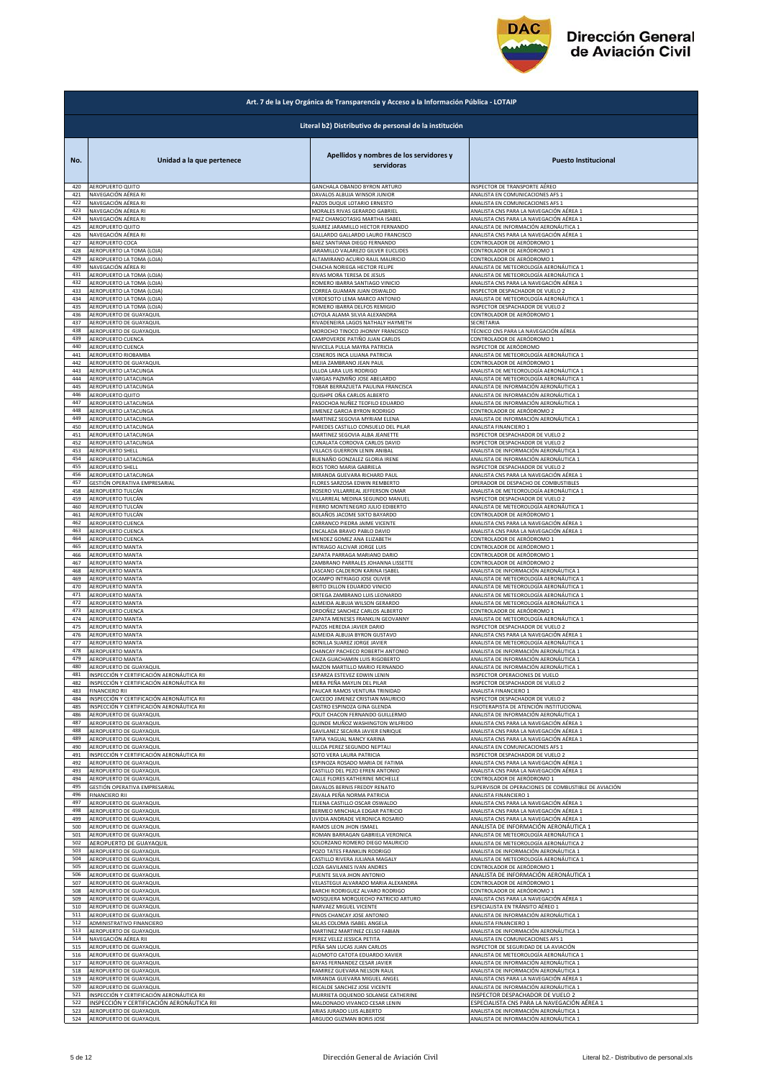

|            | Art. 7 de la Ley Orgánica de Transparencia y Acceso a la Información Pública - LOTAIP |                                                       |                                                      |  |
|------------|---------------------------------------------------------------------------------------|-------------------------------------------------------|------------------------------------------------------|--|
|            | Literal b2) Distributivo de personal de la institución                                |                                                       |                                                      |  |
| No.        | Unidad a la que pertenece                                                             | Apellidos y nombres de los servidores y<br>servidoras | <b>Puesto Institucional</b>                          |  |
| 420        | <b>AEROPUERTO QUITO</b>                                                               | GANCHALA OBANDO BYRON ARTURO                          | INSPECTOR DE TRANSPORTE AÉREO                        |  |
| 421        | NAVEGACIÓN AÉREA RI                                                                   | DAVALOS ALBUJA WINSOR JUNIOR                          | ANALISTA EN COMUNICACIONES AFS 1                     |  |
| 422        | NAVEGACIÓN AÉREA RI                                                                   | PAZOS DUQUE LOTARIO ERNESTO                           | ANALISTA EN COMUNICACIONES AFS 1                     |  |
| 423        | NAVEGACIÓN AÉREA RI                                                                   | MORALES RIVAS GERARDO GABRIEL                         | ANALISTA CNS PARA LA NAVEGACIÓN AÉREA 1              |  |
| 424        | NAVEGACIÓN AÉREA RI                                                                   | PAEZ CHANGOTASIG MARTHA ISABEL                        | ANALISTA CNS PARA LA NAVEGACIÓN AÉREA 1              |  |
| 425        | AEROPUERTO QUITO                                                                      | SUAREZ JARAMILLO HECTOR FERNANDO                      | ANALISTA DE INFORMACIÓN AERONÁUTICA 1                |  |
| 426        | NAVEGACIÓN AÉREA RI                                                                   | GALLARDO GALLARDO LAURO FRANCISCO                     | ANALISTA CNS PARA LA NAVEGACIÓN AÉREA 1              |  |
| 427        | AEROPUERTO COCA                                                                       | BAEZ SANTIANA DIEGO FERNANDO                          | CONTROLADOR DE AERÓDROMO 1                           |  |
| 428        | AEROPUERTO LA TOMA (LOJA)                                                             | JARAMILLO VALAREZO GILVER EUCLIDES                    | CONTROLADOR DE AERÓDROMO 1                           |  |
| 429        | AEROPUERTO LA TOMA (LOJA)                                                             | ALTAMIRANO ACURIO RAUL MAURICIO                       | CONTROLADOR DE AERÓDROMO 1                           |  |
| 430        | NAVEGACIÓN AÉREA RI                                                                   | CHACHA NORIEGA HECTOR FELIPE                          | ANALISTA DE METEOROLOGÍA AERONÁUTICA 1               |  |
| 431        | AEROPUERTO LA TOMA (LOJA)                                                             | RIVAS MORA TERESA DE JESUS                            | ANALISTA DE METEOROLOGÍA AERONÁUTICA 1               |  |
| 432        | AEROPUERTO LA TOMA (LOJA)                                                             | ROMERO IBARRA SANTIAGO VINICIO                        | ANALISTA CNS PARA LA NAVEGACIÓN AÉREA 1              |  |
| 433        | AEROPUERTO LA TOMA (LOJA)                                                             | CORREA GUAMAN JUAN OSWALDO                            | INSPECTOR DESPACHADOR DE VUELO 2                     |  |
| 434        | AEROPUERTO LA TOMA (LOJA)                                                             | VERDESOTO LEMA MARCO ANTONIO                          | ANALISTA DE METEOROLOGÍA AERONÁUTICA 1               |  |
| 435        | AEROPUERTO LA TOMA (LOJA)                                                             | ROMERO IBARRA DELFOS REMIGIO                          | INSPECTOR DESPACHADOR DE VUELO 2                     |  |
| 436        | AEROPUERTO DE GUAYAQUIL                                                               | LOYOLA ALAMA SILVIA ALEXANDRA                         | CONTROLADOR DE AERÓDROMO 1                           |  |
| 437        | AEROPUERTO DE GUAYAQUIL                                                               | RIVADENEIRA LAGOS NATHALY HAYMETH                     | SECRETARIA                                           |  |
| 438        | AEROPUERTO DE GUAYAQUIL                                                               | MOROCHO TINOCO JHONNY FRANCISCO                       | TÉCNICO CNS PARA LA NAVEGACIÓN AÉREA                 |  |
| 439        | AEROPUERTO CUENCA                                                                     | CAMPOVERDE PATIÑO JUAN CARLOS                         | CONTROLADOR DE AERÓDROMO 1                           |  |
| 440        | AEROPUERTO CUENCA                                                                     | NIVICELA PULLA MAYRA PATRICIA                         | INSPECTOR DE AERÓDROMO                               |  |
| 441        | AEROPUERTO RIOBAMBA                                                                   | CISNEROS INCA LILIANA PATRICIA                        | ANALISTA DE METEOROLOGÍA AERONÁUTICA 1               |  |
| 442        | AEROPUERTO DE GUAYAQUII                                                               | MEJIA ZAMBRANO JEAN PAU                               | CONTROLADOR DE AERÓDROMO :                           |  |
| 443        | AEROPUERTO LATACUNGA                                                                  | ULLOA LARA LUIS RODRIGO                               | ANALISTA DE METEOROLOGÍA AERONÁUTICA 1               |  |
| 444        | AEROPUERTO LATACUNGA                                                                  | VARGAS PAZMIÑO JOSE ABELARDO                          | ANALISTA DE METEOROLOGÍA AERONÁUTICA 1               |  |
| 445        | AEROPUERTO LATACUNGA                                                                  | TOBAR BERRAZUETA PAULINA FRANCISCA                    | ANALISTA DE INFORMACIÓN AERONÁUTICA 1                |  |
| 446        | AEROPUERTO QUITO                                                                      | QUISHPE OÑA CARLOS ALBERTO                            | ANALISTA DE INFORMACIÓN AERONÁUTICA 1                |  |
| 447        | AEROPUERTO LATACUNGA                                                                  | PASOCHOA NUÑEZ TEOFILO EDUARDO                        | ANALISTA DE INFORMACIÓN AERONÁUTICA 1                |  |
| 448        | AEROPUERTO LATACUNGA                                                                  | IIMENEZ GARCIA BYRON RODRIGO                          | CONTROLADOR DE AERÓDROMO 2                           |  |
| 449        | AEROPUERTO LATACUNGA                                                                  | MARTINEZ SEGOVIA MYRIAM ELENA                         | ANALISTA DE INFORMACIÓN AERONÁUTICA 1                |  |
| 450        | AEROPUERTO LATACUNGA                                                                  | PAREDES CASTILLO CONSUELO DEL PILAR                   | ANALISTA FINANCIERO 1                                |  |
| 451        | AEROPUERTO LATACUNGA                                                                  | MARTINEZ SEGOVIA ALBA JEANETTE                        | INSPECTOR DESPACHADOR DE VUELO 2                     |  |
| 452        | AEROPUERTO LATACUNGA                                                                  | CUNALATA CORDOVA CARLOS DAVID                         | INSPECTOR DESPACHADOR DE VUELO 2                     |  |
| 453        | AEROPUERTO SHELL                                                                      | VILLACIS GUERRON LENIN ANIBAL                         | ANALISTA DE INFORMACIÓN AERONÁUTICA 1                |  |
| 454        | AEROPUERTO LATACUNGA                                                                  | BUENAÑO GONZALEZ GLORIA IRENE                         | ANALISTA DE INFORMACIÓN AERONÁUTICA 1                |  |
| 455        | AEROPUERTO SHELL                                                                      | RIOS TORO MARIA GABRIELA                              | INSPECTOR DESPACHADOR DE VUELO 2                     |  |
| 456        | AEROPUERTO LATACUNGA                                                                  | MIRANDA GUEVARA RICHARD PAUL                          | <u>ANALISTA CNS PARA LA NAVEGACIÓN AÉREA 1</u>       |  |
| 457        | GESTIÓN OPERATIVA EMPRESARIAL                                                         | FLORES SARZOSA EDWIN REMBERTO                         | OPERADOR DE DESPACHO DE COMBUSTIBLES                 |  |
| 458        | AEROPUERTO TULCÁN                                                                     | ROSERO VILLARREAL JEFFERSON OMAR                      | ANALISTA DE METEOROLOGÍA AERONÁUTICA 1               |  |
| 459        | AEROPUERTO TULCÁN                                                                     | VILLARREAL MEDINA SEGUNDO MANUEL                      | INSPECTOR DESPACHADOR DE VUELO 2                     |  |
| 460        | AEROPUERTO TULCÁN                                                                     | FIERRO MONTENEGRO JULIO EDIBERTO                      | ANALISTA DE METEOROLOGÍA AERONÁUTICA 1               |  |
| 461        | AEROPUERTO TULCÁN                                                                     | BOLAÑOS JACOME SIXTO BAYARDO                          | CONTROLADOR DE AERÓDROMO 1                           |  |
| 462        | AEROPUERTO CUENCA                                                                     | CARRANCO PIEDRA JAIME VICENTE                         | ANALISTA CNS PARA LA NAVEGACIÓN AÉREA 1              |  |
| 463        | <b>AEROPUERTO CUENCA</b>                                                              | ENCALADA BRAVO PABLO DAVID                            | ANALISTA CNS PARA LA NAVEGACIÓN AÉREA 1              |  |
| 464        | AEROPUERTO CUENCA                                                                     | MENDEZ GOMEZ ANA ELIZABETH                            | CONTROLADOR DE AERÓDROMO 1                           |  |
| 465        | AEROPUERTO MANTA                                                                      | INTRIAGO ALCIVAR JORGE LUIS                           | CONTROLADOR DE AERÓDROMO 1                           |  |
| 466<br>467 | AEROPUERTO MANTA                                                                      | ZAPATA PARRAGA MARIANO DARIO                          | CONTROLADOR DE AERÓDROMO 1                           |  |
| 468        | AEROPUERTO MANTA                                                                      | ZAMBRANO PARRALES JOHANNA LISSETTE                    | CONTROLADOR DE AERÓDROMO 2                           |  |
|            | AEROPUERTO MANTA                                                                      | ASCANO CALDERON KARINA ISABEL                         | ANALISTA DE INFORMACIÓN AERONÁUTICA 1                |  |
| 469        | AEROPUERTO MANTA                                                                      | OCAMPO INTRIAGO JOSE OLIVER                           | ANALISTA DE METEOROLOGÍA AERONÁUTICA 1               |  |
| 470        | AEROPUERTO MANTA                                                                      | BRITO DILLON EDUARDO VINICIO                          | ANALISTA DE METEOROLOGÍA AERONÁUTICA 1               |  |
| 471        | AEROPUERTO MANTA                                                                      | ORTEGA ZAMBRANO LUIS LEONARDO                         | ANALISTA DE METEOROLOGÍA AERONÁUTICA 1               |  |
| 472        | AEROPUERTO MANTA                                                                      | ALMEIDA ALBUJA WILSON GERARDO                         | ANALISTA DE METEOROLOGÍA AERONÁUTICA 1               |  |
| 473        | AEROPUERTO CUENCA                                                                     | ORDOÑEZ SANCHEZ CARLOS ALBERTO                        | CONTROLADOR DE AERÓDROMO 1                           |  |
| 474        | AEROPUERTO MANTA                                                                      | ZAPATA MENESES FRANKLIN GEOVANNY                      | ANALISTA DE METEOROLOGÍA AERONÁUTICA 1               |  |
| 475        | <b>AEROPUERTO MANTA</b>                                                               | PAZOS HEREDIA JAVIER DARIO                            | INSPECTOR DESPACHADOR DE VUELO 2                     |  |
| 476        | AEROPUERTO MANTA                                                                      | ALMEIDA ALBUJA BYRON GUSTAVO                          | ANALISTA CNS PARA LA NAVEGACIÓN AÉREA 1              |  |
| 477        | AEROPUERTO MANTA                                                                      | BONILLA SUAREZ JORGE JAVIER                           | ANALISTA DE METEOROLOGÍA AERONÁUTICA 1               |  |
| 478        | AEROPUERTO MANTA                                                                      | CHANCAY PACHECO ROBERTH ANTONIO                       | ANALISTA DE INFORMACIÓN AERONÁUTICA 1                |  |
| 479        | AEROPUERTO MANTA                                                                      | CAIZA GUACHAMIN LUIS RIGOBERTO                        | ANALISTA DE INFORMACIÓN AERONÁUTICA 1                |  |
| 481        | AERORLIERTO DE GUAVAOUL                                                               | MAZON MARTILLO MARIO FERNANDO                         | ANALISTA DE INFORMACIÓN AFRONÁLITICA :               |  |
|            | INSPECCIÓN Y CERTIFICACIÓN AERONÁUTICA RII                                            | ESPARZA ESTEVEZ EDWIN LENIN                           | INSPECTOR OPERACIONES DE VUELO                       |  |
| 482        | INSPECCIÓN Y CERTIFICACIÓN AERONÁUTICA RII                                            | MERA PEÑA MAYLIN DEL PILAR                            | INSPECTOR DESPACHADOR DE VUELO 2                     |  |
| 483        | <b>FINANCIERO RII</b>                                                                 | PAUCAR RAMOS VENTURA TRINIDAD                         | ANALISTA FINANCIERO 1                                |  |
| 484        | INSPECCIÓN Y CERTIFICACIÓN AERONÁUTICA RII                                            | CAICEDO JIMENEZ CRISTIAN MAURICIO                     | INSPECTOR DESPACHADOR DE VUELO 2                     |  |
| 485        | INSPECCIÓN Y CERTIFICACIÓN AERONÁUTICA RII                                            | CASTRO ESPINOZA GINA GLENDA                           | FISIOTERAPISTA DE ATENCIÓN INSTITUCIONAL             |  |
| 486        | AEROPUERTO DE GUAYAQUIL                                                               | POLIT CHACON FERNANDO GUILLERMO                       | ANALISTA DE INFORMACIÓN AERONÁUTICA 1                |  |
| 487        | AEROPUERTO DE GUAYAQUIL                                                               | QUINDE MUÑOZ WASHINGTON WILFRIDO                      | ANALISTA CNS PARA LA NAVEGACIÓN AÉREA 1              |  |
| 488        | AEROPUERTO DE GUAYAQUIL                                                               | GAVILANEZ SECAIRA JAVIER ENRIQUE                      | ANALISTA CNS PARA LA NAVEGACIÓN AÉREA 1              |  |
| 489        | AEROPUERTO DE GUAYAQUIL                                                               | TAPIA YAGUAL NANCY KARINA                             | ANALISTA CNS PARA LA NAVEGACIÓN AÉREA 1              |  |
| 490        | AEROPUERTO DE GUAYAQUIL                                                               | ULLOA PEREZ SEGUNDO NEPTALI                           | ANALISTA EN COMUNICACIONES AFS 1                     |  |
| 491<br>492 | INSPECCIÓN Y CERTIFICACIÓN AERONÁUTICA RII                                            | SOTO VERA LAURA PATRICIA                              | INSPECTOR DESPACHADOR DE VUELO 2                     |  |
| 493        | AEROPUERTO DE GUAYAQUIL                                                               | ESPINOZA ROSADO MARIA DE FATIMA                       | ANALISTA CNS PARA LA NAVEGACIÓN AÉREA 1              |  |
|            | AEROPUERTO DE GUAYAQUIL                                                               | CASTILLO DEL PEZO EFREN ANTONIO                       | ANALISTA CNS PARA LA NAVEGACIÓN AÉREA 1              |  |
| 494        | AEROPUERTO DE GUAYAQUIL                                                               | CALLE FLORES KATHERINE MICHELLE                       | CONTROLADOR DE AERÓDROMO 1                           |  |
| 495        | GESTIÓN OPERATIVA EMPRESARIAL                                                         | DAVALOS BERNIS FREDDY RENATO                          | SUPERVISOR DE OPERACIONES DE COMBUSTIBLE DE AVIACIÓN |  |
| 496        | <b>FINANCIERO RII</b>                                                                 | ZAVALA PEÑA NORMA PATRICIA                            | ANALISTA FINANCIERO 1                                |  |
| 497        | AEROPUERTO DE GUAYAQUIL                                                               | TEJENA CASTILLO OSCAR OSWALDO                         | ANALISTA CNS PARA LA NAVEGACIÓN AÉREA 1              |  |
| 498        | AEROPUERTO DE GUAYAQUIL                                                               | BERMEO MINCHALA EDGAR PATRICIO                        | ANALISTA CNS PARA LA NAVEGACIÓN AÉREA 1              |  |
| 499        |                                                                                       | UVIDIA ANDRADE VERONICA ROSARIO                       | ANALISTA CNS PARA LA NAVEGACIÓN AÉREA 1              |  |
| 500        | AEROPUERTO DE GUAYAQUIL<br>AEROPUERTO DE GUAYAQUIL                                    | RAMOS LEON JHON ISMAEL                                | ANALISTA DE INFORMACIÓN AERONÁUTICA 1                |  |
| 501        | AEROPUERTO DE GUAYAQUIL                                                               | ROMAN BARRAGAN GABRIELA VERONICA                      | ANALISTA DE METEOROLOGÍA AERONÁUTICA 1               |  |
| 502        | AEROPUERTO DE GUAYAQUIL                                                               | SOLORZANO ROMERO DIEGO MAURICIO                       | ANALISTA DE METEOROLOGÍA AERONÁUTICA 2               |  |
| 503        | AEROPUERTO DE GUAYAQUIL                                                               | POZO TATES FRANKLIN RODRIGO                           | ANALISTA DE INFORMACIÓN AERONÁUTICA 1                |  |
| 504        | AEROPUERTO DE GUAYAQUIL                                                               | CASTILLO RIVERA JULIANA MAGALY                        | ANALISTA DE METEOROLOGÍA AERONÁUTICA 1               |  |
| 505        | AEROPUERTO DE GUAYAQUIL                                                               | LOZA GAVILANES IVAN ANDRES                            | CONTROLADOR DE AERÓDROMO 1                           |  |
| 506        | AEROPUERTO DE GUAYAQUIL                                                               | PUENTE SILVA JHON ANTONIO                             | ANALISTA DE INFORMACIÓN AERONÁUTICA 1                |  |
| 507        | AEROPUERTO DE GUAYAQUIL                                                               | VELASTEGUI ALVARADO MARIA ALEXANDRA                   | CONTROLADOR DE AERÓDROMO :                           |  |
| 508        | AEROPUERTO DE GUAYAQUIL                                                               | BARCHI RODRIGUEZ ALVARO RODRIGO                       | CONTROLADOR DE AERÓDROMO 1                           |  |
| 509        | AEROPUERTO DE GUAYAQUIL                                                               | MOSQUERA MORQUECHO PATRICIO ARTURO                    | ANALISTA CNS PARA LA NAVEGACIÓN AÉREA 1              |  |
| 510        | AEROPUERTO DE GUAYAQUIL                                                               | NARVAEZ MIGUEL VICENTE                                | ESPECIALISTA EN TRÁNSITO AÉREO 1                     |  |
| 511        | AEROPUERTO DE GUAYAQUIL                                                               | PINOS CHANCAY JOSE ANTONIO                            | ANALISTA DE INFORMACIÓN AERONÁUTICA 1                |  |
| 512        | ADMINISTRATIVO FINANCIERO                                                             | SALAS COLOMA ISABEL ANGELA                            | ANALISTA FINANCIERO 1                                |  |
| 513        | AEROPUERTO DE GUAYAQUIL                                                               | MARTINEZ MARTINEZ CELSO FABIAN                        | ANALISTA DE INFORMACIÓN AERONÁUTICA 1                |  |
| 514<br>515 | NAVEGACIÓN AÉREA RII                                                                  | PEREZ VELEZ JESSICA PETITA                            | ANALISTA EN COMUNICACIONES AFS 1                     |  |
| 516        | AEROPUERTO DE GUAYAQUIL                                                               | PEÑA SAN LUCAS JUAN CARLOS                            | INSPECTOR DE SEGURIDAD DE LA AVIACIÓN                |  |
|            | AEROPUERTO DE GUAYAQUIL                                                               | ALOMOTO CATOTA EDUARDO XAVIER                         | ANALISTA DE METEOROLOGÍA AERONÁUTICA 1               |  |
| 517        | AEROPUERTO DE GUAYAQUIL                                                               | BAYAS FERNANDEZ CESAR JAVIER                          | ANALISTA DE INFORMACIÓN AERONÁUTICA 1                |  |
| 518        | AEROPUERTO DE GUAYAQUIL                                                               | RAMIREZ GUEVARA NELSON RAUL                           | ANALISTA DE INFORMACIÓN AERONÁUTICA 1                |  |
| 519        | AEROPUERTO DE GUAYAQUIL                                                               | MIRANDA GUEVARA MIGUEL ANGEL                          | ANALISTA CNS PARA LA NAVEGACIÓN AÉREA 1              |  |
| 520        | AEROPUERTO DE GUAYAQUIL                                                               | RECALDE SANCHEZ JOSE VICENTE                          | ANALISTA DE INFORMACIÓN AERONÁUTICA 1                |  |
| 521        | INSPECCIÓN Y CERTIFICACIÓN AERONÁUTICA RII                                            | MURRIETA OQUENDO SOLANGE CATHERINE                    | INSPECTOR DESPACHADOR DE VUELO 2                     |  |
| 522        | INSPECCIÓN Y CERTIFICACIÓN AERONÁUTICA RII                                            | MALDONADO VIVANCO CESAR LENIN                         | ESPECIALISTA CNS PARA LA NAVEGACIÓN AÉREA 1          |  |
| 523        | AEROPUERTO DE GUAYAQUIL                                                               | ARIAS JURADO LUIS ALBERTO                             | ANALISTA DE INFORMACIÓN AERONÁUTICA 1                |  |
| 524        | AEROPUERTO DE GUAYAQUIL                                                               | ARGUDO GUZMAN BORIS JOSE                              | ANALISTA DE INFORMACIÓN AERONÁUTICA 1                |  |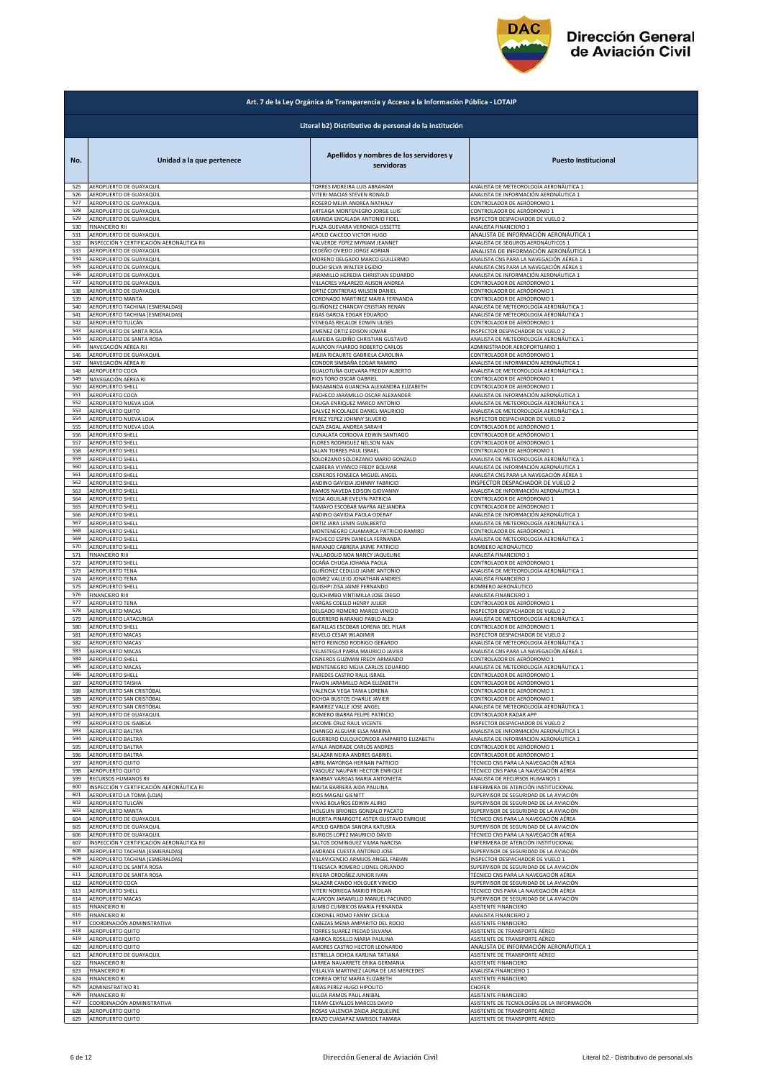

|            | Art. 7 de la Ley Orgánica de Transparencia y Acceso a la Información Pública - LOTAIP |                                                                         |                                                                      |  |
|------------|---------------------------------------------------------------------------------------|-------------------------------------------------------------------------|----------------------------------------------------------------------|--|
|            | Literal b2) Distributivo de personal de la institución                                |                                                                         |                                                                      |  |
| No.        | Unidad a la que pertenece                                                             | Apellidos y nombres de los servidores y<br>servidoras                   | <b>Puesto Institucional</b>                                          |  |
| 525        | AEROPUERTO DE GUAYAQUIL                                                               | TORRES MOREIRA LUIS ABRAHAM                                             | ANALISTA DE METEOROLOGÍA AERONÁUTICA 1                               |  |
| 526        | AEROPUERTO DE GUAYAQUIL                                                               | VITERI MACIAS STEVEN RONALD                                             | ANALISTA DE INFORMACIÓN AERONÁUTICA 1                                |  |
| 527        | AEROPUERTO DE GUAYAQUIL                                                               | ROSERO MEJIA ANDREA NATHALY                                             | CONTROLADOR DE AERÓDROMO 1                                           |  |
| 528        | AEROPUERTO DE GUAYAQUIL                                                               | ARTEAGA MONTENEGRO JORGE LUIS                                           | CONTROLADOR DE AERÓDROMO 1                                           |  |
| 529        | AEROPUERTO DE GUAYAQUIL                                                               | GRANDA ENCALADA ANTONIO FIDEL                                           | INSPECTOR DESPACHADOR DE VUELO 2                                     |  |
| 530        | <b>FINANCIERO RII</b>                                                                 | PLAZA GUEVARA VERONICA LISSETTE                                         | ANALISTA FINANCIERO 1                                                |  |
| 531        | AEROPUERTO DE GUAYAQUIL                                                               | APOLO CAICEDO VICTOR HUGO                                               | ANALISTA DE INFORMACIÓN AERONÁUTICA 1                                |  |
| 532        | INSPECCIÓN Y CERTIFICACIÓN AERONÁUTICA RII                                            | VALVERDE YEPEZ MYRIAM JEANNET                                           | ANALISTA DE SEGUROS AERONÁUTICOS 1                                   |  |
| 533        | AEROPUERTO DE GUAYAQUIL                                                               | CEDEÑO OVIEDO JORGE ADRIAN                                              | ANALISTA DE INFORMACIÓN AERONÁUTICA 1                                |  |
| 534        | AEROPUERTO DE GUAYAQUIL                                                               | MORENO DELGADO MARCO GUILLERMO                                          | ANALISTA CNS PARA LA NAVEGACIÓN AÉREA 1                              |  |
| 535        | AEROPUERTO DE GUAYAQUIL                                                               | DUCHI SILVA WALTER EGIDIO                                               | ANALISTA CNS PARA LA NAVEGACIÓN AÉREA 1                              |  |
| 536        | AEROPUERTO DE GUAYAQUIL                                                               | JARAMILLO HEREDIA CHRISTIAN EDUARDO                                     | ANALISTA DE INFORMACIÓN AERONÁUTICA 1                                |  |
| 537        | AEROPUERTO DE GUAYAQUIL                                                               | VILLACRES VALAREZO ALISON ANDREA                                        | CONTROLADOR DE AERÓDROMO 1                                           |  |
| 538        | AEROPUERTO DE GUAYAQUIL                                                               | ORTIZ CONTRERAS WILSON DANIEL                                           | CONTROLADOR DE AERÓDROMO 1                                           |  |
| 539        | AEROPUERTO MANTA                                                                      | CORONADO MARTINEZ MARIA FERNANDA                                        | CONTROLADOR DE AERÓDROMO 1                                           |  |
| 540        | AEROPUERTO TACHINA (ESMERALDAS)                                                       | QUIÑONEZ CHANCAY CRISTIAN RENAN                                         | ANALISTA DE METEOROLOGÍA AERONÁUTICA 1                               |  |
| 541        | AEROPUERTO TACHINA (ESMERALDAS)                                                       | EGAS GARCIA EDGAR EDUARDO                                               | ANALISTA DE METEOROLOGÍA AERONÁUTICA 1                               |  |
| 542        | AEROPUERTO TULCÁN                                                                     | VENEGAS RECALDE EDWIN ULISES                                            | CONTROLADOR DE AERÓDROMO 1                                           |  |
| 543        | AEROPUERTO DE SANTA ROSA                                                              | JIMENEZ ORTIZ EDISON JOWAR                                              | INSPECTOR DESPACHADOR DE VUELO 2                                     |  |
| 544        | AEROPUERTO DE SANTA ROSA                                                              | ALMEIDA GUDIÑO CHRISTIAN GUSTAVO                                        | ANALISTA DE METEOROLOGÍA AERONÁUTICA 1                               |  |
| 545        | NAVEGACIÓN AÉREA RII                                                                  | ALARCON FAJARDO ROBERTO CARLOS                                          | ADMINISTRADOR AEROPORTUARIO 1                                        |  |
| 546        | AEROPUERTO DE GUAYAQUIL                                                               | MEJIA RICAURTE GABRIELA CAROLINA                                        | CONTROLADOR DE AERÓDROMO 1                                           |  |
| 547        | NAVEGACIÓN AÉREA RI                                                                   | CONDOR SIMBAÑA EDGAR RAMIRO                                             | ANALISTA DE INFORMACIÓN AERONÁUTICA 1                                |  |
| 548        | AEROPUERTO COCA                                                                       | GUALOTUÑA GUEVARA FREDDY ALBERTO                                        | ANALISTA DE METEOROLOGÍA AERONÁUTICA 1                               |  |
| 549        | NAVEGACIÓN AÉREA RI                                                                   | RIOS TORO OSCAR GABRIEL                                                 | CONTROLADOR DE AERÓDROMO 1                                           |  |
| 550        | AEROPUERTO SHELL                                                                      | MASABANDA GUANCHA ALEXANDRA ELIZABETH                                   | CONTROLADOR DE AERÓDROMO 1                                           |  |
| 551        | AEROPUERTO COCA                                                                       | PACHECO JARAMILLO OSCAR ALEXANDER                                       | ANALISTA DE INFORMACIÓN AERONÁUTICA 1                                |  |
| 552        | AEROPUERTO NUEVA LOJA                                                                 | CHUGA ENRIQUEZ MARCO ANTONIO                                            | ANALISTA DE METEOROLOGÍA AERONÁUTICA 1                               |  |
| 553        | AEROPUERTO QUITO                                                                      | GALVEZ NICOLALDE DANIEL MAURICIO                                        | ANALISTA DE METEOROLOGÍA AERONÁUTICA 1                               |  |
| 554        | AEROPUERTO NUEVA LOJA                                                                 | PEREZ YEPEZ JOHNNY SILVERIO                                             | INSPECTOR DESPACHADOR DE VUELO 2                                     |  |
| 555        | AEROPUERTO NUEVA LOJA                                                                 | CAZA ZAGAL ANDREA SARAHI                                                | CONTROLADOR DE AERÓDROMO 1                                           |  |
| 556        | AEROPUERTO SHELL                                                                      | CUNALATA CORDOVA EDWIN SANTIAGO                                         | CONTROLADOR DE AERÓDROMO 1                                           |  |
| 557        | AEROPUERTO SHELL                                                                      | FLORES RODRIGUEZ NELSON IVAN                                            | CONTROLADOR DE AERÓDROMO 1                                           |  |
| 558        | <b>AEROPUERTO SHELL</b>                                                               | SALAN TORRES PAUL ISRAEL                                                | CONTROLADOR DE AERÓDROMO 1                                           |  |
| 559        | AEROPUERTO SHELL                                                                      | SOLORZANO SOLORZANO MARIO GONZALO                                       | ANALISTA DE METEOROLOGÍA AERONÁUTICA 1                               |  |
| 560        | AEROPUERTO SHELL                                                                      | CABRERA VIVANCO FREDY BOLIVAR                                           | ANALISTA DE INFORMACIÓN AERONÁUTICA 1                                |  |
| 561        | AEROPUERTO SHELL                                                                      | CISNEROS FONSECA MIGUEL ANGEL                                           | ANALISTA CNS PARA LA NAVEGACIÓN AÉREA 1                              |  |
| 562        | AEROPUERTO SHELL                                                                      | ANDINO GAVIDIA JOHNNY FABRICIO                                          | INSPECTOR DESPACHADOR DE VUELO 2                                     |  |
| 563        | AEROPUERTO SHELL                                                                      | RAMOS NAVEDA EDISON GIOVANNY                                            | ANALISTA DE INFORMACIÓN AERONÁUTICA 1                                |  |
| 564        | AEROPUERTO SHELL                                                                      | VEGA AGUILAR EVELYN PATRICIA                                            | CONTROLADOR DE AERÓDROMO 1                                           |  |
| 565        | <b>AEROPUERTO SHELL</b>                                                               | TAMAYO ESCOBAR MAYRA ALEJANDRA                                          | CONTROLADOR DE AERÓDROMO 1                                           |  |
| 566        | <b>AEROPUERTO SHELL</b>                                                               | ANDINO GAVIDIA PAOLA ODERAY                                             | ANALISTA DE INFORMACIÓN AERONÁUTICA 1                                |  |
| 567        | AEROPUERTO SHELL                                                                      | ORTIZ JARA LENIN GUALBERTO                                              | ANALISTA DE METEOROLOGÍA AERONÁUTICA 1                               |  |
| 568        | AEROPUERTO SHELL                                                                      | MONTENEGRO CAJAMARCA PATRICIO RAMIRO                                    | CONTROLADOR DE AERÓDROMO 1                                           |  |
| 569        | AEROPUERTO SHELL                                                                      | PACHECO ESPIN DANIELA FERNANDA                                          | ANALISTA DE METEOROLOGÍA AERONÁUTICA 1                               |  |
| 570        | <b>AEROPUERTO SHELL</b>                                                               | NARANJO CABRERA JAIME PATRICIO                                          | BOMBERO AERONÁUTICO                                                  |  |
| 571        | <b>FINANCIERO RIII</b>                                                                | VALLADOLID NOA NANCY JAQUELINE                                          | ANALISTA FINANCIERO 1                                                |  |
| 572<br>573 | AEROPUERTO SHELI                                                                      | OCAÑA CHUGA JOHANA PAOLA                                                | CONTROLADOR DE AERÓDROMO 1<br>ANALISTA DE METEOROLOGÍA AERONÁUTICA 1 |  |
| 574        | AEROPUERTO TENA<br>AEROPUERTO TENA                                                    | QUIÑONEZ CEDILLO JAIME ANTONIO<br>GOMEZ VALLEJO JONATHAN ANDRES         | ANALISTA FINANCIERO 1                                                |  |
| 575        | AEROPUERTO SHELI                                                                      | QUISHPI ZISA JAIME FERNANDO                                             | BOMBERO AERONÁUTICO                                                  |  |
| 576        | FINANCIERO RIII                                                                       | QUICHIMBO VINTIMILLA JOSE DIEGO                                         | ANALISTA FINANCIERO 1                                                |  |
| 577        | <b>AEROPUERTO TENA</b>                                                                | VARGAS COELLO HENRY JULIER                                              | CONTROLADOR DE AERÓDROMO 1                                           |  |
| 578        | AEROPUERTO MACAS                                                                      | DELGADO ROMERO MARCO VINICIO                                            | INSPECTOR DESPACHADOR DE VUELO 2                                     |  |
| 579        | AEROPUERTO LATACUNGA                                                                  | GUERRERO NARANJO PABLO ALEX                                             | ANALISTA DE METEOROLOGÍA AERONÁUTICA 1                               |  |
| 580        | AEROPUERTO SHELL                                                                      | BATALLAS ESCOBAR LORENA DEL PILAR                                       | CONTROLADOR DE AERÓDROMO 1                                           |  |
| 581        | AEROPUERTO MACAS                                                                      | REVELO CESAR WLADIMIR                                                   | INSPECTOR DESPACHADOR DE VUELO 2                                     |  |
| 582        | AEROPUERTO MACAS                                                                      | NETO REINOSO RODRIGO GERARDO                                            | ANALISTA DE METEOROLOGÍA AERONÁUTICA 1                               |  |
| 583        | <b>AEROPUERTO MACAS</b>                                                               | VELASTEGUI PARRA MAURICIO JAVIER                                        | ANALISTA CNS PARA LA NAVEGACIÓN AÉREA 1                              |  |
| 584        | AEROPUERTO SHELL                                                                      | CISNEROS GUZMAN FREDY ARMANDO                                           | CONTROLADOR DE AERÓDROMO 1                                           |  |
|            | AFROPLIFRTO MACA                                                                      | MONTENEGRO MEIIA CARLOS EDITARD                                         | ANALISTA DE METEOROLOGÍA AFRONÁLITICA                                |  |
| 586        | AEROPUERTO SHELL                                                                      | PAREDES CASTRO RAUL ISRAEL                                              | CONTROLADOR DE AERÓDROMO 1                                           |  |
| 587        | AEROPUERTO TAISHA                                                                     | PAVON JARAMILLO AIDA ELIZABETH                                          | CONTROLADOR DE AERÓDROMO 1                                           |  |
| 588        | AEROPUERTO SAN CRISTÓBAL                                                              | VALENCIA VEGA TANIA LORENA                                              | CONTROLADOR DE AERÓDROMO 1                                           |  |
| 589        | AEROPUERTO SAN CRISTÓBAL                                                              | OCHOA BUSTOS CHARLIE JAVIER                                             | CONTROLADOR DE AERÓDROMO 1                                           |  |
| 590        | AEROPUERTO SAN CRISTÓBAL                                                              | RAMIREZ VALLE JOSE ANGEL                                                | ANALISTA DE METEOROLOGÍA AERONÁUTICA 1                               |  |
| 591        | AEROPUERTO DE GUAYAQUIL                                                               | ROMERO IBARRA FELIPE PATRICIO                                           | CONTROLADOR RADAR APP                                                |  |
| 592        | AEROPUERTO DE ISABELA                                                                 | JACOME CRUZ RAUL VICENTE                                                | INSPECTOR DESPACHADOR DE VUELO 2                                     |  |
| 593        | AEROPUERTO BALTRA                                                                     | CHANGO ALGUIAR ELSA MARINA                                              | ANALISTA DE INFORMACIÓN AERONÁUTICA 1                                |  |
| 594        | AEROPUERTO BALTRA                                                                     | GUERRERO CULQUICONDOR AMPARITO ELIZABETH<br>AYALA ANDRADE CARLOS ANDRES | ANALISTA DE INFORMACIÓN AERONÁUTICA 1                                |  |
| 595        | AEROPUERTO BALTRA                                                                     | SALAZAR NEIRA ANDRES GABRIEL                                            | CONTROLADOR DE AERÓDROMO 1                                           |  |
| 596        | AEROPUERTO BALTRA                                                                     |                                                                         | CONTROLADOR DE AERÓDROMO 1                                           |  |
| 597        | AEROPUERTO QUITO                                                                      | ABRIL MAYORGA HERNAN PATRICIO                                           | TÉCNICO CNS PARA LA NAVEGACIÓN AÉREA                                 |  |
| 598        | AEROPUERTO QUITO                                                                      | VASQUEZ NAUPARI HECTOR ENRIQUE                                          | TÉCNICO CNS PARA LA NAVEGACIÓN AÉREA                                 |  |
| 599        | RECURSOS HUMANOS RII                                                                  | RAMBAY VARGAS MARIA ANTONIETA                                           | ANALISTA DE RECURSOS HUMANOS 1                                       |  |
| 600        | INSPECCIÓN Y CERTIFICACIÓN AERONÁUTICA RI                                             | MAITA BARRERA AIDA PAULINA                                              | ENFERMERA DE ATENCIÓN INSTITUCIONAL                                  |  |
| 601        | AEROPUERTO LA TOMA (LOJA)                                                             | RIOS MAGALI GIENITT                                                     | SUPERVISOR DE SEGURIDAD DE LA AVIACIÓN                               |  |
| 602        | AEROPUERTO TULCÁN                                                                     | VIVAS BOLAÑOS EDWIN ALIRIO                                              | SUPERVISOR DE SEGURIDAD DE LA AVIACIÓN                               |  |
| 603        | AEROPUERTO MANTA                                                                      | HOLGUIN BRIONES GONZALO PACATO                                          | SUPERVISOR DE SEGURIDAD DE LA AVIACIÓN                               |  |
| 604        | AEROPUERTO DE GUAYAQUIL                                                               | HUERTA PINARGOTE ASTER GUSTAVO ENRIQUE                                  | TÉCNICO CNS PARA LA NAVEGACIÓN AÉREA                                 |  |
| 605        | AEROPUERTO DE GUAYAQUIL                                                               | APOLO GARBOA SANDRA KATUSKA                                             | SUPERVISOR DE SEGURIDAD DE LA AVIACIÓN                               |  |
| 606        | AEROPUERTO DE GUAYAQUIL                                                               | BURGOS LOPEZ MAURICIO DAVID                                             | TÉCNICO CNS PARA LA NAVEGACIÓN AÉREA                                 |  |
| 607        | INSPECCIÓN Y CERTIFICACIÓN AERONÁUTICA RII                                            | SALTOS DOMINGUEZ VILMA NARCISA                                          | ENFERMERA DE ATENCIÓN INSTITUCIONAL                                  |  |
| 608        | AEROPUERTO TACHINA (ESMERALDAS)                                                       | ANDRADE CUESTA ANTONIO JOSE                                             | SUPERVISOR DE SEGURIDAD DE LA AVIACIÓN                               |  |
| 609        | AEROPUERTO TACHINA (ESMERALDAS)                                                       | VILLAVICENCIO ARMIJOS ANGEL FABIAN                                      | INSPECTOR DESPACHADOR DE VUELO 1                                     |  |
| 610        | AEROPUERTO DE SANTA ROSA                                                              | TENESACA ROMERO LIONEL ORLANDO                                          | SUPERVISOR DE SEGURIDAD DE LA AVIACIÓN                               |  |
| 611        | AEROPUERTO DE SANTA ROSA                                                              | RIVERA ORDOÑEZ JUNIOR IVAN                                              | TÉCNICO CNS PARA LA NAVEGACIÓN AÉREA                                 |  |
| 612        | AEROPUERTO COCA                                                                       | SALAZAR CANDO HOLGUER VINICIO                                           | SUPERVISOR DE SEGURIDAD DE LA AVIACIÓN                               |  |
| 613        | AEROPUERTO SHELL                                                                      | VITERI NORIEGA MARIO FROILAN                                            | TÉCNICO CNS PARA LA NAVEGACIÓN AÉREA                                 |  |
| 614        | AEROPUERTO MACAS                                                                      | ALARCON JARAMILLO MANUEL FACUNDO                                        | SUPERVISOR DE SEGURIDAD DE LA AVIACIÓN                               |  |
| 615        | <b>FINANCIERO RI</b>                                                                  | JUMBO CUMBICOS MARIA FERNANDA                                           | ASISTENTE FINANCIERO                                                 |  |
| 616        | <b>FINANCIERO RI</b>                                                                  | CORONEL ROMO FANNY CECILIA                                              | ANALISTA FINANCIERO 2                                                |  |
| 617        | COORDINACIÓN ADMINISTRATIVA                                                           | CABEZAS MENA AMPARITO DEL ROCIO                                         | ASISTENTE FINANCIERO                                                 |  |
| 618        | AEROPUERTO QUITO                                                                      | TORRES SUAREZ PIEDAD SILVANA                                            | ASISTENTE DE TRANSPORTE AÉREO                                        |  |
| 619        | AEROPUERTO QUITO                                                                      | ABARCA ROSILLO MARIA PAULINA                                            | ASISTENTE DE TRANSPORTE AÉREO                                        |  |
| 620        | AEROPUERTO QUITO                                                                      | AMORES CASTRO HECTOR LEONARDO                                           | ANALISTA DE INFORMACIÓN AERONÁUTICA 1                                |  |
| 621        | AEROPUERTO DE GUAYAQUIL                                                               | ESTRELLA OCHOA KARLINA TATIANA                                          | ASISTENTE DE TRANSPORTE AÉREO                                        |  |
| 622        | <b>FINANCIERO RI</b>                                                                  | LARREA NAVARRETE ERIKA GERMANIA                                         | ASISTENTE FINANCIERO                                                 |  |
| 623        | <b>FINANCIERO RI</b>                                                                  | VILLALVA MARTINEZ LAURA DE LAS MERCEDES                                 | ANALISTA FINANCIERO 1                                                |  |
| 624        | <b>FINANCIERO RI</b>                                                                  | CORREA ORTIZ MARIA ELIZABETH                                            | ASISTENTE FINANCIERO                                                 |  |
| 625        | ADMINISTRATIVO R1                                                                     | ARIAS PEREZ HUGO HIPOLITO                                               | CHOFER                                                               |  |
| 626        | <b>FINANCIERO RI</b>                                                                  | ULLOA RAMOS PAUL ANIBAL                                                 | ASISTENTE FINANCIERO                                                 |  |
| 627        | COORDINACIÓN ADMINISTRATIVA                                                           | TERAN CEVALLOS MARCOS DAVID                                             | ASISTENTE DE TECNOLOGÍAS DE LA INFORMACIÓN                           |  |
| 628        | AEROPUERTO QUITO                                                                      | ROSAS VALENCIA ZAIDA JACQUELINE                                         | ASISTENTE DE TRANSPORTE AÉREO                                        |  |
| 629        | AEROPUERTO QUITO                                                                      | ERAZO CUASAPAZ MARISOL TAMARA                                           | ASISTENTE DE TRANSPORTE AÉREO                                        |  |
|            |                                                                                       |                                                                         |                                                                      |  |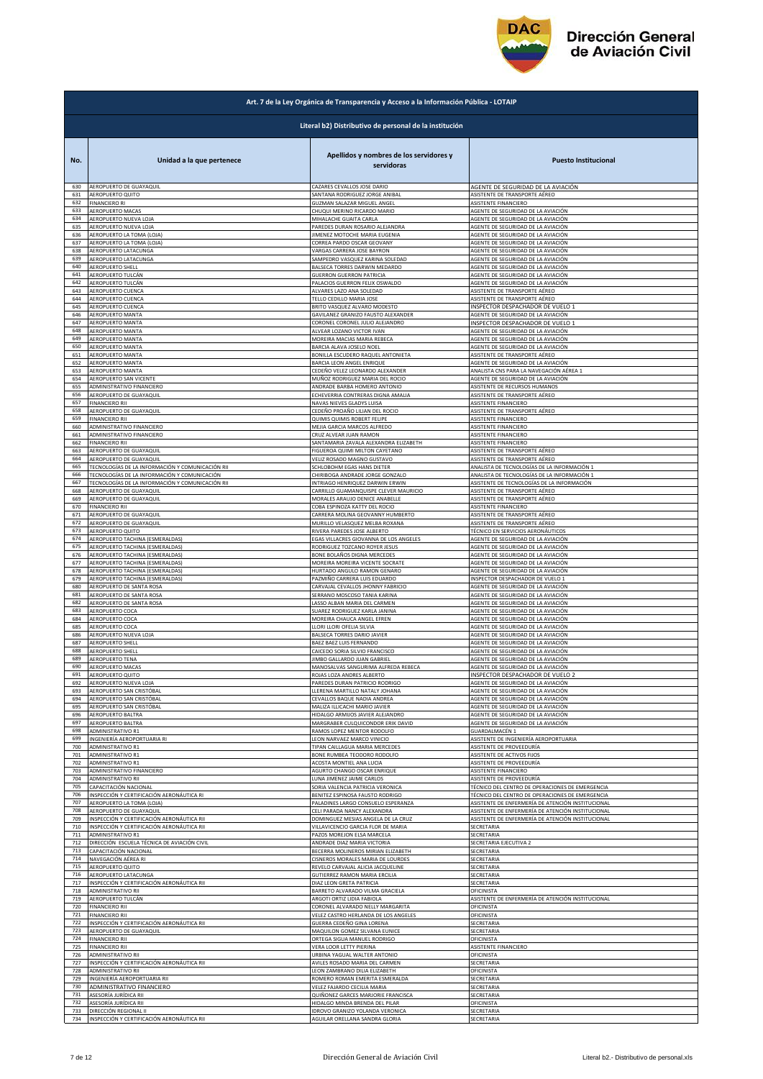

|            | Art. 7 de la Ley Orgánica de Transparencia y Acceso a la Información Pública - LOTAIP |                                                       |                                                   |  |
|------------|---------------------------------------------------------------------------------------|-------------------------------------------------------|---------------------------------------------------|--|
|            | Literal b2) Distributivo de personal de la institución                                |                                                       |                                                   |  |
| No.        | Unidad a la que pertenece                                                             | Apellidos y nombres de los servidores y<br>servidoras | <b>Puesto Institucional</b>                       |  |
| 630        | AEROPUERTO DE GUAYAQUIL                                                               | CAZARES CEVALLOS JOSE DARIO                           | AGENTE DE SEGURIDAD DE LA AVIACIÓN                |  |
| 631        | AEROPUERTO QUITO                                                                      | SANTANA RODRIGUEZ JORGE ANIBAL                        | ASISTENTE DE TRANSPORTE AÉREO                     |  |
| 632        | <b>FINANCIERO RI</b>                                                                  | <b>GUZMAN SALAZAR MIGUEL ANGEL</b>                    | ASISTENTE FINANCIERO                              |  |
| 633        | AEROPUERTO MACAS                                                                      | CHUQUI MERINO RICARDO MARIO                           | AGENTE DE SEGURIDAD DE LA AVIACIÓN                |  |
| 634        | AEROPUERTO NUEVA LOJA                                                                 | MIHALACHE GUAITA CARLA                                | AGENTE DE SEGURIDAD DE LA AVIACIÓN                |  |
| 635        | AEROPUERTO NUEVA LOJA                                                                 | PAREDES DURAN ROSARIO ALEJANDRA                       | AGENTE DE SEGURIDAD DE LA AVIACIÓN                |  |
| 636        | AEROPUERTO LA TOMA (LOJA)                                                             | JIMENEZ MOTOCHE MARIA EUGENIA                         | AGENTE DE SEGURIDAD DE LA AVIACIÓN                |  |
| 637        | AEROPUERTO LA TOMA (LOJA)                                                             | CORREA PARDO OSCAR GEOVANY                            | AGENTE DE SEGURIDAD DE LA AVIACIÓN                |  |
| 638        | AEROPUERTO LATACUNGA                                                                  | VARGAS CARRERA JOSE BAYRON                            | AGENTE DE SEGURIDAD DE LA AVIACIÓN                |  |
| 639        | AEROPUERTO LATACUNGA                                                                  | SAMPEDRO VASQUEZ KARINA SOLEDAD                       | AGENTE DE SEGURIDAD DE LA AVIACIÓN                |  |
| 640<br>641 | AEROPUERTO SHELL                                                                      | BALSECA TORRES DARWIN MEDARDO                         | AGENTE DE SEGURIDAD DE LA AVIACIÓN                |  |
| 642        | AEROPUERTO TULCÁN                                                                     | <b>GUERRON GUERRON PATRICIA</b>                       | AGENTE DE SEGURIDAD DE LA AVIACIÓN                |  |
|            | AEROPUERTO TULCÁN                                                                     | PALACIOS GUERRON FELIX OSWALDO                        | AGENTE DE SEGURIDAD DE LA AVIACIÓN                |  |
| 643        | AEROPUERTO CUENCA                                                                     | ALVARES LAZO ANA SOLEDAD                              | ASISTENTE DE TRANSPORTE AÉREO                     |  |
| 644        | AEROPUERTO CUENCA                                                                     | TELLO CEDILLO MARIA JOSE                              | ASISTENTE DE TRANSPORTE AÉREO                     |  |
| 645        | AEROPUERTO CUENCA                                                                     | BRITO VASQUEZ ALVARO MODESTO                          | INSPECTOR DESPACHADOR DE VUELO 1                  |  |
| 646        | AEROPUERTO MANTA                                                                      | GAVILANEZ GRANIZO FAUSTO ALEXANDER                    | AGENTE DE SEGURIDAD DE LA AVIACIÓN                |  |
| 647        | AEROPUERTO MANTA                                                                      | CORONEL CORONEL JULIO ALEJANDRO                       | INSPECTOR DESPACHADOR DE VUELO 1                  |  |
| 648        | AEROPUERTO MANTA                                                                      | ALVEAR LOZANO VICTOR IVAN                             | AGENTE DE SEGURIDAD DE LA AVIACIÓN                |  |
| 649        | AEROPUERTO MANTA                                                                      | MOREIRA MACIAS MARIA REBECA                           | AGENTE DE SEGURIDAD DE LA AVIACIÓN                |  |
| 650        | AEROPUERTO MANTA                                                                      | BARCIA ALAVA JOSELO NOEL                              | AGENTE DE SEGURIDAD DE LA AVIACIÓN                |  |
| 651        | AEROPUERTO MANTA                                                                      | BONILLA ESCUDERO RAQUEL ANTONIETA                     | ASISTENTE DE TRANSPORTE AÉREO                     |  |
| 652        | AEROPUERTO MANTA                                                                      | BARCIA LEON ANGEL ENRIQUE                             | AGENTE DE SEGURIDAD DE LA AVIACIÓN                |  |
| 653        | AEROPUERTO MANTA                                                                      | CEDEÑO VELEZ LEONARDO ALEXANDER                       | ANALISTA CNS PARA LA NAVEGACIÓN AÉREA 1           |  |
| 654        | AEROPUERTO SAN VICENTE                                                                | MUÑOZ RODRIGUEZ MARIA DEL ROCIO                       | AGENTE DE SEGURIDAD DE LA AVIACIÓN                |  |
| 655        | ADMINISTRATIVO FINANCIERO                                                             | ANDRADE BARBA HOMERO ANTONIO                          | ASISTENTE DE RECURSOS HUMANOS                     |  |
| 656        | AEROPUERTO DE GUAYAQUIL                                                               | ECHEVERRIA CONTRERAS DIGNA AMALIA                     | ASISTENTE DE TRANSPORTE AÉREO                     |  |
| 657        | <b>FINANCIERO RII</b>                                                                 | NAVAS NIEVES GLADYS LUISA                             | ASISTENTE FINANCIERO                              |  |
| 658        | AEROPUERTO DE GUAYAQUIL                                                               | CEDEÑO PROAÑO LILIAN DEL ROCIO                        | ASISTENTE DE TRANSPORTE AÉREO                     |  |
| 659        | <b>FINANCIERO RII</b>                                                                 | QUIMIS QUIMIS ROBERT FELIPE                           | ASISTENTE FINANCIERO                              |  |
| 660        | ADMINISTRATIVO FINANCIERO                                                             | MEJIA GARCIA MARCOS ALFREDO                           | ASISTENTE FINANCIERO                              |  |
| 661        | ADMINISTRATIVO FINANCIERO                                                             | CRUZ ALVEAR JUAN RAMON                                | ASISTENTE FINANCIERO                              |  |
| 662        | <b>FINANCIERO RII</b>                                                                 | SANTAMARIA ZAVALA ALEXANDRA ELIZABETH                 | ASISTENTE FINANCIERO                              |  |
| 663        | AEROPUERTO DE GUAYAQUIL                                                               | <b>FIGUEROA QUIMI MILTON CAYETANO</b>                 | ASISTENTE DE TRANSPORTE AÉREO                     |  |
| 664        | AEROPUERTO DE GUAYAQUIL                                                               | VELIZ ROSADO MAGNO GUSTAVO                            | ASISTENTE DE TRANSPORTE AÉREO                     |  |
| 665        | TECNOLOGÍAS DE LA INFORMACIÓN Y COMUNICACIÓN RII                                      | SCHLOBOHM EGAS HANS DIETER                            | ANALISTA DE TECNOLOGÍAS DE LA INFORMACIÓN 1       |  |
| 666        | TECNOLOGÍAS DE LA INFORMACIÓN Y COMUNICACIÓN                                          | CHIRIBOGA ANDRADE JORGE GONZALO                       | ANALISTA DE TECNOLOGÍAS DE LA INFORMACIÓN 1       |  |
| 667        | TECNOLOGÍAS DE LA INFORMACIÓN Y COMUNICACIÓN RII                                      | INTRIAGO HENRIQUEZ DARWIN ERWIN                       | ASISTENTE DE TECNOLOGÍAS DE LA INFORMACIÓN        |  |
| 668        | AEROPUERTO DE GUAYAQUIL                                                               | CARRILLO GUAMANQUISPE CLEVER MAURICIO                 | ASISTENTE DE TRANSPORTE AÉREO                     |  |
| 669        | AEROPUERTO DE GUAYAQUIL                                                               | MORALES ARAUJO DENICE ANABELLE                        | ASISTENTE DE TRANSPORTE AÉREO                     |  |
| 670        | <b>FINANCIERO RII</b>                                                                 | COBA ESPINOZA KATTY DEL ROCIO                         | ASISTENTE FINANCIERO                              |  |
| 671        | AEROPUERTO DE GUAYAQUIL                                                               | CARRERA MOLINA GEOVANNY HUMBERTO                      | ASISTENTE DE TRANSPORTE AÉREO                     |  |
| 672        | AEROPUERTO DE GUAYAQUIL                                                               | MURILLO VELASQUEZ MELBA ROXANA                        | ASISTENTE DE TRANSPORTE AÉREO                     |  |
| 673        | AEROPUERTO QUITO                                                                      | RIVERA PAREDES JOSE ALBERTO                           | TÉCNICO EN SERVICIOS AERONÁUTICOS                 |  |
| 674        | AEROPUERTO TACHINA (ESMERALDAS)                                                       | EGAS VILLACRES GIOVANNA DE LOS ANGELES                | AGENTE DE SEGURIDAD DE LA AVIACIÓN                |  |
| 675        | AEROPUERTO TACHINA (ESMERALDAS)                                                       | RODRIGUEZ TOZCANO ROYER JESUS                         | AGENTE DE SEGURIDAD DE LA AVIACIÓN                |  |
| 676        | AEROPUERTO TACHINA (ESMERALDAS)                                                       | BONE BOLAÑOS DIGNA MERCEDES                           | AGENTE DE SEGURIDAD DE LA AVIACIÓN                |  |
| 677        | AEROPUERTO TACHINA (ESMERALDAS)                                                       | MOREIRA MOREIRA VICENTE SOCRATE                       | AGENTE DE SEGURIDAD DE LA AVIACIÓN                |  |
| 678        | AEROPUERTO TACHINA (ESMERALDAS)                                                       | HURTADO ANGULO RAMON GENARO                           | AGENTE DE SEGURIDAD DE LA AVIACIÓN                |  |
| 679        | AEROPUERTO TACHINA (ESMERALDAS)                                                       | PAZMIÑO CARRERA LUIS EDUARDO                          | INSPECTOR DESPACHADOR DE VUELO 1                  |  |
| 680        | AEROPUERTO DE SANTA ROSA                                                              | CARVAJAL CEVALLOS JHONNY FABRICIO                     | AGENTE DE SEGURIDAD DE LA AVIACIÓN                |  |
| 681        | AEROPUERTO DE SANTA ROSA                                                              | SERRANO MOSCOSO TANIA KARINA                          | AGENTE DE SEGURIDAD DE LA AVIACIÓN                |  |
| 682        | AEROPUERTO DE SANTA ROSA                                                              | ASSO ALBAN MARIA DEL CARMEN                           | AGENTE DE SEGURIDAD DE LA AVIACIÓN                |  |
| 683        | AEROPUERTO COCA                                                                       | SUAREZ RODRIGUEZ KARLA JANINA                         | AGENTE DE SEGURIDAD DE LA AVIACIÓN                |  |
| 684        | AEROPUERTO COCA                                                                       | MOREIRA CHAUCA ANGEL EFREN                            | AGENTE DE SEGURIDAD DE LA AVIACIÓN                |  |
| 685        | AEROPUERTO COCA                                                                       | LLORI LLORI OFELIA SILVIA                             | AGENTE DE SEGURIDAD DE LA AVIACIÓN                |  |
| 686        | AEROPUERTO NUEVA LOJA                                                                 | BALSECA TORRES DARIO JAVIER                           | AGENTE DE SEGURIDAD DE LA AVIACIÓN                |  |
| 687        | <b>AEROPUERTO SHELL</b>                                                               | BAEZ BAEZ LUIS FERNANDO                               | AGENTE DE SEGURIDAD DE LA AVIACIÓN                |  |
| 688        | AEROPUERTO SHELL                                                                      | CAICEDO SORIA SILVIO FRANCISCO                        | AGENTE DE SEGURIDAD DE LA AVIACIÓN                |  |
| 689        | AEROPUERTO TENA                                                                       | JIMBO GALLARDO JUAN GABRIEL                           | AGENTE DE SEGURIDAD DE LA AVIACIÓN                |  |
|            | AEROPUERTO MACA!                                                                      | MANOSALVAS SANGURIMA ALFREDA REBECA                   | AGENTE DE SEGURIDAD DE LA AVIACIÓN                |  |
| 691        | AEROPUERTO QUITO                                                                      | ROJAS LOZA ANDRES ALBERTO                             | INSPECTOR DESPACHADOR DE VUELO 2                  |  |
| 692        | AEROPUERTO NUEVA LOJA                                                                 | PAREDES DURAN PATRICIO RODRIGO                        | AGENTE DE SEGURIDAD DE LA AVIACIÓN                |  |
| 693<br>694 | AEROPUERTO SAN CRISTÓBAL                                                              | LLERENA MARTILLO NATALY JOHANA                        | AGENTE DE SEGURIDAD DE LA AVIACIÓN                |  |
| 695        | AEROPUERTO SAN CRISTÓBAL                                                              | CEVALLOS BAQUE NADIA ANDREA                           | AGENTE DE SEGURIDAD DE LA AVIACIÓN                |  |
|            | AEROPUERTO SAN CRISTÓBAL                                                              | MALIZA ILLICACHI MARIO JAVIER                         | AGENTE DE SEGURIDAD DE LA AVIACIÓN                |  |
| 696        | AEROPUERTO BALTRA                                                                     | HIDALGO ARMIJOS JAVIER ALEJANDRO                      | AGENTE DE SEGURIDAD DE LA AVIACIÓN                |  |
| 697        | AEROPUERTO BALTRA                                                                     | MARGRABER CULQUICONDOR ERIK DAVID                     | AGENTE DE SEGURIDAD DE LA AVIACIÓN                |  |
| 698        | ADMINISTRATIVO R1                                                                     | RAMOS LOPEZ MENTOR RODOLFO                            | <b>GUARDALMACÉN 1</b>                             |  |
| 699        | INGENIERÍA AEROPORTUARIA RI                                                           | LEON NARVAEZ MARCO VINICIO                            | ASISTENTE DE INGENIERÍA AEROPORTUARIA             |  |
| 700        | ADMINISTRATIVO R1                                                                     | TIPAN CAILLAGUA MARIA MERCEDES                        | ASISTENTE DE PROVEEDURÍA                          |  |
| 701        | ADMINISTRATIVO R1                                                                     | BONE RUMBEA TEODORO RODOLFO                           | ASISTENTE DE ACTIVOS FIJOS                        |  |
| 702        | ADMINISTRATIVO R1                                                                     | ACOSTA MONTIEL ANA LUCIA                              | ASISTENTE DE PROVEEDURÍA                          |  |
| 703        | ADMINISTRATIVO FINANCIERO                                                             | AGURTO CHANGO OSCAR ENRIQUE                           | ASISTENTE FINANCIERO                              |  |
| 704        | ADMINISTRATIVO RII                                                                    | LUNA JIMENEZ JAIME CARLOS                             | ASISTENTE DE PROVEEDURÍA                          |  |
| 705        | CAPACITACIÓN NACIONAL                                                                 | SORIA VALENCIA PATRICIA VERONICA                      | TÉCNICO DEL CENTRO DE OPERACIONES DE EMERGENCIA   |  |
| 706        | INSPECCIÓN Y CERTIFICACIÓN AERONÁUTICA RI                                             | BENITEZ ESPINOSA FAUSTO RODRIGO                       | TÉCNICO DEL CENTRO DE OPERACIONES DE EMERGENCIA   |  |
| 707        | AEROPUERTO LA TOMA (LOJA)                                                             | PALADINES LARGO CONSUELO ESPERANZA                    | ASISTENTE DE ENFERMERÍA DE ATENCIÓN INSTITUCIONAL |  |
| 708        | AEROPUERTO DE GUAYAQUIL                                                               | CELI PARADA NANCY ALEXANDRA                           | ASISTENTE DE ENFERMERÍA DE ATENCIÓN INSTITUCIONAL |  |
| 709        | INSPECCIÓN Y CERTIFICACIÓN AERONÁUTICA RII                                            | DOMINGUEZ MESIAS ANGELA DE LA CRUZ                    | ASISTENTE DE ENFERMERÍA DE ATENCIÓN INSTITUCIONAL |  |
| 710        | INSPECCIÓN Y CERTIFICACIÓN AERONÁUTICA RII                                            | VILLAVICENCIO GARCIA FLOR DE MARIA                    | SECRETARIA                                        |  |
| 711        | ADMINISTRATIVO R1                                                                     | PAZOS MOREJON ELSA MARCELA                            | SECRETARIA                                        |  |
| 712        | DIRECCIÓN ESCUELA TÉCNICA DE AVIACIÓN CIVIL                                           | ANDRADE DIAZ MARIA VICTORIA                           | SECRETARIA EJECUTIVA 2                            |  |
| 713        | CAPACITACIÓN NACIONAL                                                                 | BECERRA MOLINEROS MIRIAN ELIZABETH                    | SECRETARIA                                        |  |
| 714        | NAVEGACIÓN AÉREA RI                                                                   | CISNEROS MORALES MARIA DE LOURDES                     | SECRETARIA                                        |  |
| 715        | AEROPUERTO QUITO                                                                      | REVELO CARVAJAL ALICIA JACQUELINE                     | SECRETARIA                                        |  |
| 716<br>717 | AEROPUERTO LATACUNGA                                                                  | GUTIERREZ RAMON MARIA ERCILIA                         | SECRETARIA                                        |  |
| 718        | NSPECCIÓN Y CERTIFICACIÓN AERONÁUTICA RII                                             | DIAZ LEON GRETA PATRICIA                              | SECRETARIA                                        |  |
| 719        | ADMINISTRATIVO RII                                                                    | BARRETO ALVARADO VILMA GRACIELA                       | OFICINISTA                                        |  |
| 720        | AEROPUERTO TULCÁN                                                                     | ARGOTI ORTIZ LIDIA FABIOLA                            | ASISTENTE DE ENFERMERÍA DE ATENCIÓN INSTITUCIONAL |  |
|            | <b>FINANCIERO RII</b>                                                                 | CORONEL ALVARADO NELLY MARGARITA                      | OFICINISTA                                        |  |
| 721        | <b>FINANCIERO RII</b>                                                                 | VELEZ CASTRO HERLANDA DE LOS ANGELES                  | OFICINISTA                                        |  |
| 722        | INSPECCIÓN Y CERTIFICACIÓN AERONÁUTICA RII                                            | GUERRA CEDEÑO GINA LORENA                             | SECRETARIA                                        |  |
| 723        | AEROPUERTO DE GUAYAQUIL                                                               | MAQUILON GOMEZ SILVANA EUNICE                         | SECRETARIA                                        |  |
| 724        | <b>FINANCIERO RII</b>                                                                 | ORTEGA SIGUA MANUEL RODRIGO                           | OFICINISTA                                        |  |
| 725        | <b>FINANCIERO RII</b>                                                                 | VERA LOOR LETTY PIERINA                               | ASISTENTE FINANCIERO                              |  |
| 726        | ADMINISTRATIVO RII                                                                    | URBINA YAGUAL WALTER ANTONIO                          | OFICINISTA                                        |  |
| 727        | INSPECCIÓN Y CERTIFICACIÓN AERONÁUTICA RII                                            | AVILES ROSADO MARIA DEL CARMEN                        | SECRETARIA                                        |  |
| 728        | ADMINISTRATIVO RII                                                                    | LEON ZAMBRANO DILIA ELIZABETH                         | OFICINISTA                                        |  |
| 729        | INGENIERÍA AEROPORTUARIA RII                                                          | ROMERO ROMAN EMERITA ESMERALDA                        | SECRETARIA                                        |  |
| 730        | ADMINISTRATIVO FINANCIERO                                                             | VELEZ FAJARDO CECILIA MARIA                           | SECRETARIA                                        |  |
| 731        | ASESORÍA JURÍDICA RII                                                                 | QUIÑONEZ GARCES MARJORIE FRANCISCA                    | SECRETARIA                                        |  |
| 732        | ASESORÍA JURÍDICA RII                                                                 | HIDALGO MINDA BRENDA DEL PILAR                        | OFICINISTA                                        |  |
| 733        | DIRECCIÓN REGIONAL II                                                                 | IDROVO GRANIZO YOLANDA VERONICA                       | SECRETARIA                                        |  |
| 734        | INSPECCIÓN Y CERTIFICACIÓN AERONÁUTICA RII                                            | AGUILAR ORELLANA SANDRA GLORIA                        | SECRETARIA                                        |  |
|            |                                                                                       |                                                       |                                                   |  |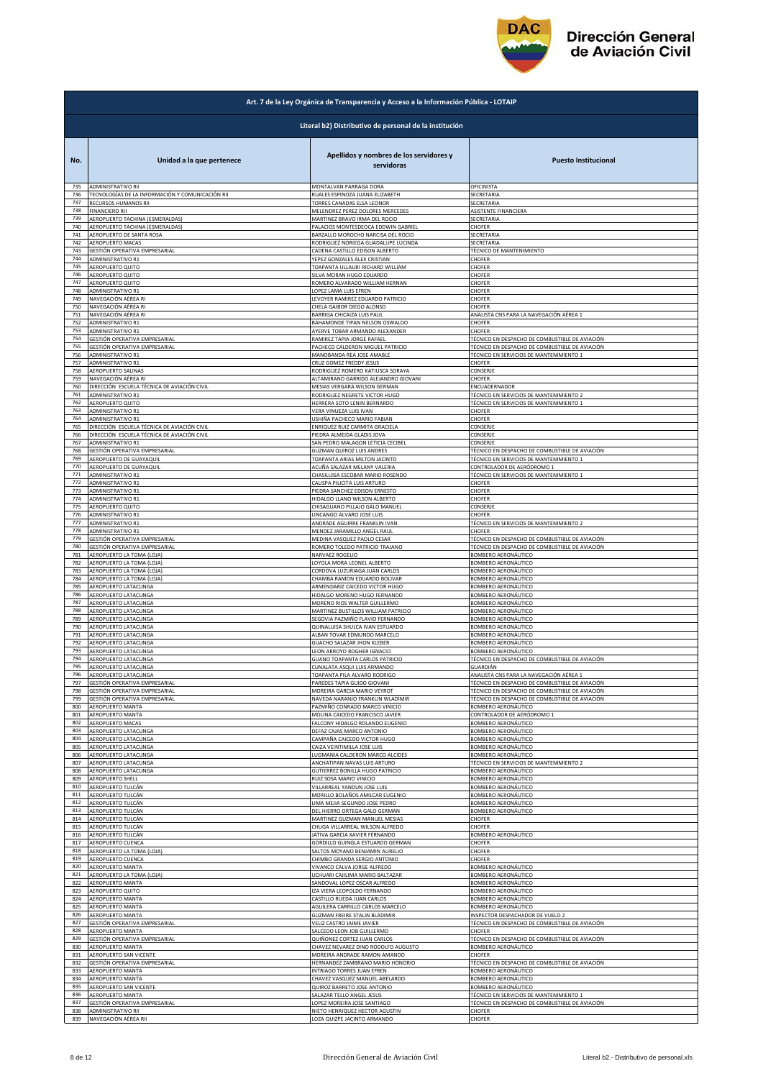

| Art. 7 de la Ley Orgánica de Transparencia y Acceso a la Información Pública - LOTAIP |                                                        |                                                                     |                                                            |  |
|---------------------------------------------------------------------------------------|--------------------------------------------------------|---------------------------------------------------------------------|------------------------------------------------------------|--|
|                                                                                       | Literal b2) Distributivo de personal de la institución |                                                                     |                                                            |  |
| No.                                                                                   | Unidad a la que pertenece                              | Apellidos y nombres de los servidores y<br>servidoras               | <b>Puesto Institucional</b>                                |  |
| 735                                                                                   | <b>ADMINISTRATIVO RII</b>                              | MONTALVAN PARRAGA DORA                                              | OFICINISTA                                                 |  |
| 736                                                                                   | TECNOLOGÍAS DE LA INFORMACIÓN Y COMUNICACIÓN RII       | RUALES ESPINOZA JUANA ELIZABETH                                     | SECRETARIA                                                 |  |
| 737                                                                                   | RECURSOS HUMANOS RII                                   | TORRES CANADAS ELSA LEONOR                                          | SECRETARIA                                                 |  |
| 738                                                                                   | <b>FINANCIERO RII</b>                                  | MELENDREZ PEREZ DOLORES MERCEDES                                    | ASISTENTE FINANCIERA                                       |  |
| 739                                                                                   | AEROPUERTO TACHINA (ESMERALDAS)                        | MARTINEZ BRAVO IRMA DEL ROCIO                                       | SECRETARIA                                                 |  |
| 740                                                                                   | AEROPUERTO TACHINA (ESMERALDAS)                        | PALACIOS MONTESDEOCA EDDWIN GABRIEL                                 | CHOFER                                                     |  |
| 741                                                                                   | AEROPUERTO DE SANTA ROSA                               | BARZALLO MOROCHO NARCISA DEL ROCIO                                  | SECRETARIA                                                 |  |
| 742                                                                                   | AEROPUERTO MACAS                                       | RODRIGUEZ NORIEGA GUADALUPE LUCINDA                                 | SECRETARIA                                                 |  |
| 743                                                                                   | GESTIÓN OPERATIVA EMPRESARIAL                          | CADENA CASTILLO EDISON ALBERTO                                      | TÉCNICO DE MANTENIMIENTO                                   |  |
| 744                                                                                   | <b>ADMINISTRATIVO R1</b>                               | YEPEZ GONZALES ALEX CRISTIAN                                        | CHOFER                                                     |  |
| 745                                                                                   | AEROPUERTO QUITO                                       | TOAPANTA ULLAURI RICHARD WILLIAM                                    | CHOFER                                                     |  |
| 746<br>747                                                                            | AEROPUERTO QUITO                                       | SILVA MORAN HUGO EDUARDO                                            | CHOFER<br>CHOFER                                           |  |
| 748                                                                                   | AEROPUERTO QUITO<br><b>ADMINISTRATIVO R1</b>           | ROMERO ALVARADO WILLIAM HERNAN<br>LOPEZ LAMA LUIS EFREN             | CHOFER                                                     |  |
| 749                                                                                   | NAVEGACIÓN AÉREA RI                                    | LEVOYER RAMIREZ EDUARDO PATRICIO                                    | CHOFER                                                     |  |
| 750                                                                                   | NAVEGACIÓN AÉREA RI                                    | CHELA GAIBOR DIEGO ALONSO                                           | CHOFER                                                     |  |
| 751                                                                                   | NAVEGACIÓN AÉREA RI                                    | BARRIGA CHICAIZA LUIS PAUL                                          | ANALISTA CNS PARA LA NAVEGACIÓN AÉREA 1                    |  |
| 752                                                                                   | ADMINISTRATIVO R1                                      | BAHAMONDE TIPAN NELSON OSWALDO                                      | CHOFER                                                     |  |
| 753                                                                                   | ADMINISTRATIVO R1                                      | AYERVE TOBAR ARMANDO ALEXANDER                                      | CHOFER                                                     |  |
| 754                                                                                   | GESTIÓN OPERATIVA EMPRESARIAL                          | RAMIREZ TAPIA JORGE RAFAEL                                          | TÉCNICO EN DESPACHO DE COMBUSTIBLE DE AVIACIÓN             |  |
| 755<br>756                                                                            | GESTIÓN OPERATIVA EMPRESARIAL                          | PACHECO CALDERON MIGUEL PATRICIO                                    | TÉCNICO EN DESPACHO DE COMBUSTIBLE DE AVIACIÓN             |  |
| 757                                                                                   | <b>ADMINISTRATIVO R1</b>                               | MANOBANDA REA JOSE AMABLE                                           | TÉCNICO EN SERVICIOS DE MANTENIMIENTO 1                    |  |
|                                                                                       | <b>ADMINISTRATIVO R1</b>                               | CRUZ GOMEZ FREDDY JESUS                                             | CHOFFE                                                     |  |
| 758                                                                                   | AEROPUERTO SALINAS                                     | RODRIGUEZ ROMERO KATIUSCA SORAYA                                    | CONSERJE                                                   |  |
| 759                                                                                   | NAVEGACIÓN AÉREA RI                                    | ALTAMIRANO GARRIDO ALEJANDRO GIOVANI                                | CHOFER                                                     |  |
| 760                                                                                   | DIRECCIÓN ESCUELA TÉCNICA DE AVIACIÓN CIVIL            | MESIAS VERGARA WILSON GERMAN                                        | ENCUADERNADOR                                              |  |
| 761                                                                                   | ADMINISTRATIVO R1                                      | RODRIGUEZ NEGRETE VICTOR HUGO                                       | TÉCNICO EN SERVICIOS DE MANTENIMIENTO 2                    |  |
| 762                                                                                   | AEROPUERTO QUITO                                       | HERRERA SOTO LENIN BERNARDO                                         | TÉCNICO EN SERVICIOS DE MANTENIMIENTO 1                    |  |
| 763                                                                                   | <b>ADMINISTRATIVO R1</b>                               | VERA VINUEZA LUIS IVAN                                              | CHOFER                                                     |  |
| 764                                                                                   | ADMINISTRATIVO R1                                      | USHIÑA PACHECO MARIO FABIAN                                         | CHOFER                                                     |  |
| 765                                                                                   | DIRECCIÓN ESCUELA TÉCNICA DE AVIACIÓN CIVIL            | ENRIQUEZ RUIZ CARMITA GRACIELA                                      | CONSERJE                                                   |  |
| 766                                                                                   | DIRECCIÓN ESCUELA TÉCNICA DE AVIACIÓN CIVIL            | PIEDRA ALMEIDA GLADIS JOVA                                          | CONSERJE                                                   |  |
| 767                                                                                   | ADMINISTRATIVO R1                                      | SAN PEDRO MALAGON LETICIA CECIBEL                                   | CONSERJE                                                   |  |
| 768                                                                                   | GESTIÓN OPERATIVA EMPRESARIAL                          | GUZMAN QUIROZ LUIS ANDRES                                           | TÉCNICO EN DESPACHO DE COMBUSTIBLE DE AVIACIÓN             |  |
| 769                                                                                   | AEROPUERTO DE GUAYAQUIL                                | TOAPANTA ARIAS MILTON JACINTO                                       | TÉCNICO EN SERVICIOS DE MANTENIMIENTO 1                    |  |
| 770                                                                                   | AEROPUERTO DE GUAYAQUIL                                | ACUÑA SALAZAR MELANY VALERIA                                        | CONTROLADOR DE AERÓDROMO 1                                 |  |
| 771                                                                                   | <b>ADMINISTRATIVO R1</b>                               | CHASILUISA ESCOBAR MARIO ROSENDO                                    | TÉCNICO EN SERVICIOS DE MANTENIMIENTO 1                    |  |
| 772                                                                                   | <b>ADMINISTRATIVO R1</b>                               | CALISPA PILICITA LUIS ARTURO                                        | CHOFER                                                     |  |
| 773<br>774                                                                            | ADMINISTRATIVO R1                                      | PIEDRA SANCHEZ EDISON ERNESTO                                       | CHOFER                                                     |  |
| 775                                                                                   | <b>ADMINISTRATIVO R1</b>                               | HIDALGO LLANO WILSON ALBERTO                                        | CHOFER                                                     |  |
|                                                                                       | AEROPUERTO QUITO                                       | CHISAGUANO PILLAJO GALO MANUEL                                      | CONSERJE                                                   |  |
| 776                                                                                   | <b>ADMINISTRATIVO R1</b>                               | LINCANGO ALVARO JOSE LUIS                                           | CHOFER                                                     |  |
| 777                                                                                   | ADMINISTRATIVO R1                                      | ANDRADE AGUIRRE FRANKLIN IVAN                                       | TÉCNICO EN SERVICIOS DE MANTENIMIENTO 2                    |  |
| 778                                                                                   | ADMINISTRATIVO R1                                      | MENDEZ JARAMILLO ANGEL RAUL                                         | CHOFER                                                     |  |
| 779                                                                                   | GESTIÓN OPERATIVA EMPRESARIAL                          | MEDINA VASQUEZ PAOLO CESAR                                          | TÉCNICO EN DESPACHO DE COMBUSTIBLE DE AVIACIÓN             |  |
| 780                                                                                   | GESTIÓN OPERATIVA EMPRESARIAL                          | ROMERO TOLEDO PATRICIO TRAJANO                                      | TÉCNICO EN DESPACHO DE COMBUSTIBLE DE AVIACIÓN             |  |
| 781                                                                                   | AEROPUERTO LA TOMA (LOJA)                              | NARVAEZ ROGELIO                                                     | BOMBERO AERONÁUTICO                                        |  |
| 782                                                                                   | AEROPUERTO LA TOMA (LOJA)                              | LOYOLA MORA LEONEL ALBERTO                                          | BOMBERO AERONÁUTICO                                        |  |
| 783                                                                                   | AEROPUERTO LA TOMA (LOJA)                              | CORDOVA LUZURIAGA JUAN CARLOS                                       | BOMBERO AERONÁUTICO                                        |  |
| 784                                                                                   | AEROPUERTO LA TOMA (LOJA)                              | CHAMBA RAMON EDUARDO BOLIVAR                                        | BOMBERO AERONÁUTICO                                        |  |
| 785                                                                                   | AEROPUERTO LATACUNGA                                   | ARMENDARIZ CAICEDO VICTOR HUGO                                      | BOMBERO AERONÁUTICO                                        |  |
| 786                                                                                   | AEROPUERTO LATACUNGA                                   | HIDALGO MORENO HUGO FERNANDO                                        | BOMBERO AERONÁUTICO                                        |  |
| 787                                                                                   | AEROPUERTO LATACUNGA                                   | MORENO RIOS WALTER GUILLERMO                                        | BOMBERO AERONÁUTICO                                        |  |
| 788                                                                                   | AEROPUERTO LATACUNGA                                   | MARTINEZ BUSTILLOS WILLIAM PATRICIO                                 | BOMBERO AERONÁUTICO                                        |  |
| 789                                                                                   | AEROPUERTO LATACUNGA                                   | SEGOVIA PAZMIÑO FLAVIO FERNANDO                                     | BOMBERO AERONÁUTICO                                        |  |
| 790                                                                                   | AEROPUERTO LATACUNGA                                   | QUINALUISA SHULCA IVAN ESTUARDO                                     | BOMBERO AERONÁUTICO                                        |  |
| 791                                                                                   | AEROPUERTO LATACUNGA                                   | ALBAN TOVAR EDMUNDO MARCELO                                         | BOMBERO AERONÁUTICO                                        |  |
| 792                                                                                   | AEROPUERTO LATACUNGA                                   | GUACHO SALAZAR JHON KLEBER                                          | BOMBERO AERONÁUTICO                                        |  |
| 793<br>794                                                                            | AEROPUERTO LATACUNGA<br>AEROPUERTO LATACUNGA           | LEON ARROYO ROGHER IGNACIO                                          | BOMBERO AERONÁUTICO                                        |  |
| 795                                                                                   | AERORLIERTO LATACUNGA                                  | GUANO TOAPANTA CARLOS PATRICIO<br><b>THNALATA ASOLILLUS ARMANDO</b> | TÉCNICO EN DESPACHO DE COMBUSTIBLE DE AVIACIÓN<br>GUARDIÁN |  |
| 796                                                                                   | AEROPUERTO LATACUNGA                                   | TOAPANTA PILA ALVARO RODRIGO                                        | ANALISTA CNS PARA LA NAVEGACIÓN AÉREA 1                    |  |
| 797                                                                                   | GESTIÓN OPERATIVA EMPRESARIAL                          | PAREDES TAPIA GUIDO GIOVANI                                         | TÉCNICO EN DESPACHO DE COMBUSTIBLE DE AVIACIÓN             |  |
| 798                                                                                   | GESTIÓN OPERATIVA EMPRESARIAL                          | MOREIRA GARCIA MARIO VEYROT                                         | TÉCNICO EN DESPACHO DE COMBUSTIBLE DE AVIACIÓN             |  |
| 799                                                                                   | GESTIÓN OPERATIVA EMPRESARIAL                          | NAVEDA NARANJO FRANKLIN WLADIMIR                                    | TÉCNICO EN DESPACHO DE COMBUSTIBLE DE AVIACIÓN             |  |
| 800                                                                                   | <b>AEROPUERTO MANTA</b>                                | PAZMIÑO CONRADO MARCO VINICIO                                       | BOMBERO AERONÁUTICO                                        |  |
| 801                                                                                   | AEROPUERTO MANTA                                       | MOLINA CAICEDO FRANCISCO JAVIER                                     | CONTROLADOR DE AERÓDROMO 1                                 |  |
| 802                                                                                   | AEROPUERTO MACAS                                       | FALCONY HIDALGO ROLANDO EUGENIO                                     | BOMBERO AERONÁUTICO                                        |  |
| 803                                                                                   | AEROPUERTO LATACUNGA                                   | DEFAZ CAJAS MARCO ANTONIO                                           | BOMBERO AERONÁUTICO                                        |  |
| 804                                                                                   | AEROPUERTO LATACUNGA                                   | CAMPAÑA CAICEDO VICTOR HUGO                                         | BOMBERO AERONÁUTICO                                        |  |
| 805                                                                                   | AEROPUERTO LATACUNGA                                   | CAIZA VEINTIMILLA JOSE LUIS                                         | BOMBERO AERONÁUTICO                                        |  |
| 806                                                                                   | AEROPUERTO LATACUNGA                                   | LUGMANIA CALDERON MARCO ALCIDES                                     | BOMBERO AERONÁUTICO                                        |  |
| 807                                                                                   | AEROPUERTO LATACUNGA                                   | ANCHATIPAN NAVAS LUIS ARTURO                                        | TÉCNICO EN SERVICIOS DE MANTENIMIENTO 2                    |  |
| 808                                                                                   | AEROPUERTO LATACUNGA                                   | GUTIERREZ BONILLA HUGO PATRICIO                                     | BOMBERO AERONÁUTICO                                        |  |
| 809                                                                                   | AEROPUERTO SHELL                                       | RUIZ SOSA MARIO VINICIO                                             | BOMBERO AERONÁUTICO                                        |  |
| 810                                                                                   | AEROPUERTO TULCÁN                                      | VILLARREAL YANDUN JOSE LUIS                                         | BOMBERO AERONÁUTICO                                        |  |
| 811                                                                                   | AEROPUERTO TULCÁN                                      | MORILLO BOLAÑOS AMILCAR EUGENIO                                     | BOMBERO AERONÁUTICO                                        |  |
| 812                                                                                   | AEROPUERTO TULCÁN                                      | LIMA MEJIA SEGUNDO JOSE PEDRO                                       | BOMBERO AERONÁUTICO                                        |  |
| 813                                                                                   | AEROPUERTO TULCÁN                                      | DEL HIERRO ORTEGA GALO GERMAN                                       | BOMBERO AERONÁUTICO                                        |  |
| 814                                                                                   | AEROPUERTO TULCÁN                                      | MARTINEZ GUZMAN MANUEL MESIAS                                       | CHOFER                                                     |  |
| 815                                                                                   | AEROPUERTO TULCÁN                                      | CHUGA VILLARREAL WILSON ALFREDO                                     | CHOFER                                                     |  |
| 816                                                                                   | AEROPUERTO TULCÁN                                      | JATIVA GARCIA XAVIER FERNANDO                                       | BOMBERO AERONÁUTICO                                        |  |
| 817                                                                                   | AEROPUERTO CUENCA                                      | GORDILLO GUINGLA ESTUARDO GERMAN                                    | CHOFER                                                     |  |
| 818                                                                                   | AEROPUERTO LA TOMA (LOJA)                              | SALTOS MOYANO BENJAMIN AURELIO                                      | CHOFER                                                     |  |
| 819                                                                                   | AEROPUERTO CUENCA                                      | CHIMBO GRANDA SERGIO ANTONIO                                        | CHOFER                                                     |  |
| 820                                                                                   | AEROPUERTO MANTA                                       | VIVANCO CALVA JORGE ALFREDO                                         | BOMBERO AERONÁUTICO                                        |  |
| 821                                                                                   | AEROPUERTO LA TOMA (LOJA)                              | UCHUARI CAJILIMA MARIO BALTAZAR                                     | BOMBERO AERONÁUTICO                                        |  |
| 822                                                                                   | AEROPUERTO MANTA                                       | SANDOVAL LOPEZ OSCAR ALFREDO                                        | BOMBERO AERONÁUTICO                                        |  |
| 823                                                                                   | AEROPUERTO QUITO                                       | <b>ZA VIERA LEOPOLDO FERNANDO</b>                                   | BOMBERO AERONÁUTICO                                        |  |
| 824                                                                                   | AEROPUERTO MANTA                                       | CASTILLO RUEDA JUAN CARLOS                                          | BOMBERO AERONÁUTICO                                        |  |
| 825                                                                                   | AEROPUERTO MANTA                                       | AGUILERA CARRILLO CARLOS MARCELO                                    | BOMBERO AERONÁUTICO                                        |  |
| 826                                                                                   | AEROPUERTO MANTA                                       | GUZMAN FREIRE STALIN BLADIMIR                                       | INSPECTOR DESPACHADOR DE VUELO 2                           |  |
| 827                                                                                   | GESTIÓN OPERATIVA EMPRESARIAL                          | VELIZ CASTRO JAIME JAVIER                                           | TÉCNICO EN DESPACHO DE COMBUSTIBLE DE AVIACIÓN             |  |
| 828                                                                                   | AEROPUERTO MANTA                                       | SALCEDO LEON JOB GUILLERMO                                          | CHOFER                                                     |  |
| 829                                                                                   | GESTIÓN OPERATIVA EMPRESARIAL                          | QUIÑONEZ CORTEZ JUAN CARLOS                                         | TÉCNICO EN DESPACHO DE COMBUSTIBLE DE AVIACIÓN             |  |
| 830                                                                                   | <b>AEROPUERTO MANTA</b>                                | CHAVEZ NEVAREZ DINO RODOLFO AUGUSTO                                 | BOMBERO AERONÁUTICO                                        |  |
| 831                                                                                   | AEROPUERTO SAN VICENTE                                 | MOREIRA ANDRADE RAMON AMANDO                                        | CHOFFR                                                     |  |
| 832                                                                                   | GESTIÓN OPERATIVA EMPRESARIAL                          | HERNANDEZ ZAMBRANO MARIO HONORIO                                    | TÉCNICO EN DESPACHO DE COMBUSTIBLE DE AVIACIÓN             |  |
| 833                                                                                   | AEROPUERTO MANTA                                       | INTRIAGO TORRES JUAN EFREN                                          | BOMBERO AERONÁUTICO                                        |  |
| 834                                                                                   | <b>AEROPUERTO MANTA</b>                                | CHAVEZ VASQUEZ MANUEL ABELARDO                                      | BOMBERO AERONÁUTICO                                        |  |
| 835<br>836                                                                            | AEROPUERTO SAN VICENTE                                 | QUIROZ BARRETO JOSE ANTONIO                                         | BOMBERO AERONÁUTICO                                        |  |
| 837                                                                                   | AEROPUERTO MANTA                                       | SALAZAR TELLO ANGEL JESUS                                           | TÉCNICO EN SERVICIOS DE MANTENIMIENTO 1                    |  |
|                                                                                       | GESTIÓN OPERATIVA EMPRESARIAL                          | LOPEZ MOREIRA JOSE SANTIAGO                                         | TÉCNICO EN DESPACHO DE COMBUSTIBLE DE AVIACIÓN             |  |
| 838                                                                                   | ADMINISTRATIVO RII                                     | NIETO HENRIQUEZ HECTOR AGUSTIN                                      | CHOFER                                                     |  |
| 839                                                                                   | NAVEGACIÓN AÉREA RII                                   | LOZA QUIZPE JACINTO ARMANDO                                         | CHOFER                                                     |  |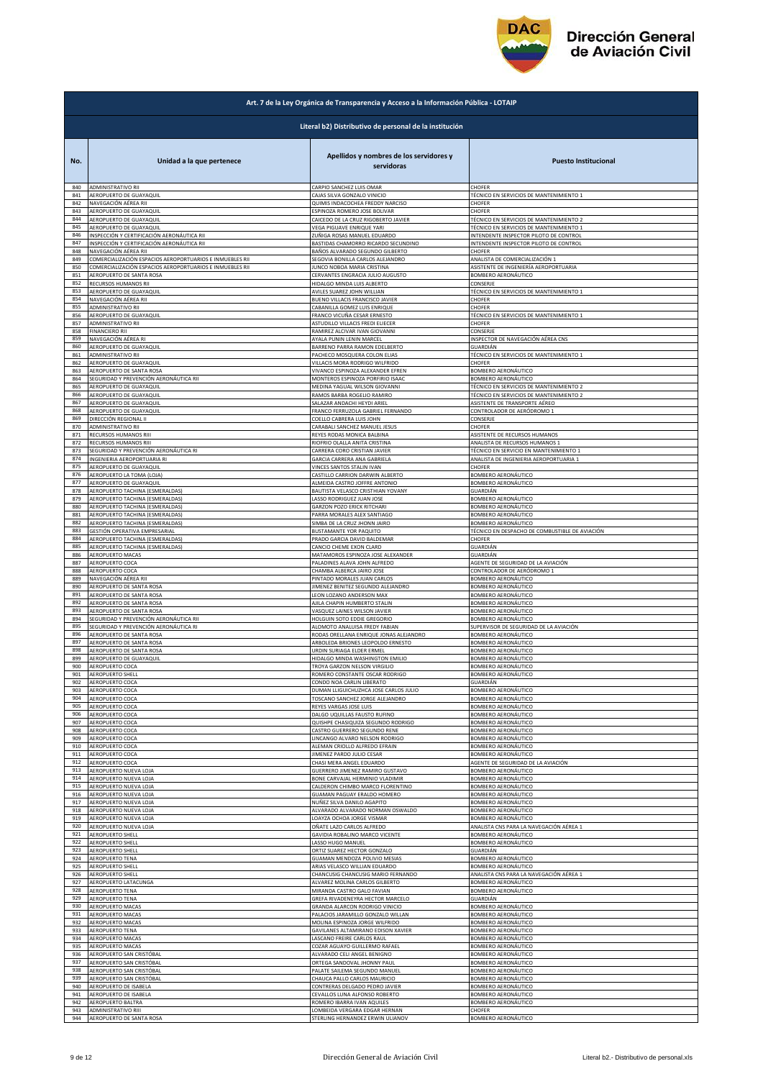

|     | Art. 7 de la Ley Orgánica de Transparencia y Acceso a la Información Pública - LOTAIP |                                                        |                                                |  |
|-----|---------------------------------------------------------------------------------------|--------------------------------------------------------|------------------------------------------------|--|
|     |                                                                                       | Literal b2) Distributivo de personal de la institución |                                                |  |
| No. | Unidad a la que pertenece                                                             | Apellidos y nombres de los servidores y<br>servidoras  | <b>Puesto Institucional</b>                    |  |
| 840 | ADMINISTRATIVO RII                                                                    | CARPIO SANCHEZ LUIS OMAR                               | CHOFER                                         |  |
| 841 | AEROPUERTO DE GUAYAQUIL                                                               | CAJAS SILVA GONZALO VINICIO                            | TÉCNICO EN SERVICIOS DE MANTENIMIENTO 1        |  |
| 842 | NAVEGACIÓN AÉREA RII                                                                  | QUIMIS INDACOCHEA FREDDY NARCISO                       | CHOFER                                         |  |
| 843 | AEROPUERTO DE GUAYAQUIL                                                               | ESPINOZA ROMERO JOSE BOLIVAR                           | CHOFER                                         |  |
| 844 | AEROPUERTO DE GUAYAQUIL                                                               | CAICEDO DE LA CRUZ RIGOBERTO JAVIER                    | TÉCNICO EN SERVICIOS DE MANTENIMIENTO 2        |  |
| 845 | AEROPUERTO DE GUAYAQUIL                                                               | VEGA PIGUAVE ENRIQUE YARI                              | TÉCNICO EN SERVICIOS DE MANTENIMIENTO 1        |  |
| 846 | INSPECCIÓN Y CERTIFICACIÓN AERONÁUTICA RII                                            | ZUÑIGA ROSAS MANUEL EDUARDO                            | INTENDENTE INSPECTOR PILOTO DE CONTROL         |  |
| 847 | INSPECCIÓN Y CERTIFICACIÓN AERONÁUTICA RII                                            | BASTIDAS CHAMORRO RICARDO SECUNDINO                    | INTENDENTE INSPECTOR PILOTO DE CONTROL         |  |
| 848 | NAVEGACIÓN AÉREA RII                                                                  | BAÑOS ALVARADO SEGUNDO GILBERTO                        | CHOFER                                         |  |
| 849 | COMERCIALIZACIÓN ESPACIOS AEROPORTUARIOS E INMUEBLES RII                              | SEGOVIA BONILLA CARLOS ALEJANDRO                       | ANALISTA DE COMERCIALIZACIÓN 1                 |  |
| 850 | COMERCIALIZACIÓN ESPACIOS AEROPORTUARIOS E INMUEBLES RII                              | JUNCO NOBOA MARIA CRISTINA                             | ASISTENTE DE INGENIERÍA AEROPORTUARIA          |  |
| 851 | AEROPUERTO DE SANTA ROSA                                                              | CERVANTES ENGRACIA JULIO AUGUSTO                       | BOMBERO AERONÁUTICO                            |  |
| 852 | RECURSOS HUMANOS RII                                                                  | HIDALGO MINDA LUIS ALBERTO                             | CONSERJE                                       |  |
| 853 | AEROPUERTO DE GUAYAQUIL                                                               | AVILES SUAREZ JOHN WILLIAN                             | TÉCNICO EN SERVICIOS DE MANTENIMIENTO 1        |  |
| 854 | NAVEGACIÓN AÉREA RII                                                                  | BUENO VILLACIS FRANCISCO JAVIER                        | CHOFER                                         |  |
| 855 | ADMINISTRATIVO RII                                                                    | CABANILLA GOMEZ LUIS ENRIQUE                           | CHOFER                                         |  |
| 856 | AEROPUERTO DE GUAYAQUIL                                                               | FRANCO VICUÑA CESAR ERNESTO                            | TÉCNICO EN SERVICIOS DE MANTENIMIENTO 1        |  |
| 857 | ADMINISTRATIVO RII                                                                    | ASTUDILLO VILLACIS FREDI ELIECER                       | CHOFER                                         |  |
| 858 | <b>FINANCIERO RII</b>                                                                 | RAMIREZ ALCIVAR IVAN GIOVANNI                          | CONSERJE                                       |  |
| 859 | NAVEGACIÓN AÉREA RI                                                                   | AYALA PUNIN LENIN MARCEL                               | INSPECTOR DE NAVEGACIÓN AÉREA CNS              |  |
| 860 | AEROPUERTO DE GUAYAQUIL                                                               | BARRENO PARRA RAMON EDELBERTO                          | GUARDIÁN                                       |  |
| 861 | ADMINISTRATIVO RII                                                                    | PACHECO MOSQUERA COLON ELIAS                           | TÉCNICO EN SERVICIOS DE MANTENIMIENTO 1        |  |
| 862 | AEROPUERTO DE GUAYAQUIL                                                               | VILLACIS MORA RODRIGO WILFRIDO                         | CHOFER                                         |  |
| 863 | AEROPUERTO DE SANTA ROSA                                                              | VIVANCO ESPINOZA ALEXANDER EFREN                       | BOMBERO AERONÁUTICO                            |  |
| 864 | SEGURIDAD Y PREVENCIÓN AERONÁUTICA RII                                                | MONTEROS ESPINOZA PORFIRIO ISAAC                       | BOMBERO AERONÁUTICO                            |  |
| 865 | AEROPUERTO DE GUAYAQUIL                                                               | MEDINA YAGUAL WILSON GIOVANNI                          | TÉCNICO EN SERVICIOS DE MANTENIMIENTO 2        |  |
| 866 | AEROPUERTO DE GUAYAQUIL                                                               | RAMOS BARBA ROGELIO RAMIRO                             | TÉCNICO EN SERVICIOS DE MANTENIMIENTO 2        |  |
| 867 | AEROPUERTO DE GUAYAQUIL                                                               | SALAZAR ANDACHI HEYDI ARIEL                            | ASISTENTE DE TRANSPORTE AÉREO                  |  |
| 868 | AEROPUERTO DE GUAYAQUIL                                                               | FRANCO FERRUZOLA GABRIEL FERNANDO                      | CONTROLADOR DE AERÓDROMO 1                     |  |
| 869 | DIRECCIÓN REGIONAL II                                                                 | COELLO CABRERA LUIS JOHN                               | CONSERJE                                       |  |
| 870 | ADMINISTRATIVO RII                                                                    | CARABALI SANCHEZ MANUEL JESUS                          | CHOFER                                         |  |
| 871 | RECURSOS HUMANOS RIII                                                                 | REYES RODAS MONICA BALBINA                             | ASISTENTE DE RECURSOS HUMANOS                  |  |
| 872 | RECURSOS HUMANOS RIII                                                                 | RIOFRIO OLALLA ANITA CRISTINA                          | ANALISTA DE RECURSOS HUMANOS 1                 |  |
| 873 | SEGURIDAD Y PREVENCIÓN AERONÁUTICA RI                                                 | CARRERA CORO CRISTIAN JAVIER                           | TÉCNICO EN SERVICIO EN MANTENIMIENTO 1         |  |
| 874 | INGENIERIA AEROPORTUARIA RI                                                           | GARCIA CARRERA ANA GABRIELA                            | ANALISTA DE INGENIERIA AEROPORTUARIA 1         |  |
| 875 | AEROPUERTO DE GUAYAQUIL                                                               | VINCES SANTOS STALIN IVAN                              | CHOFER                                         |  |
| 876 | AEROPUERTO LA TOMA (LOJA)                                                             | CASTILLO CARRION DARWIN ALBERTO                        | BOMBERO AERONÁUTICO                            |  |
| 877 | AEROPUERTO DE GUAYAQUIL                                                               | ALMEIDA CASTRO JOFFRE ANTONIO                          | BOMBERO AERONÁUTICO                            |  |
| 878 | AEROPUERTO TACHINA (ESMERALDAS)                                                       | BAUTISTA VELASCO CRISTHIAN YOVANY                      | GUARDIÁN                                       |  |
| 879 | AEROPUERTO TACHINA (ESMERALDAS)                                                       | LASSO RODRIGUEZ JUAN JOSE                              | BOMBERO AERONÁUTICO                            |  |
| 880 | AEROPUERTO TACHINA (ESMERALDAS)                                                       | <b>GARZON POZO ERICK RITCHARI</b>                      | BOMBERO AERONÁUTICO                            |  |
| 881 | AEROPUERTO TACHINA (ESMERALDAS)                                                       | PARRA MORALES ALEX SANTIAGO                            | BOMBERO AERONÁUTICO                            |  |
| 882 | AEROPUERTO TACHINA (ESMERALDAS)                                                       | SIMBA DE LA CRUZ JHONN JAIRO                           | BOMBERO AERONÁUTICO                            |  |
| 883 | GESTIÓN OPERATIVA EMPRESARIAL                                                         | BUSTAMANTE YOR PAQUITO                                 | TÉCNICO EN DESPACHO DE COMBUSTIBLE DE AVIACIÓN |  |
| 884 | AEROPUERTO TACHINA (ESMERALDAS)                                                       | PRADO GARCIA DAVID BALDEMAR                            | CHOFER                                         |  |
| 885 | AEROPUERTO TACHINA (ESMERALDAS)                                                       | CANCIO CHEME EXON CLARD                                | GUARDIÁN                                       |  |
| 886 | AEROPUERTO MACAS                                                                      | MATAMOROS ESPINOZA JOSE ALEXANDER                      | GUARDIÁN                                       |  |
| 887 | AEROPUERTO COCA                                                                       | PALADINES ALAVA JOHN ALFREDO                           | AGENTE DE SEGURIDAD DE LA AVIACIÓN             |  |
| 888 | AEROPUERTO COCA                                                                       | CHAMBA ALBERCA JAIRO JOSE                              | CONTROLADOR DE AERÓDROMO 1                     |  |
| 889 | NAVEGACIÓN AÉREA RII                                                                  | PINTADO MORALES JUAN CARLOS                            | BOMBERO AERONÁUTICO                            |  |
| 890 | AEROPUERTO DE SANTA ROSA                                                              | IMENEZ BENITEZ SEGUNDO ALEJANDRO                       | BOMBERO AERONÁUTICO                            |  |
| 891 | AEROPUERTO DE SANTA ROSA                                                              | LEON LOZANO ANDERSON MAX                               | BOMBERO AERONÁUTICO                            |  |
| 892 | AEROPUERTO DE SANTA ROSA                                                              | AJILA CHAPIN HUMBERTO STALIN                           | BOMBERO AERONÁUTICO                            |  |
| 893 | AEROPUERTO DE SANTA ROSA                                                              | VASQUEZ LAINES WILSON JAVIER                           | BOMBERO AERONÁUTICO                            |  |
| 894 | SEGURIDAD Y PREVENCIÓN AERONÁUTICA RII                                                | HOLGUIN SOTO EDDIE GREGORIO                            | BOMBERO AERONÁUTICO                            |  |
| 895 | SEGURIDAD Y PREVENCIÓN AERONÁUTICA RI                                                 | ALOMOTO ANALUISA FREDY FABIAN                          | SUPERVISOR DE SEGURIDAD DE LA AVIACIÓN         |  |
| 896 | AEROPUERTO DE SANTA ROSA                                                              | RODAS ORELLANA ENRIQUE JONAS ALEJANDRO                 | BOMBERO AERONÁUTICO                            |  |
| 897 | AEROPUERTO DE SANTA ROSA                                                              | ARBOLEDA BRIONES LEOPOLDO ERNESTO                      | BOMBERO AERONÁUTICO                            |  |
| 898 | AEROPUERTO DE SANTA ROSA                                                              | URDIN SURIAGA ELDER ERMEL                              | BOMBERO AERONÁUTICO                            |  |
| 899 | AEROPUERTO DE GUAYAQUIL                                                               | HIDALGO MINDA WASHINGTON EMILIO                        | BOMBERO AERONÁUTICO                            |  |
| 900 | AEROPUERTO COCA                                                                       | TROYA GARZON NELSON VIRGILIO                           | BOMBERO AERONÁUTICO                            |  |
| 901 | AEROPUERTO SHELL                                                                      | ROMERO CONSTANTE OSCAR RODRIGO                         | BOMBERO AERONÁUTICO                            |  |
| 902 | AEROPUERTO COCA                                                                       | CONDO NOA CARLIN LIBERATO                              | GUARDIÁN                                       |  |
| 903 | AEROPUERTO COCA                                                                       | DUMAN LLIGUICHUZHCA JOSE CARLOS JULIO                  | <b>BOMBERO AERONÁUTICO</b>                     |  |
| 904 | AEROPUERTO COCA                                                                       | TOSCANO SANCHEZ JORGE ALEJANDRO                        | BOMBERO AERONÁUTICO                            |  |
| 905 | AEROPUERTO COCA                                                                       | REYES VARGAS JOSE LUIS                                 | BOMBERO AERONÁUTICO                            |  |
| 906 | AEROPUERTO COCA                                                                       | DALGO UQUILLAS FAUSTO RUFINO                           | BOMBERO AERONÁUTICO                            |  |
| 907 | AEROPUERTO COCA                                                                       | QUISHPE CHASIQUIZA SEGUNDO RODRIGO                     | BOMBERO AERONÁUTICO                            |  |
| 908 | AEROPUERTO COCA                                                                       | CASTRO GUERRERO SEGUNDO RENE                           | BOMBERO AERONÁUTICO                            |  |
| 909 | AEROPUERTO COCA                                                                       | LINCANGO ALVARO NELSON RODRIGO                         | BOMBERO AERONÁUTICO                            |  |
| 910 | AEROPUERTO COCA                                                                       | ALEMAN CRIOLLO ALFREDO EFRAIN                          | BOMBERO AERONÁUTICO                            |  |
| 911 | AEROPUERTO COCA                                                                       | IMENEZ PARDO JULIO CESAR                               | BOMBERO AERONÁUTICO                            |  |
| 912 | AEROPUERTO COCA                                                                       | CHASI MERA ANGEL EDUARDO                               | AGENTE DE SEGURIDAD DE LA AVIACIÓN             |  |
| 913 | AEROPUERTO NUEVA LOJA                                                                 | GUERRERO JIMENEZ RAMIRO GUSTAVO                        | BOMBERO AERONÁUTICO                            |  |
| 914 | AEROPUERTO NUEVA LOJA                                                                 | BONE CARVAJAL HERMINIO VLADIMIR                        | BOMBERO AERONÁUTICO                            |  |
| 915 | AEROPUERTO NUEVA LOJA                                                                 | CALDERON CHIMBO MARCO FLORENTINO                       | BOMBERO AERONÁUTICO                            |  |
| 916 | AEROPUERTO NUEVA LOJA                                                                 | GUAMAN PAGUAY ERALDO HOMERO                            | <b>BOMBERO AERONÁUTICO</b>                     |  |
| 917 | AEROPUERTO NUEVA LOJA                                                                 | NUÑEZ SILVA DANILO AGAPITO                             | BOMBERO AERONÁUTICO                            |  |
| 918 | AEROPUERTO NUEVA LOJA                                                                 | ALVARADO ALVARADO NORMAN OSWALDO                       | BOMBERO AERONÁUTICO                            |  |
| 919 | AEROPUERTO NUEVA LOJA                                                                 | LOAYZA OCHOA JORGE VISMAR                              | BOMBERO AERONÁUTICO                            |  |
| 920 | AEROPUERTO NUEVA LOJA                                                                 | OÑATE LAZO CARLOS ALFREDO                              | ANALISTA CNS PARA LA NAVEGACIÓN AÉREA 1        |  |
| 921 | AEROPUERTO SHELL                                                                      | GAVIDIA ROBALINO MARCO VICENTE                         | 3OMBERO AERONÁUTICO                            |  |
| 922 | <b>AEROPUERTO SHELL</b>                                                               | ASSO HUGO MANUEL                                       | BOMBERO AERONÁUTICO                            |  |
| 923 | AEROPUERTO SHELL                                                                      | ORTIZ SUAREZ HECTOR GONZALO                            | GUARDIÁN                                       |  |
| 924 | AEROPUERTO TENA                                                                       | GUAMAN MENDOZA POLIVIO MESIAS                          | BOMBERO AERONÁUTICO                            |  |
| 925 | AEROPUERTO SHELL                                                                      | ARIAS VELASCO WILLIAN EDUARDO                          | BOMBERO AERONÁUTICO                            |  |
| 926 | AEROPUERTO SHELL                                                                      | CHANCUSIG CHANCUSIG MARIO FERNANDO                     | ANALISTA CNS PARA LA NAVEGACIÓN AÉREA 1        |  |
| 927 | AEROPUERTO LATACUNGA                                                                  | ALVAREZ MOLINA CARLOS GILBERTO                         | BOMBERO AERONÁUTICO                            |  |
| 928 | AEROPUERTO TENA                                                                       | MIRANDA CASTRO GALO FAVIAN                             | BOMBERO AERONÁUTICO                            |  |
| 929 | AEROPUERTO TENA                                                                       | GREFA RIVADENEYRA HECTOR MARCELO                       | GUARDIÁN                                       |  |
| 930 | AEROPUERTO MACAS                                                                      | GRANDA ALARCON RODRIGO VINICIO                         | BOMBERO AERONÁUTICO                            |  |
| 931 | AEROPUERTO MACAS                                                                      | PALACIOS JARAMILLO GONZALO WILLAN                      | BOMBERO AERONÁUTICO                            |  |
| 932 | AEROPUERTO MACAS                                                                      | MOLINA ESPINOZA JORGE WILFRIDO                         | BOMBERO AERONÁUTICO                            |  |
| 933 | AEROPUERTO TENA                                                                       | GAVILANES ALTAMIRANO EDISON XAVIER                     | BOMBERO AERONÁUTICO                            |  |
| 934 | AEROPUERTO MACAS                                                                      | ASCANO FREIRE CARLOS RAUL                              | BOMBERO AERONÁUTICO                            |  |
| 935 | AEROPUERTO MACAS                                                                      | COZAR AGUAYO GUILLERMO RAFAEI                          | BOMBERO AERONÁUTICO                            |  |
| 936 | AEROPUERTO SAN CRISTÓBAL                                                              | ALVARADO CELI ANGEL BENIGNO                            | BOMBERO AERONÁUTICO                            |  |
| 937 | AEROPUERTO SAN CRISTÓBAL                                                              | ORTEGA SANDOVAL JHONNY PAUL                            | BOMBERO AERONÁUTICO                            |  |
| 938 | AEROPUERTO SAN CRISTÓBAL                                                              | PALATE SAILEMA SEGUNDO MANUEL                          | BOMBERO AERONÁUTICO                            |  |
| 939 | AEROPUERTO SAN CRISTÓBAL                                                              | CHAUCA PALLO CARLOS MAURICIO                           | BOMBERO AERONÁUTICO                            |  |
| 940 | AEROPUERTO DE ISABELA                                                                 | CONTRERAS DELGADO PEDRO JAVIER                         | BOMBERO AERONÁUTICO                            |  |
| 941 | AEROPUERTO DE ISABELA                                                                 | CEVALLOS LUNA ALFONSO ROBERTO                          | BOMBERO AERONÁUTICO                            |  |
| 942 | AEROPUERTO BALTRA                                                                     | ROMERO IBARRA IVAN AQUILES                             | BOMBERO AERONÁUTICO                            |  |
| 943 | ADMINISTRATIVO RIII                                                                   | LOMBEIDA VERGARA EDGAR HERNAN                          | CHOFER                                         |  |
| 944 | AEROPUERTO DE SANTA ROSA                                                              | STERLING HERNANDEZ ERWIN ULIANOV                       | BOMBERO AERONÁUTICO                            |  |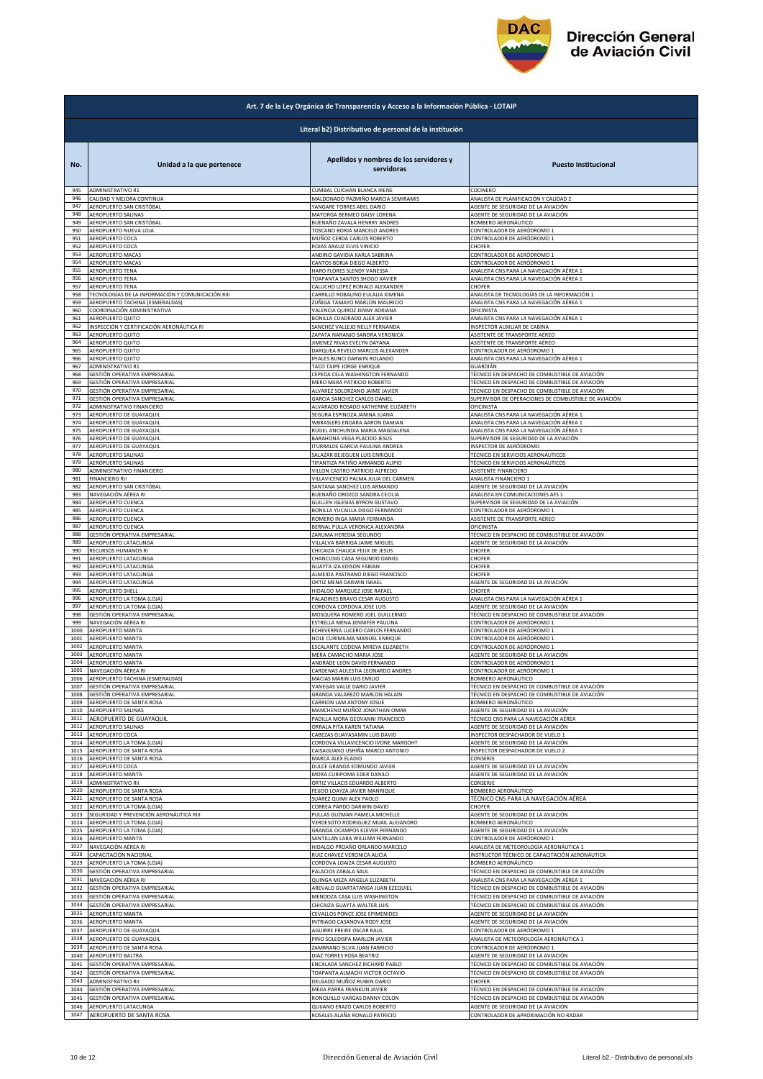

|                      | Art. 7 de la Ley Orgánica de Transparencia y Acceso a la Información Pública - LOTAIP |                                                                                               |                                                                                                                |  |
|----------------------|---------------------------------------------------------------------------------------|-----------------------------------------------------------------------------------------------|----------------------------------------------------------------------------------------------------------------|--|
|                      | Literal b2) Distributivo de personal de la institución                                |                                                                                               |                                                                                                                |  |
| No.<br>945           | Unidad a la que pertenece<br>ADMINISTRATIVO R1                                        | Apellidos y nombres de los servidores y<br>servidoras<br>CUMBAL CUICHAN BLANCA IRENE          | <b>Puesto Institucional</b><br>COCINERO                                                                        |  |
| 946                  | CALIDAD Y MEJORA CONTINUA                                                             | MALDONADO PAZMIÑO MARCIA SEMIRAMIS                                                            | ANALISTA DE PLANIFICACIÓN Y CALIDAD 2                                                                          |  |
| 947                  | AEROPUERTO SAN CRISTÓBAL                                                              | YANGARE TORRES ABEL DARIO                                                                     | AGENTE DE SEGURIDAD DE LA AVIACIÓN                                                                             |  |
| 948                  | AEROPUERTO SALINAS                                                                    | MAYORGA BERMEO DAISY LORENA                                                                   | AGENTE DE SEGURIDAD DE LA AVIACIÓN                                                                             |  |
| 949                  | AEROPUERTO SAN CRISTÓBAL                                                              | BUENAÑO ZAVALA HENRRY ANDRES                                                                  | <b>BOMBERO AERONÁUTICO</b>                                                                                     |  |
| 950                  | AEROPUERTO NUEVA LOJA                                                                 | TOSCANO BORJA MARCELO ANDRES                                                                  | CONTROLADOR DE AERÓDROMO 1                                                                                     |  |
| 951                  | AEROPUERTO COCA                                                                       | MUÑOZ CERDA CARLOS ROBERTO                                                                    | CONTROLADOR DE AERÓDROMO 1                                                                                     |  |
| 952                  | AEROPUERTO COCA                                                                       | ROJAS ARAUZ ELVIS VINICIO                                                                     | CHOFER                                                                                                         |  |
| 953                  | AEROPUERTO MACAS                                                                      | ANDINO GAVIDIA KARLA SABRINA                                                                  | CONTROLADOR DE AERÓDROMO 1                                                                                     |  |
| 954                  | AEROPUERTO MACAS                                                                      | CANTOS BORJA DIEGO ALBERTO                                                                    | CONTROLADOR DE AERÓDROMO 1                                                                                     |  |
| 955                  | AEROPUERTO TENA                                                                       | HARO FLORES SLENDY VANESSA                                                                    | ANALISTA CNS PARA LA NAVEGACIÓN AÉREA 1                                                                        |  |
| 956                  | <b>AEROPUERTO TENA</b>                                                                | <b>TOAPANTA SANTOS SHOGO XAVIER</b>                                                           | ANALISTA CNS PARA LA NAVEGACIÓN AÉREA 1                                                                        |  |
| 957                  | AEROPUERTO TENA                                                                       | CALUCHO LOPEZ RONALD ALEXANDER                                                                | CHOFER                                                                                                         |  |
| 958                  | TECNOLOGÍAS DE LA INFORMACIÓN Y COMUNICACIÓN RIII                                     | CARRILLO ROBALINO EULALIA XIMENA                                                              | ANALISTA DE TECNOLOGÍAS DE LA INFORMACIÓN 1                                                                    |  |
| 959                  | AEROPUERTO TACHINA (ESMERALDAS)                                                       | ZUÑIGA TAMAYO MARLON MAURICIO                                                                 | ANALISTA CNS PARA LA NAVEGACIÓN AÉREA 1                                                                        |  |
| 960<br>961<br>962    | COORDINACIÓN ADMINISTRATIVA<br>AEROPUERTO QUITO                                       | VALENCIA QUIROZ JENNY ADRIANA<br>BONILLA CUADRADO ALEX JAVIER                                 | OFICINISTA<br>ANALISTA CNS PARA LA NAVEGACIÓN AÉREA 1                                                          |  |
| 963                  | INSPECCIÓN Y CERTIFICACIÓN AERONÁUTICA RI<br>AEROPUERTO QUITO                         | SANCHEZ VALLEJO NELLY FERNANDA<br>ZAPATA NARANJO SANDRA VERONICA                              | INSPECTOR AUXILIAR DE CABINA<br>ASISTENTE DE TRANSPORTE AÉREO<br>ASISTENTE DE TRANSPORTE AÉREO                 |  |
| 964                  | AEROPUERTO QUITO                                                                      | IIMENEZ RIVAS EVELYN DAYANA                                                                   | CONTROLADOR DE AERÓDROMO 1                                                                                     |  |
| 965                  | AEROPUERTO QUITO                                                                      | DARQUEA REVELO MARCOS ALEXANDER                                                               |                                                                                                                |  |
| 966                  | AEROPUERTO QUITO                                                                      | IPIALES BUNCI DARWIN ROLANDO                                                                  | ANALISTA CNS PARA LA NAVEGACIÓN AÉREA 1                                                                        |  |
| 967                  | ADMINISTRATIVO R1                                                                     | TACO TAIPE JORGE ENRIQUE                                                                      | GUARDIÁN                                                                                                       |  |
| 968                  | GESTIÓN OPERATIVA EMPRESARIAL                                                         | CEPEDA CELA WASHINGTON FERNANDO                                                               | TÉCNICO EN DESPACHO DE COMBUSTIBLE DE AVIACIÓN                                                                 |  |
| 969                  | GESTIÓN OPERATIVA EMPRESARIAL                                                         | MERO MERA PATRICIO ROBERTO                                                                    | TÉCNICO EN DESPACHO DE COMBUSTIBLE DE AVIACIÓN                                                                 |  |
| 970                  | GESTIÓN OPERATIVA EMPRESARIAL                                                         | ALVAREZ SOLORZANO JAIME JAVIER                                                                | TÉCNICO EN DESPACHO DE COMBUSTIBLE DE AVIACIÓN                                                                 |  |
| 971                  | GESTIÓN OPERATIVA EMPRESARIAL                                                         | GARCIA SANCHEZ CARLOS DANIEL                                                                  | SUPERVISOR DE OPERACIONES DE COMBUSTIBLE DE AVIACIÓN                                                           |  |
| 972                  | ADMINISTRATIVO FINANCIERO                                                             | ALVARADO ROSADO KATHERINE ELIZABETH                                                           | OFICINISTA                                                                                                     |  |
| 973                  | AEROPUERTO DE GUAYAQUIL                                                               | SEGURA ESPINOZA JANINA JUANA                                                                  | ANALISTA CNS PARA LA NAVEGACIÓN AÉREA 1                                                                        |  |
| 974                  | AEROPUERTO DE GUAYAQUIL                                                               | WBRASLERS ENDARA AARON DAMIAN                                                                 | ANALISTA CNS PARA LA NAVEGACIÓN AÉREA 1                                                                        |  |
| 975                  | AEROPUERTO DE GUAYAQUIL                                                               | RUGEL ANCHUNDIA MARIA MAGDALENA                                                               | ANALISTA CNS PARA LA NAVEGACIÓN AÉREA 1                                                                        |  |
| 976                  | AEROPUERTO DE GUAYAQUIL                                                               | BARAHONA VEGA PLACIDO JESUS                                                                   | SUPERVISOR DE SEGURIDAD DE LA AVIACIÓN                                                                         |  |
| 977                  | AEROPUERTO DE GUAYAQUIL                                                               | ITURRALDE GARCIA PAULINA ANDREA                                                               | INSPECTOR DE AERÓDROMO                                                                                         |  |
| 978                  | <b>AEROPUERTO SALINAS</b>                                                             | SALAZAR BEJEGUEN LUIS ENRIQUE                                                                 | TÉCNICO EN SERVICIOS AERONÁUTICOS                                                                              |  |
| 979                  | AEROPUERTO SALINAS                                                                    | TIPANTIZA PATIÑO ARMANDO ALIPIO                                                               | TÉCNICO EN SERVICIOS AERONÁUTICOS                                                                              |  |
| 980                  | ADMINISTRATIVO FINANCIERO                                                             | VILLON CASTRO PATRICIO ALFREDO                                                                | ASISTENTE FINANCIERO                                                                                           |  |
| 981                  | <b>FINANCIERO RII</b>                                                                 | VILLAVICENCIO PALMA JULIA DEL CARMEN                                                          | ANALISTA FINANCIERO 1                                                                                          |  |
| 982                  | AEROPUERTO SAN CRISTÓBAL                                                              | SANTANA SANCHEZ LUIS ARMANDO                                                                  | AGENTE DE SEGURIDAD DE LA AVIACIÓN                                                                             |  |
| 983                  | NAVEGACIÓN AÉREA RI                                                                   | BUENAÑO OROZCO SANDRA CECILIA                                                                 | ANALISTA EN COMUNICACIONES AFS 1                                                                               |  |
| 984                  | AEROPUERTO CUENCA                                                                     | GUILLEN IGLESIAS BYRON GUSTAVO                                                                | SUPERVISOR DE SEGURIDAD DE LA AVIACIÓN                                                                         |  |
| 985                  | AEROPUERTO CUENCA                                                                     | BONILLA YUCAILLA DIEGO FERNANDO                                                               | CONTROLADOR DE AERÓDROMO 1                                                                                     |  |
| 986                  | AEROPUERTO CUENCA                                                                     | ROMERO INGA MARIA FERNANDA                                                                    | ASISTENTE DE TRANSPORTE AÉREO                                                                                  |  |
| 987                  | AEROPUERTO CUENCA                                                                     | BERNAL PULLA VERONICA ALEXANDRA                                                               | OFICINISTA                                                                                                     |  |
| 988                  | GESTIÓN OPERATIVA EMPRESARIAL                                                         | ZARUMA HEREDIA SEGUNDO                                                                        | TÉCNICO EN DESPACHO DE COMBUSTIBLE DE AVIACIÓN                                                                 |  |
| 989                  | AEROPUERTO LATACUNGA                                                                  | VILLALVA BARRIGA JAIME MIGUEL                                                                 | AGENTE DE SEGURIDAD DE LA AVIACIÓN                                                                             |  |
| 990                  | RECURSOS HUMANOS RI                                                                   | CHICAIZA CHAUCA FELIX DE JESUS                                                                | CHOFER                                                                                                         |  |
| 991                  | AEROPUERTO LATACUNGA                                                                  | CHANCUSIG CASA SEGUNDO DANIEI                                                                 | CHOFER                                                                                                         |  |
| 992                  | AEROPUERTO LATACUNGA                                                                  | GUAYTA IZA EDISON FABIAN                                                                      | CHOFER                                                                                                         |  |
| 993                  | AEROPUERTO LATACUNGA                                                                  | ALMEIDA PASTRANO DIEGO FRANCISCO                                                              | CHOFER                                                                                                         |  |
| 994                  | AEROPUERTO LATACUNGA                                                                  | ORTIZ MENA DARWIN ISRAEL                                                                      | AGENTE DE SEGURIDAD DE LA AVIACIÓN                                                                             |  |
| 995                  | AEROPUERTO SHELL                                                                      | HIDALGO MARQUEZ JOSE RAFAEL                                                                   | CHOFER                                                                                                         |  |
| 996                  | AEROPUERTO LA TOMA (LOJA)                                                             | PALADINES BRAVO CESAR AUGUSTO                                                                 | ANALISTA CNS PARA LA NAVEGACIÓN AÉREA 1                                                                        |  |
| 997                  | AEROPUERTO LA TOMA (LOJA)                                                             | CORDOVA CORDOVA JOSE LUIS                                                                     | AGENTE DE SEGURIDAD DE LA AVIACIÓN                                                                             |  |
| 998                  | GESTIÓN OPERATIVA EMPRESARIAL                                                         | MOSQUERA ROMERO JOEL GUILLERMO                                                                | TÉCNICO EN DESPACHO DE COMBUSTIBLE DE AVIACIÓN                                                                 |  |
| 999                  | NAVEGACIÓN AÉREA RI                                                                   | ESTRELLA MENA JENNIFER PAULINA                                                                | CONTROLADOR DE AERÓDROMO 1                                                                                     |  |
| 1000                 | <b>AEROPUERTO MANTA</b>                                                               | ECHEVERRIA LUCERO CARLOS FERNANDO                                                             | CONTROLADOR DE AERÓDROMO 1                                                                                     |  |
| 1001                 | AEROPUERTO MANTA                                                                      | NOLE CURIMILMA MANUEL ENRIQUE                                                                 | CONTROLADOR DE AERÓDROMO 1                                                                                     |  |
| 1002                 | AEROPUERTO MANTA                                                                      | ESCALANTE CODENA MIREYA ELIZABETH                                                             | CONTROLADOR DE AERÓDROMO 1                                                                                     |  |
| 1003                 | AEROPUERTO MANTA                                                                      | MERA CAMACHO MARIA JOSE                                                                       | AGENTE DE SEGURIDAD DE LA AVIACIÓN                                                                             |  |
| 1004                 | <b>AEROPUERTO MANTA</b>                                                               | ANDRADE LEON DAVID FERNANDO                                                                   | CONTROLADOR DE AERÓDROMO 1                                                                                     |  |
| 1005                 | NAVEGACION AEREA RI                                                                   | CARDENAS AULESTIA LEONARDO ANDRES                                                             | CONTROLADOR DE AERODRI                                                                                         |  |
| 1006                 | AEROPUERTO TACHINA (ESMERALDAS)                                                       | MACIAS MARIN LUIS EMILIO                                                                      | BOMBERO AERONÁUTICO                                                                                            |  |
| 1007                 | GESTIÓN OPERATIVA EMPRESARIAL                                                         | VANEGAS VALLE DARIO JAVIER                                                                    | TÉCNICO EN DESPACHO DE COMBUSTIBLE DE AVIACIÓN                                                                 |  |
| 1008                 | GESTIÓN OPERATIVA EMPRESARIAL                                                         | GRANDA VALAREZO MARLON HALAIN                                                                 | TÉCNICO EN DESPACHO DE COMBUSTIBLE DE AVIACIÓN                                                                 |  |
| 1009<br>1010<br>1011 | AEROPUERTO DE SANTA ROSA<br>AEROPUERTO SALINAS                                        | CARRION LAM ANTONY JOSUE<br>MANCHENO MUÑOZ JONATHAN OMAR                                      | BOMBERO AERONÁUTICO<br>AGENTE DE SEGURIDAD DE LA AVIACIÓN                                                      |  |
| 1012<br>1013         | AEROPUERTO DE GUAYAQUIL<br>AEROPUERTO SALINAS                                         | PADILLA MORA GEOVANNI FRANCISCO<br>ORRALA PITA KAREN TATIANA<br>CABEZAS GUAYASAMIN LUIS DAVID | TÉCNICO CNS PARA LA NAVEGACIÓN AÉREA<br>AGENTE DE SEGURIDAD DE LA AVIACIÓN<br>INSPECTOR DESPACHADOR DE VUELO 1 |  |
| 1014<br>1015         | AEROPUERTO COCA<br>AEROPUERTO LA TOMA (LOJA)<br>AEROPUERTO DE SANTA ROSA              | CORDOVA VILLAVICENCIO IVONE MARGOHT<br>CAISAGUANO USHIÑA MARCO ANTONIO                        | AGENTE DE SEGURIDAD DE LA AVIACIÓN<br>INSPECTOR DESPACHADOR DE VUELO 2                                         |  |
| 1016                 | AEROPUERTO DE SANTA ROSA                                                              | MARCA ALEX ELADIO                                                                             | CONSERJE                                                                                                       |  |
| 1017                 | AEROPUERTO COCA                                                                       | DULCE GRANDA EDMUNDO JAVIER                                                                   | AGENTE DE SEGURIDAD DE LA AVIACIÓN                                                                             |  |
| 1018                 | AEROPUERTO MANTA                                                                      | MORA CURIPOMA EDER DANILO                                                                     | AGENTE DE SEGURIDAD DE LA AVIACIÓN                                                                             |  |
| 1019                 | ADMINISTRATIVO RII                                                                    | ORTIZ VILLACIS EDUARDO ALBERTO                                                                | CONSERJE                                                                                                       |  |
| 1020                 | AEROPUERTO DE SANTA ROSA                                                              | FEIJOO LOAYZA JAVIER MANRIQUE                                                                 | BOMBERO AERONÁUTICO                                                                                            |  |
| 1021                 | AEROPUERTO DE SANTA ROSA                                                              | SUAREZ QUIMI ALEX PAOLO                                                                       | TÉCNICO CNS PARA LA NAVEGACIÓN AÉREA                                                                           |  |
| 1022                 | AEROPUERTO LA TOMA (LOJA)                                                             | CORREA PARDO DARWIN DAVID                                                                     | CHOFER                                                                                                         |  |
| 1023                 | SEGURIDAD Y PREVENCIÓN AERONÁUTICA RIII                                               | PULLAS GUZMAN PAMELA MICHELLE                                                                 | AGENTE DE SEGURIDAD DE LA AVIACIÓN                                                                             |  |
| 1024                 | AEROPUERTO LA TOMA (LOJA)                                                             | VERDESOTO RODRIGUEZ MIJAIL ALEJANDRO                                                          | BOMBERO AERONÁUTICO                                                                                            |  |
| 1025                 | AEROPUERTO LA TOMA (LOJA)                                                             | GRANDA OCAMPOS KLEVER FERNANDO                                                                | AGENTE DE SEGURIDAD DE LA AVIACIÓN                                                                             |  |
| 1026                 | AEROPUERTO MANTA                                                                      | SANTILLAN LARA WILLIAM FERNANDO                                                               | CONTROLADOR DE AERÓDROMO 1                                                                                     |  |
| 1027                 | NAVEGACIÓN AÉREA RI                                                                   | HIDALGO PROAÑO ORLANDO MARCELO                                                                | ANALISTA DE METEOROLOGÍA AERONÁUTICA 1                                                                         |  |
| 1028                 | CAPACITACIÓN NACIONAL                                                                 | RUIZ CHAVEZ VERONICA ALICIA                                                                   | INSTRUCTOR TÉCNICO DE CAPACITACIÓN AERONÁUTICA                                                                 |  |
| 1029                 | AEROPUERTO LA TOMA (LOJA)                                                             | CORDOVA LOAIZA CESAR AUGUSTO                                                                  | BOMBERO AERONÁUTICO                                                                                            |  |
| 1030                 | GESTIÓN OPERATIVA EMPRESARIAL                                                         | PALACIOS ZABALA SAUL                                                                          | TÉCNICO EN DESPACHO DE COMBUSTIBLE DE AVIACIÓN                                                                 |  |
| 1031                 | NAVEGACIÓN AÉREA RI                                                                   | QUINGA MEZA ANGELA ELIZABETH                                                                  | ANALISTA CNS PARA LA NAVEGACIÓN AÉREA 1                                                                        |  |
| 1032                 | GESTIÓN OPERATIVA EMPRESARIAL                                                         | AREVALO GUARTATANGA JUAN EZEQUIEL                                                             | TÉCNICO EN DESPACHO DE COMBUSTIBLE DE AVIACIÓN                                                                 |  |
| 1033                 | GESTIÓN OPERATIVA EMPRESARIAL                                                         | MENDOZA CASA LUIS WASHINGTON                                                                  | TÉCNICO EN DESPACHO DE COMBUSTIBLE DE AVIACIÓN                                                                 |  |
| 1034<br>1035         | GESTIÓN OPERATIVA EMPRESARIAL                                                         | CHICAIZA GUAYTA WALTER LUIS                                                                   | TÉCNICO EN DESPACHO DE COMBUSTIBLE DE AVIACIÓN                                                                 |  |
| 1036                 | AEROPUERTO MANTA                                                                      | CEVALLOS PONCE JOSE EPIMENIDES                                                                | AGENTE DE SEGURIDAD DE LA AVIACIÓN                                                                             |  |
|                      | AEROPUERTO MANTA                                                                      | INTRIAGO CASANOVA RODY JOSE                                                                   | AGENTE DE SEGURIDAD DE LA AVIACIÓN                                                                             |  |
| 1037                 | AEROPUERTO DE GUAYAQUIL                                                               | AGUIRRE FREIRE OSCAR RAUL                                                                     | CONTROLADOR DE AERÓDROMO 1                                                                                     |  |
| 1038                 | AEROPUERTO DE GUAYAQUIL                                                               | PINO SOLEDISPA MARLON JAVIER                                                                  | ANALISTA DE METEOROLOGÍA AERONÁUTICA 1                                                                         |  |
| 1039                 | AEROPUERTO DE SANTA ROSA                                                              | ZAMBRANO SILVA JUAN FABRICIO                                                                  | CONTROLADOR DE AERÓDROMO 1                                                                                     |  |
| 1040                 | AEROPUERTO BALTRA                                                                     | DIAZ TORRES ROSA BEATRIZ                                                                      | AGENTE DE SEGURIDAD DE LA AVIACIÓN                                                                             |  |
| 1041                 | GESTIÓN OPERATIVA EMPRESARIAL                                                         | ENCALADA SANCHEZ RICHARD PABLO                                                                | TÉCNICO EN DESPACHO DE COMBUSTIBLE DE AVIACIÓN                                                                 |  |
| 1042                 | GESTIÓN OPERATIVA EMPRESARIAL                                                         | TOAPANTA ALMACHI VICTOR OCTAVIO                                                               | TÉCNICO EN DESPACHO DE COMBUSTIBLE DE AVIACIÓN                                                                 |  |
| 1043                 | <b>ADMINISTRATIVO RII</b>                                                             | DELGADO MUÑOZ RUBEN DARIO                                                                     | CHOFER                                                                                                         |  |
| 1044                 | GESTIÓN OPERATIVA EMPRESARIAL                                                         | MEJIA PARRA FRANKLIN JAVIER                                                                   | TÉCNICO EN DESPACHO DE COMBUSTIBLE DE AVIACIÓN                                                                 |  |
| 1045                 | GESTIÓN OPERATIVA EMPRESARIAL                                                         | RONQUILLO VARGAS DANNY COLON                                                                  | TÉCNICO EN DESPACHO DE COMBUSTIBLE DE AVIACIÓN                                                                 |  |
| 1046                 | AEROPUERTO LATACUNGA                                                                  | QUIJANO ERAZO CARLOS ROBERTO                                                                  | AGENTE DE SEGURIDAD DE LA AVIACIÓN                                                                             |  |
| 1047                 | AEROPUERTO DE SANTA ROSA                                                              | ROSALES ALAÑA RONALD PATRICIO                                                                 | CONTROLADOR DE APROXIMACIÓN NO RADAR                                                                           |  |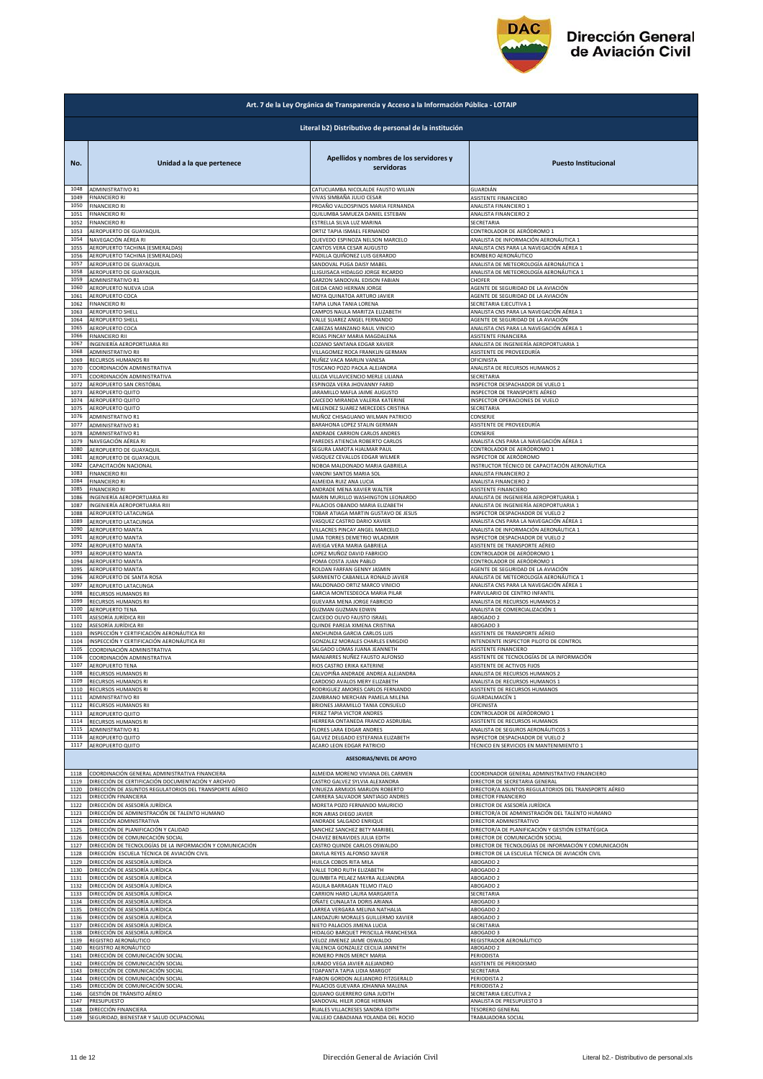

| Art. 7 de la Ley Orgánica de Transparencia y Acceso a la Información Pública - LOTAIP |                                                           |                                                                  |                                                       |  |
|---------------------------------------------------------------------------------------|-----------------------------------------------------------|------------------------------------------------------------------|-------------------------------------------------------|--|
|                                                                                       | Literal b2) Distributivo de personal de la institución    |                                                                  |                                                       |  |
| No.                                                                                   | Unidad a la que pertenece                                 | Apellidos y nombres de los servidores y<br>servidoras            | <b>Puesto Institucional</b>                           |  |
| 1048                                                                                  | <b>ADMINISTRATIVO R1</b>                                  | CATUCUAMBA NICOLALDE FAUSTO WILIAN                               | GUARDIÁN                                              |  |
| 1049                                                                                  | <b>FINANCIERO RI</b>                                      | VIVAS SIMBAÑA JULIO CESAR                                        | ASISTENTE FINANCIERO                                  |  |
| 1050                                                                                  | <b>FINANCIERO RI</b>                                      | PROAÑO VALDOSPINOS MARIA FERNANDA                                | ANALISTA FINANCIERO 1                                 |  |
| 1051                                                                                  | <b>FINANCIERO RI</b>                                      | QUILUMBA SAMUEZA DANIEL ESTEBAN                                  | ANALISTA FINANCIERO 2                                 |  |
| 1052                                                                                  | <b>FINANCIERO RI</b>                                      | ESTRELLA SILVA LUZ MARINA                                        | SECRETARIA                                            |  |
| 1053                                                                                  | AEROPUERTO DE GUAYAQUIL                                   | ORTIZ TAPIA ISMAEL FERNANDO                                      | CONTROLADOR DE AERÓDROMO 1                            |  |
| 1054                                                                                  | NAVEGACIÓN AÉREA RI                                       | QUEVEDO ESPINOZA NELSON MARCELO                                  | ANALISTA DE INFORMACIÓN AERONÁUTICA 1                 |  |
| 1055                                                                                  | AEROPUERTO TACHINA (ESMERALDAS)                           | CANTOS VERA CESAR AUGUSTO                                        | ANALISTA CNS PARA LA NAVEGACIÓN AÉREA 1               |  |
| 1056                                                                                  | AEROPUERTO TACHINA (ESMERALDAS)                           | PADILLA QUIÑONEZ LUIS GERARDO                                    | BOMBERO AERONÁUTICO                                   |  |
| 1057                                                                                  | AEROPUERTO DE GUAYAQUIL                                   | SANDOVAL PUGA DAISY MABEL                                        | ANALISTA DE METEOROLOGÍA AERONÁUTICA 1                |  |
| 1058                                                                                  | AEROPUERTO DE GUAYAQUIL                                   | LLIGUISACA HIDALGO JORGE RICARDO                                 | ANALISTA DE METEOROLOGÍA AERONÁUTICA 1                |  |
| 1059                                                                                  | ADMINISTRATIVO R1                                         | GARZON SANDOVAL EDISON FABIAN                                    | CHOFER                                                |  |
| 1060                                                                                  | AEROPUERTO NUEVA LOJA                                     | OJEDA CANO HERNAN JORGE                                          | AGENTE DE SEGURIDAD DE LA AVIACIÓN                    |  |
| 1061                                                                                  | AEROPUERTO COCA                                           | MOYA QUINATOA ARTURO JAVIER                                      | AGENTE DE SEGURIDAD DE LA AVIACIÓN                    |  |
| 1062                                                                                  | <b>FINANCIERO RI</b>                                      | TAPIA LUNA TANIA LORENA                                          | SECRETARIA EJECUTIVA 1                                |  |
| 1063                                                                                  | AEROPUERTO SHELL                                          | CAMPOS NAULA MARITZA ELIZABETH                                   | ANALISTA CNS PARA LA NAVEGACIÓN AÉREA 1               |  |
| 1064                                                                                  | AEROPUERTO SHELL                                          | VALLE SUAREZ ANGEL FERNANDO                                      | AGENTE DE SEGURIDAD DE LA AVIACIÓN                    |  |
| 1065                                                                                  | AEROPUERTO COCA                                           | CABEZAS MANZANO RAUL VINICIO                                     | ANALISTA CNS PARA LA NAVEGACIÓN AÉREA 1               |  |
| 1066                                                                                  | <b>FINANCIERO RII</b>                                     | ROJAS PINCAY MARIA MAGDALENA                                     | ASISTENTE FINANCIERA                                  |  |
| 1067                                                                                  | INGENIERÍA AEROPORTUARIA RII                              | LOZANO SANTANA EDGAR XAVIER                                      | ANALISTA DE INGENIERÍA AEROPORTUARIA 1                |  |
| 1068<br>1069                                                                          | ADMINISTRATIVO RII<br><b>RECURSOS HUMANOS RII</b>         | VILLAGOMEZ ROCA FRANKLIN GERMAN                                  | ASISTENTE DE PROVEEDURÍA                              |  |
| 1070                                                                                  | COORDINACIÓN ADMINISTRATIVA                               | NUÑEZ VACA MARLIN VANESA<br>TOSCANO POZO PAOLA ALEJANDRA         | OFICINISTA<br>ANALISTA DE RECURSOS HUMANOS 2          |  |
| 1071                                                                                  | COORDINACIÓN ADMINISTRATIVA                               | ULLOA VILLAVICENCIO MERLE LILIANA                                | SECRETARIA                                            |  |
| 1072                                                                                  | AEROPUERTO SAN CRISTÓBAL                                  | ESPINOZA VERA JHOVANNY FARID                                     | INSPECTOR DESPACHADOR DE VUELO 1                      |  |
| 1073                                                                                  | AEROPUERTO QUITO                                          | JARAMILLO MAFLA JAIME AUGUSTO                                    | INSPECTOR DE TRANSPORTE AÉREO                         |  |
| 1074                                                                                  | AEROPUERTO QUITO                                          | CAICEDO MIRANDA VALERIA KATERINE                                 | INSPECTOR OPERACIONES DE VUELO                        |  |
| 1075                                                                                  | AEROPUERTO QUITO                                          | MELENDEZ SUAREZ MERCEDES CRISTINA                                | SECRETARIA                                            |  |
| 1076                                                                                  | ADMINISTRATIVO R1                                         | MUÑOZ CHISAGUANO WILMAN PATRICIO                                 | CONSERJE                                              |  |
| 1077<br>1078                                                                          | <b>ADMINISTRATIVO R1</b>                                  | BARAHONA LOPEZ STALIN GERMAN                                     | ASISTENTE DE PROVEEDURÍA<br>CONSERJE                  |  |
| 1079                                                                                  | ADMINISTRATIVO R1<br>NAVEGACIÓN AÉREA RI                  | ANDRADE CARRION CARLOS ANDRES<br>PAREDES ATIENCIA ROBERTO CARLOS | ANALISTA CNS PARA LA NAVEGACIÓN AÉREA 1               |  |
| 1080                                                                                  | AEROPUERTO DE GUAYAQUIL                                   | SEGURA LAMOTA HJALMAR PAUL                                       | CONTROLADOR DE AERÓDROMO 1                            |  |
| 1081                                                                                  | AEROPUERTO DE GUAYAQUIL                                   | VASQUEZ CEVALLOS EDGAR WILMER                                    | INSPECTOR DE AERÓDROMO                                |  |
| 1082                                                                                  | CAPACITACIÓN NACIONAL                                     | NOBOA MALDONADO MARIA GABRIELA                                   | INSTRUCTOR TÉCNICO DE CAPACITACIÓN AERONÁUTICA        |  |
| 1083                                                                                  | <b>FINANCIERO RII</b>                                     | VANONI SANTOS MARIA SOL                                          | ANALISTA FINANCIERO 2                                 |  |
| 1084                                                                                  | <b>FINANCIERO RI</b>                                      | ALMEIDA RUIZ ANA LUCIA                                           | ANALISTA FINANCIERO 2                                 |  |
| 1085                                                                                  | <b>FINANCIERO RI</b>                                      | ANDRADE MENA XAVIER WALTER                                       | ASISTENTE FINANCIERO                                  |  |
| 1086                                                                                  | INGENIERÍA AEROPORTUARIA RII                              | MARIN MURILLO WASHINGTON LEONARDO                                | ANALISTA DE INGENIERÍA AEROPORTUARIA 1                |  |
| 1087                                                                                  | INGENIERÍA AEROPORTUARIA RIII                             | PALACIOS OBANDO MARIA ELIZABETH                                  | ANALISTA DE INGENIERÍA AEROPORTUARIA 1                |  |
| 1088                                                                                  | AEROPUERTO LATACUNGA                                      | TOBAR ATIAGA MARTIN GUSTAVO DE JESUS                             | INSPECTOR DESPACHADOR DE VUELO 2                      |  |
| 1089                                                                                  | AEROPUERTO LATACUNGA                                      | VASQUEZ CASTRO DARIO XAVIER                                      | ANALISTA CNS PARA LA NAVEGACIÓN AÉREA 1               |  |
| 1090                                                                                  | AEROPUERTO MANTA                                          | VILLACRES PINCAY ANGEL MARCELO                                   | ANALISTA DE INFORMACIÓN AERONÁUTICA 1                 |  |
| 1091                                                                                  | AEROPUERTO MANTA                                          | LIMA TORRES DEMETRIO WLADIMIR                                    | INSPECTOR DESPACHADOR DE VUELO 2                      |  |
| 1092                                                                                  | AEROPUERTO MANTA                                          | AVEIGA VERA MARIA GABRIELA                                       | ASISTENTE DE TRANSPORTE AÉREO                         |  |
| 1093                                                                                  | AEROPUERTO MANTA                                          | LOPEZ MUÑOZ DAVID FABRICIO                                       | CONTROLADOR DE AERÓDROMO 1                            |  |
| 1094                                                                                  | AEROPUERTO MANTA                                          | POMA COSTA JUAN PABLO                                            | CONTROLADOR DE AERÓDROMO 1                            |  |
| 1095                                                                                  | AEROPUERTO MANTA                                          | ROLDAN FARFAN GENNY JASMIN                                       | AGENTE DE SEGURIDAD DE LA AVIACIÓN                    |  |
| 1096                                                                                  | AEROPUERTO DE SANTA ROSA                                  | SARMIENTO CABANILLA RONALD JAVIER                                | ANALISTA DE METEOROLOGÍA AERONÁUTICA 1                |  |
| 1097                                                                                  | AEROPUERTO LATACUNGA                                      | MALDONADO ORTIZ MARCO VINICIO                                    | ANALISTA CNS PARA LA NAVEGACIÓN AÉREA 1               |  |
| 1098                                                                                  |                                                           | GARCIA MONTESDEOCA MARIA PILAR                                   | PARVULARIO DE CENTRO INFANTIL                         |  |
| 1099                                                                                  | RECURSOS HUMANOS RII<br>RECURSOS HUMANOS RII              | GUEVARA MENA JORGE FABRICIO                                      | ANALISTA DE RECURSOS HUMANOS 2                        |  |
| 1100                                                                                  | AEROPUERTO TENA                                           | <b>GUZMAN GUZMAN EDWIN</b>                                       | ANALISTA DE COMERCIALIZACIÓN 1                        |  |
| 1101                                                                                  | ASESORÍA JURÍDICA RIII                                    | CAICEDO OLIVO FAUSTO ISRAEL                                      | ABOGADO 2                                             |  |
| 1102                                                                                  | ASESORÍA JURÍDICA RII                                     | QUINDE PAREJA XIMENA CRISTINA                                    | ABOGADO 3                                             |  |
| 1103                                                                                  | INSPECCIÓN Y CERTIFICACIÓN AERONÁUTICA RII                | ANCHUNDIA GARCIA CARLOS LUIS                                     | ASISTENTE DE TRANSPORTE AÉREO                         |  |
| 1104                                                                                  | INSPECCIÓN Y CERTIFICACIÓN AERONÁUTICA RII                | GONZALEZ MORALES CHARLES EMIGDIO                                 | INTENDENTE INSPECTOR PILOTO DE CONTROL                |  |
| 1105                                                                                  | COORDINACIÓN ADMINISTRATIVA                               | SALGADO LOMAS JUANA JEANNETH                                     | ASISTENTE FINANCIERO                                  |  |
| 1106                                                                                  | COORDINACIÓN ADMINISTRATIVA                               | MANJARRES NUÑEZ FAUSTO ALFONSO                                   | ASISTENTE DE TECNOLOGÍAS DE LA INFORMACIÓN            |  |
| 1107                                                                                  | <b>AEROPUERTO TENA</b>                                    | RIOS CASTRO ERIKA KATERINE                                       | ASISTENTE DE ACTIVOS FIJOS                            |  |
| 1108                                                                                  | RECURSOS HUMANOS RI                                       | CALVOPIÑA ANDRADE ANDREA ALEJANDRA                               | ANALISTA DE RECURSOS HUMANOS 2                        |  |
| 1109                                                                                  | RECURSOS HUMANOS RI                                       | CARDOSO AVALOS MERY ELIZABETH                                    | ANALISTA DE RECURSOS HUMANOS 1                        |  |
| 1110<br>1111                                                                          | RECURSOS HUMANOS RI                                       | RODRIGUEZ AMORES CARLOS FERNANDO                                 | ASISTENTE DE RECURSOS HUMANOS                         |  |
| 1112                                                                                  | <b>ADMINISTRATIVO RII</b>                                 | ZAMBRANO MERCHAN PAMELA MILENA                                   | GUARDALMACÉN 1                                        |  |
|                                                                                       | RECURSOS HUMANOS RII                                      | BRIONES JARAMILLO TANIA CONSUELO                                 | OFICINISTA                                            |  |
| 1113                                                                                  | AEROPUERTO QUITO                                          | PEREZ TAPIA VICTOR ANDRES                                        | CONTROLADOR DE AERÓDROMO 1                            |  |
| 1114                                                                                  | RECURSOS HUMANOS RI                                       | HERRERA ONTANEDA FRANCO ASDRUBAL                                 | SISTENTE DE RECURSOS HUMANOS                          |  |
| 1115                                                                                  | ADMINISTRATIVO R1                                         | <b>FLORES LARA EDGAR ANDRES</b>                                  | ANALISTA DE SEGUROS AERONÁUTICOS 3                    |  |
| 1116                                                                                  | AEROPUERTO QUITO                                          | GALVEZ DELGADO ESTEFANIA ELIZABETH                               | INSPECTOR DESPACHADOR DE VUELO 2                      |  |
| 1117                                                                                  | AEROPUERTO QUITO                                          | ACARO LEON EDGAR PATRICIO                                        | TÉCNICO EN SERVICIOS EN MANTENIMIENTO 1               |  |
|                                                                                       |                                                           | <b>ASESORIAS/NIVEL DE APOYO</b>                                  |                                                       |  |
| 1118                                                                                  | COORDINACIÓN GENERAL ADMINISTRATIVA FINANCIERA            | ALMEIDA MORENO VIVIANA DEL CARMEN                                | COORDINADOR GENERAL ADMINISTRATIVO FINANCIERO         |  |
| 1119                                                                                  | DIRECCIÓN DE CERTIFICACIÓN DOCUMENTACIÓN Y ARCHIVO        | CASTRO GALVEZ SYLVIA ALEXANDRA                                   | DIRECTOR DE SECRETARIA GENERAL                        |  |
| 1120                                                                                  | DIRECCIÓN DE ASUNTOS REGULATORIOS DEL TRANSPORTE AÉREO    | VINUEZA ARMIJOS MARLON ROBERTO                                   | DIRECTOR/A ASUNTOS REGULATORIOS DEL TRANSPORTE AÉREO  |  |
| 1121                                                                                  | DIRECCIÓN FINANCIERA                                      | CARRERA SALVADOR SANTIAGO ANDRES                                 | DIRECTOR FINANCIERO                                   |  |
| 1122                                                                                  | DIRECCIÓN DE ASESORÍA JURÍDICA                            | MORETA POZO FERNANDO MAURICIO                                    | DIRECTOR DE ASESORÍA JURÍDICA                         |  |
| 1123                                                                                  | DIRECCIÓN DE ADMINISTRACIÓN DE TALENTO HUMANO             | RON ARIAS DIEGO JAVIER                                           | DIRECTOR/A DE ADMINISTRACIÓN DEL TALENTO HUMANO       |  |
| 1124                                                                                  | DIRECCIÓN ADMINISTRATIVA                                  | ANDRADE SALGADO ENRIQUE                                          | <b>DIRECTOR ADMINISTRATIVO</b>                        |  |
| 1125                                                                                  | DIRECCIÓN DE PLANIFICACIÓN Y CALIDAD                      | SANCHEZ SANCHEZ BETY MARIBEL                                     | DIRECTOR/A DE PLANIFICACIÓN Y GESTIÓN ESTRATÉGICA     |  |
| 1126                                                                                  | DIRECCIÓN DE COMUNICACIÓN SOCIAL                          | CHAVEZ BENAVIDES JULIA EDITH                                     | DIRECTOR DE COMUNICACIÓN SOCIAL                       |  |
| 1127                                                                                  | DIRECCIÓN DE TECNOLOGÍAS DE LA INFORMACIÓN Y COMUNICACIÓN | CASTRO QUINDE CARLOS OSWALDO                                     | DIRECTOR DE TECNOLOGÍAS DE INFORMACIÓN Y COMUNICACIÓN |  |
| 1128                                                                                  | DIRECCIÓN ESCUELA TÉCNICA DE AVIACIÓN CIVIL               | DAVILA REYES ALFONSO XAVIER                                      | DIRECTOR DE LA ESCUELA TÉCNICA DE AVIACIÓN CIVIL      |  |
| 1129                                                                                  | DIRECCIÓN DE ASESORÍA JURÍDICA                            | HUILCA COBOS RITA MILA                                           | ABOGADO 2                                             |  |
| 1130                                                                                  | DIRECCIÓN DE ASESORÍA JURÍDICA                            | VALLE TORO RUTH ELIZABETH                                        | ABOGADO 2                                             |  |
| 1131                                                                                  | DIRECCIÓN DE ASESORÍA JURÍDICA                            | QUIMBITA PELAEZ MAYRA ALEJANDRA                                  | ABOGADO 2                                             |  |
| 1132                                                                                  | DIRECCIÓN DE ASESORÍA JURÍDICA                            | AGUILA BARRAGAN TELMO ITALO                                      | ABOGADO 2                                             |  |
| 1133                                                                                  | DIRECCIÓN DE ASESORÍA JURÍDICA                            | CARRION HARO LAURA MARGARITA                                     | SECRETARIA                                            |  |
| 1134                                                                                  | DIRECCIÓN DE ASESORÍA JURÍDICA                            | OÑATE CUNALATA DORIS ARIANA                                      | ABOGADO 3                                             |  |
| 1135                                                                                  | DIRECCIÓN DE ASESORÍA JURÍDICA                            | LARREA VERGARA MELINA NATHALIA                                   | ABOGADO 2                                             |  |
| 1136                                                                                  | DIRECCIÓN DE ASESORÍA JURÍDICA                            | LANDAZURI MORALES GUILLERMO XAVIER                               | ABOGADO 2                                             |  |
| 1137                                                                                  | DIRECCIÓN DE ASESORÍA JURÍDICA                            | NIETO PALACIOS JIMENA LUCIA                                      | SECRETARIA                                            |  |
| 1138                                                                                  | DIRECCIÓN DE ASESORÍA JURÍDICA                            | HIDALGO BARQUET PRISCILLA FRANCHESKA                             | ABOGADO 3                                             |  |
| 1139                                                                                  | REGISTRO AERONÁUTICO                                      | VELOZ JIMENEZ JAIME OSWALDO                                      | REGISTRADOR AERONÁUTICO                               |  |
| 1140                                                                                  | REGISTRO AERONÁUTICO                                      | VALENCIA GONZALEZ CECILIA JANNETH                                | ABOGADO 2                                             |  |
| 1141                                                                                  | DIRECCIÓN DE COMUNICACIÓN SOCIAL                          | ROMERO PINOS MERCY MARIA                                         | PERIODISTA                                            |  |
|                                                                                       | DIRECCIÓN DE COMUNICACIÓN SOCIAL                          | JURADO VEGA JAVIER ALEJANDRO                                     | ASISTENTE DE PERIODISMO                               |  |
| 1142<br>1143                                                                          | DIRECCIÓN DE COMUNICACIÓN SOCIAL                          | TOAPANTA TAPIA LIDIA MARGOT                                      | SECRETARIA                                            |  |
| 1144                                                                                  | DIRECCIÓN DE COMUNICACIÓN SOCIAL                          | PABON GORDON ALEJANDRO FITZGERALD                                | PERIODISTA 2                                          |  |
| 1145                                                                                  | DIRECCIÓN DE COMUNICACIÓN SOCIAL                          | PALACIOS GUEVARA JOHANNA MALENA                                  | PERIODISTA 2                                          |  |
| 1146                                                                                  | GESTIÓN DE TRÁNSITO AÉREO                                 | QUIJANO GUERRERO GINA JUDITH                                     | SECRETARIA EJECUTIVA 2                                |  |
| 1147                                                                                  | PRESUPUESTO                                               | SANDOVAL HILER JORGE HERNAN                                      | ANALISTA DE PRESUPUESTO 3                             |  |
| 1148                                                                                  | DIRECCIÓN FINANCIERA                                      | RUALES VILLACRESES SANDRA EDITH                                  | TESORERO GENERAL                                      |  |
|                                                                                       | 1149 SEGURIDAD, BIENESTAR Y SALUD OCUPACIONAL             | VALLEJO CABADIANA YOLANDA DEL ROCIO                              | TRABAJADORA SOCIAL                                    |  |